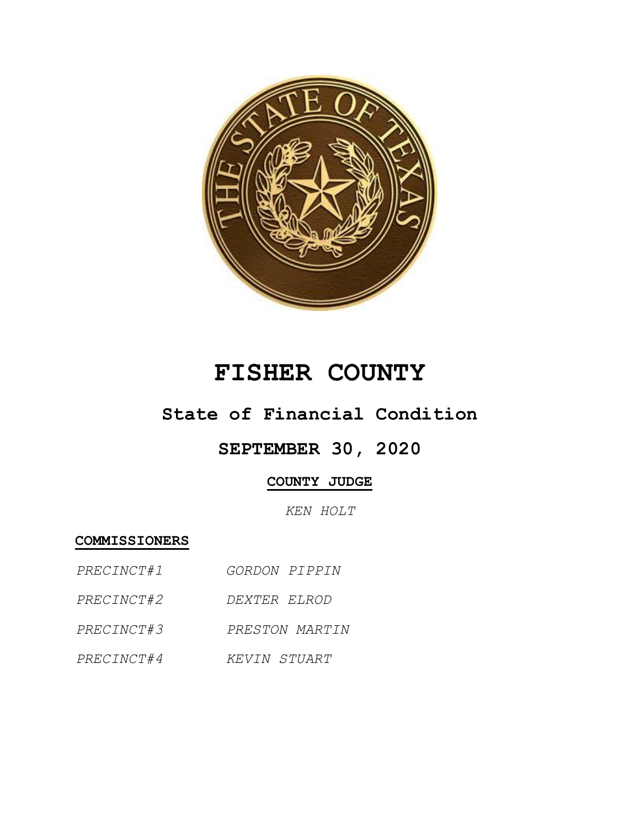

# **FISHER COUNTY**

### **State of Financial Condition**

## **SEPTEMBER 30, 2020**

### **COUNTY JUDGE**

*KEN HOLT*

**COMMISSIONERS**

- *PRECINCT#1 GORDON PIPPIN*
- *PRECINCT#2 DEXTER ELROD*
- *PRECINCT#3 PRESTON MARTIN*
- *PRECINCT#4 KEVIN STUART*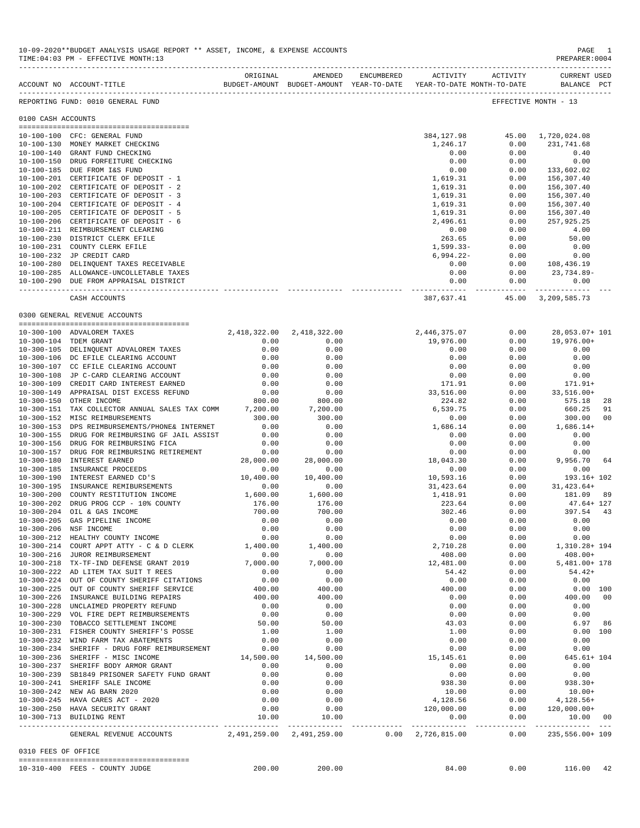|                     | ACCOUNT NO ACCOUNT-TITLE                                                         | ORIGINAL          | AMENDED                       | ENCUMBERED | BUDGET-AMOUNT BUDGET-AMOUNT YEAR-TO-DATE YEAR-TO-DATE MONTH-TO-DATE | ACTIVITY ACTIVITY | <b>CURRENT USED</b><br>BALANCE PCT |
|---------------------|----------------------------------------------------------------------------------|-------------------|-------------------------------|------------|---------------------------------------------------------------------|-------------------|------------------------------------|
|                     | REPORTING FUND: 0010 GENERAL FUND                                                |                   |                               |            |                                                                     |                   | EFFECTIVE MONTH - 13               |
| 0100 CASH ACCOUNTS  |                                                                                  |                   |                               |            |                                                                     |                   |                                    |
|                     |                                                                                  |                   |                               |            | 384,127.98                                                          |                   |                                    |
|                     | 10-100-100 CFC: GENERAL FUND<br>10-100-130 MONEY MARKET CHECKING                 |                   |                               |            | 1,246.17                                                            | 0.00              | 45.00 1,720,024.08<br>231,741.68   |
|                     | 10-100-140 GRANT FUND CHECKING                                                   |                   |                               |            | 0.00                                                                | 0.00              | 0.40                               |
|                     | 10-100-150 DRUG FORFEITURE CHECKING                                              |                   |                               |            | 0.00                                                                | 0.00              | 0.00                               |
|                     | 10-100-185 DUE FROM I&S FUND                                                     |                   |                               |            | 0.00                                                                | 0.00              | 133,602.02                         |
|                     | 10-100-201 CERTIFICATE OF DEPOSIT - 1                                            |                   |                               |            | 1,619.31                                                            | 0.00              | 156,307.40                         |
|                     | 10-100-202 CERTIFICATE OF DEPOSIT - 2                                            |                   |                               |            | 1,619.31                                                            | 0.00              | 156,307.40                         |
|                     | 10-100-203 CERTIFICATE OF DEPOSIT - 3<br>10-100-204 CERTIFICATE OF DEPOSIT - 4   |                   |                               |            | 1,619.31                                                            | 0.00              | 156,307.40                         |
|                     | 10-100-205 CERTIFICATE OF DEPOSIT - 5                                            |                   |                               |            | 1,619.31<br>1,619.31                                                | 0.00<br>0.00      | 156,307.40<br>156,307.40           |
|                     | 10-100-206 CERTIFICATE OF DEPOSIT - 6                                            |                   |                               |            | 2,496.61                                                            | 0.00              | 257,925.25                         |
|                     | 10-100-211 REIMBURSEMENT CLEARING                                                |                   |                               |            | 0.00                                                                | 0.00              | 4.00                               |
|                     | 10-100-230 DISTRICT CLERK EFILE                                                  |                   |                               |            | 263.65                                                              | 0.00              | 50.00                              |
|                     | 10-100-231 COUNTY CLERK EFILE                                                    |                   |                               |            | 1,599.33-                                                           | 0.00              | 0.00                               |
|                     | 10-100-232 JP CREDIT CARD                                                        |                   |                               |            | 6,994.22-                                                           | 0.00              | 0.00                               |
|                     | 10-100-280 DELINQUENT TAXES RECEIVABLE                                           |                   |                               |            | 0.00                                                                | 0.00              | 108,436.19                         |
|                     | 10-100-285 ALLOWANCE-UNCOLLETABLE TAXES                                          |                   |                               |            | 0.00                                                                | 0.00              | 23,734.89-                         |
|                     | 10-100-290 DUE FROM APPRAISAL DISTRICT                                           |                   |                               |            | 0.00                                                                | 0.00              | 0.00                               |
|                     | CASH ACCOUNTS                                                                    |                   |                               |            | 387,637.41                                                          |                   | 45.00 3,209,585.73                 |
|                     | 0300 GENERAL REVENUE ACCOUNTS                                                    |                   |                               |            |                                                                     |                   |                                    |
|                     | 10-300-100 ADVALOREM TAXES                                                       |                   | 2, 418, 322.00 2, 418, 322.00 |            | 2,446,375.07                                                        | 0.00              | 28,053.07+ 101                     |
|                     | 10-300-104 TDEM GRANT                                                            | 0.00              | 0.00                          |            | 19,976.00                                                           | 0.00              | 19,976.00+                         |
|                     | 10-300-105 DELINQUENT ADVALOREM TAXES                                            | 0.00              | 0.00                          |            | 0.00                                                                | 0.00              | 0.00                               |
|                     | 10-300-106 DC EFILE CLEARING ACCOUNT                                             | 0.00              | 0.00                          |            | 0.00                                                                | 0.00              | 0.00                               |
|                     | 10-300-107 CC EFILE CLEARING ACCOUNT                                             | 0.00              | 0.00                          |            | 0.00                                                                | 0.00              | 0.00                               |
|                     | 10-300-108 JP C-CARD CLEARING ACCOUNT                                            | 0.00              | 0.00                          |            | 0.00                                                                | 0.00              | 0.00                               |
|                     | 10-300-109 CREDIT CARD INTEREST EARNED                                           | 0.00              | 0.00                          |            | 171.91                                                              | 0.00              | 171.91+                            |
|                     | 10-300-149 APPRAISAL DIST EXCESS REFUND                                          | 0.00              | 0.00                          |            | 33,516.00                                                           | 0.00              | 33,516.00+                         |
|                     | 10-300-150 OTHER INCOME                                                          | 800.00            | 800.00                        |            | 224.82                                                              | 0.00              | 575.18<br>28                       |
|                     | 10-300-151 TAX COLLECTOR ANNUAL SALES TAX COMM                                   | 7,200.00          | 7,200.00                      |            | 6,539.75                                                            | 0.00              | 660.25<br>91                       |
|                     | 10-300-152 MISC REIMBURSEMENTS<br>10-300-153 DPS REIMBURSEMENTS/PHONE& INTERNET  | 300.00<br>0.00    | 300.00<br>0.00                |            | 0.00<br>1,686.14                                                    | 0.00<br>0.00      | 300.00<br>00<br>$1,686.14+$        |
|                     | 10-300-155 DRUG FOR REIMBURSING GF JAIL ASSIST                                   | 0.00              | 0.00                          |            | 0.00                                                                | 0.00              | 0.00                               |
|                     | 10-300-156 DRUG FOR REIMBURSING FICA                                             | 0.00              | 0.00                          |            | 0.00                                                                | 0.00              | 0.00                               |
|                     | 10-300-157 DRUG FOR REIMBURSING RETIREMENT                                       | 0.00              | 0.00                          |            | 0.00                                                                | 0.00              | 0.00                               |
|                     | 10-300-180 INTEREST EARNED                                                       | 28,000.00         | 28,000.00                     |            | 18,043.30                                                           | 0.00              | 9,956.70<br>64                     |
|                     | 10-300-185 INSURANCE PROCEEDS                                                    | 0.00              | 0.00                          |            | 0.00                                                                | 0.00              | 0.00                               |
|                     | 10-300-190 INTEREST EARNED CD'S                                                  | 10,400.00         | 10,400.00                     |            | 10,593.16                                                           | 0.00              | 193.16+ 102                        |
|                     | 10-300-195 INSURANCE REMIBURSEMENTS                                              | 0.00              | 0.00                          |            | 31,423.64                                                           | 0.00              | $31.423.64+$                       |
|                     | 10-300-200 COUNTY RESTITUTION INCOME                                             | 1,600.00          | 1,600.00                      |            | 1,418.91                                                            | 0.00              | 181.09 89                          |
|                     | 10-300-202 DRUG PROG CCP - 10% COUNTY                                            | 176.00            | 176.00                        |            | 223.64                                                              | 0.00              | $47.64 + 127$                      |
|                     | 10-300-204 OIL & GAS INCOME                                                      | 700.00            | 700.00                        |            | 302.46                                                              | 0.00              | 397.54 43                          |
| $10 - 300 - 205$    | GAS PIPELINE INCOME                                                              | 0.00              | 0.00                          |            | 0.00                                                                | 0.00              | 0.00                               |
|                     | 10-300-206 NSF INCOME<br>10-300-212 HEALTHY COUNTY INCOME                        | 0.00<br>0.00      | 0.00<br>0.00                  |            | 0.00<br>0.00                                                        | 0.00<br>0.00      | 0.00<br>0.00                       |
|                     | 10-300-214 COURT APPT ATTY - C & D CLERK                                         | 1,400.00          | 1,400.00                      |            | 2,710.28                                                            | 0.00              | 1,310.28+ 194                      |
|                     | 10-300-216 JUROR REIMBURSEMENT                                                   | 0.00              | 0.00                          |            | 408.00                                                              | 0.00              | $408.00+$                          |
|                     | 10-300-218 TX-TF-IND DEFENSE GRANT 2019                                          | 7,000.00          | 7,000.00                      |            | 12,481.00                                                           | 0.00              | 5,481.00+ 178                      |
|                     | 10-300-222 AD LITEM TAX SUIT T REES                                              | 0.00              | 0.00                          |            | 54.42                                                               | 0.00              | $54.42+$                           |
|                     | 10-300-224 OUT OF COUNTY SHERIFF CITATIONS                                       | 0.00              | 0.00                          |            | 0.00                                                                | 0.00              | 0.00                               |
|                     | 10-300-225 OUT OF COUNTY SHERIFF SERVICE                                         | 400.00            | 400.00                        |            | 400.00                                                              | 0.00              | $0.00$ 100                         |
|                     | 10-300-226 INSURANCE BUILDING REPAIRS                                            | 400.00            | 400.00                        |            | 0.00                                                                | 0.00              | 400.00 00                          |
|                     | 10-300-228 UNCLAIMED PROPERTY REFUND                                             | 0.00              | 0.00                          |            | 0.00                                                                | 0.00              | 0.00                               |
|                     | 10-300-229 VOL FIRE DEPT REIMBURSEMENTS                                          | 0.00              | 0.00                          |            | 0.00                                                                | 0.00              | 0.00                               |
|                     | 10-300-230 TOBACCO SETTLEMENT INCOME                                             | 50.00             | 50.00                         |            | 43.03                                                               | 0.00              | 6.97 86                            |
|                     | 10-300-231 FISHER COUNTY SHERIFF'S POSSE                                         | 1.00              | 1.00                          |            | 1.00                                                                | 0.00              | 0.00 100                           |
|                     | 10-300-232 WIND FARM TAX ABATEMENTS                                              | 0.00              | 0.00                          |            | 0.00                                                                | 0.00              | 0.00                               |
|                     | 10-300-234 SHERIFF - DRUG FORF REIMBURSEMENT<br>10-300-236 SHERIFF - MISC INCOME | 0.00<br>14,500.00 | 0.00<br>14,500.00             |            | 0.00                                                                | 0.00<br>0.00      | 0.00<br>645.61+ 104                |
|                     | 10-300-237 SHERIFF BODY ARMOR GRANT                                              | 0.00              | 0.00                          |            | 15,145.61<br>0.00                                                   | 0.00              | 0.00                               |
|                     | 10-300-239 SB1849 PRISONER SAFETY FUND GRANT                                     | 0.00              | 0.00                          |            | 0.00                                                                | 0.00              | 0.00                               |
|                     | 10-300-241 SHERIFF SALE INCOME                                                   | 0.00              | 0.00                          |            | 938.30                                                              | 0.00              | 938.30+                            |
|                     | 10-300-242 NEW AG BARN 2020                                                      | 0.00              | 0.00                          |            | 10.00                                                               | 0.00              | $10.00+$                           |
|                     | 10-300-245 HAVA CARES ACT - 2020                                                 | 0.00              | 0.00                          |            | 4,128.56                                                            |                   | $0.00$ $4,128.56+$                 |
|                     | 10-300-250 HAVA SECURITY GRANT                                                   | 0.00              | 0.00                          |            | 120,000.00                                                          |                   | $0.00 120,000.00+$                 |
|                     | 10-300-713 BUILDING RENT                                                         | 10.00             | 10.00                         |            | 0.00                                                                | 0.00              | 10.00 00                           |
|                     | GENERAL REVENUE ACCOUNTS 2,491,259.00 2,491,259.00                               |                   |                               |            | $0.00 \quad 2,726,815.00$                                           | 0.00              | 235,556.00+ 109                    |
| 0310 FEES OF OFFICE |                                                                                  |                   |                               |            |                                                                     |                   |                                    |
|                     | 10-310-400 FEES - COUNTY JUDGE                                                   |                   | 200.00 200.00                 |            | 84.00                                                               |                   | $0.00$ 116.00 42                   |
|                     |                                                                                  |                   |                               |            |                                                                     |                   |                                    |

10-09-2020\*\*BUDGET ANALYSIS USAGE REPORT \*\* ASSET, INCOME, & EXPENSE ACCOUNTS PAGE 1 TIME:04:03 PM - EFFECTIVE MONTH:13

-------------------------------------------------------------------------------------------------------------------------------------------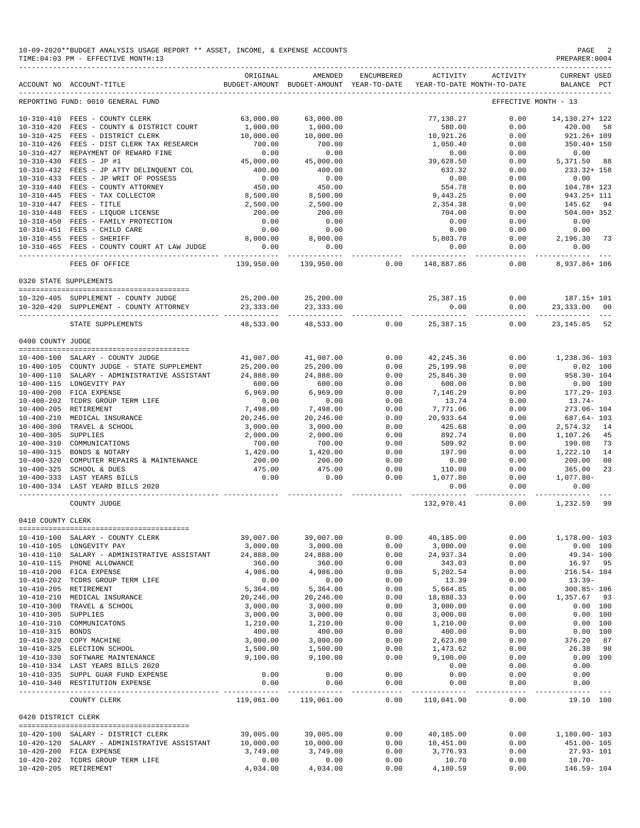| 10-09-2020**BUDGET ANALYSIS USAGE REPORT ** ASSET, INCOME, & EXPENSE ACCOUNTS | PAGE           |
|-------------------------------------------------------------------------------|----------------|
| TIME: 04:03 PM - EFFECTIVE MONTH: 13                                          | PREPARER: 0004 |

| PREPARER: 0004 |  |  |
|----------------|--|--|
|                |  |  |

|                                                               | ACCOUNT NO ACCOUNT-TITLE                                                                                                                                                      | ORIGINAL                                             | AMENDED<br>BUDGET-AMOUNT BUDGET-AMOUNT YEAR-TO-DATE YEAR-TO-DATE MONTH-TO-DATE | ENCUMBERED                   | ACTIVITY                                             | ACTIVITY                                  | <b>CURRENT USED</b><br>BALANCE PCT                                     |
|---------------------------------------------------------------|-------------------------------------------------------------------------------------------------------------------------------------------------------------------------------|------------------------------------------------------|--------------------------------------------------------------------------------|------------------------------|------------------------------------------------------|-------------------------------------------|------------------------------------------------------------------------|
|                                                               | REPORTING FUND: 0010 GENERAL FUND                                                                                                                                             |                                                      |                                                                                |                              |                                                      |                                           | EFFECTIVE MONTH - 13                                                   |
| $10 - 310 - 425$<br>10-310-427                                | 10-310-410 FEES - COUNTY CLERK<br>10-310-420 FEES - COUNTY & DISTRICT COURT<br>FEES - DISTRICT CLERK<br>10-310-426 FEES - DIST CLERK TAX RESEARCH<br>REPAYMENT OF REWARD FINE | 63,000.00<br>1,000.00<br>10,000.00<br>700.00<br>0.00 | 63,000.00<br>1,000.00<br>10,000.00<br>700.00<br>0.00                           |                              | 77.130.27<br>580.00<br>10,921.26<br>1,050.40<br>0.00 | 0.00<br>0.00<br>0.00<br>0.00<br>0.00      | 14, 130. 27+ 122<br>420.00<br>58<br>921.26+ 109<br>350.40+ 150<br>0.00 |
| $10 - 310 - 430$<br>$10 - 310 - 433$                          | $FEES - JP #1$<br>10-310-432 FEES - JP ATTY DELINQUENT COL<br>FEES - JP WRIT OF POSSESS                                                                                       | 45,000.00<br>400.00<br>0.00                          | 45,000.00<br>400.00<br>0.00                                                    |                              | 39,628.50<br>633.32<br>0.00                          | 0.00<br>0.00<br>0.00                      | 5,371.50 88<br>233.32+ 158<br>0.00                                     |
| $10 - 310 - 445$                                              | 10-310-440 FEES - COUNTY ATTORNEY<br>FEES - TAX COLLECTOR<br>$10-310-447 \quad \text{FEES} - \text{TITLE} \\ 10-310-448 \quad \text{FEES} - \text{LIQUOR LICENSE}$            | 450.00<br>8,500.00<br>2,500.00<br>200.00             | 450.00<br>8,500.00<br>2,500.00<br>200.00                                       |                              | 554.78<br>9,443.25<br>2,354.38<br>704.00             | 0.00<br>0.00<br>0.00<br>0.00              | 104.78+ 123<br>943.25+ 111<br>145.62<br>94<br>504.00+ 352              |
|                                                               | 10-310-450 FEES - FAMILY PROTECTION<br>10-310-451 FEES - CHILD CARE<br>10-310-455 FEES - SHERIFF<br>10-310-465 FEES - COUNTY COURT AT LAW JUDGE                               | 0.00<br>0.00<br>8,000.00<br>0.00<br>---------        | 0.00<br>0.00<br>8,000.00<br>0.00                                               |                              | 0.00<br>0.00<br>5,803.70<br>0.00                     | 0.00<br>0.00<br>0.00<br>0.00<br>--------- | 0.00<br>0.00<br>2,196.30 73<br>0.00<br>----------                      |
|                                                               | FEES OF OFFICE                                                                                                                                                                |                                                      | 139,950.00 139,950.00                                                          | 0.00                         | 148,887.86                                           | 0.00                                      | 8,937.86+ 106                                                          |
|                                                               | 0320 STATE SUPPLEMENTS                                                                                                                                                        |                                                      |                                                                                |                              |                                                      |                                           |                                                                        |
|                                                               | 10-320-405 SUPPLEMENT - COUNTY JUDGE<br>10-320-420 SUPPLEMENT - COUNTY ATTORNEY                                                                                               | 25,200.00<br>23,333.00<br>-----------                | 25,200.00<br>23, 333.00<br>------------                                        |                              | 25,387.15<br>0.00                                    | 0.00<br>0.00<br>----------                | 187.15+ 101<br>23,333.00 00                                            |
|                                                               | STATE SUPPLEMENTS                                                                                                                                                             | 48,533.00                                            | 48,533.00                                                                      | 0.00                         | 25,387.15                                            | 0.00                                      | 23, 145.85 52                                                          |
| 0400 COUNTY JUDGE                                             |                                                                                                                                                                               |                                                      |                                                                                |                              |                                                      |                                           |                                                                        |
|                                                               | 10-400-100 SALARY - COUNTY JUDGE<br>10-400-105 COUNTY JUDGE - STATE SUPPLEMENT<br>10-400-110 SALARY - ADMINISTRATIVE ASSISTANT<br>10-400-115 LONGEVITY PAY                    | 41,007.00<br>25,200.00<br>24,888.00<br>600.00        | 41,007.00<br>25,200.00<br>24,888.00<br>600.00                                  | 0.00<br>0.00<br>0.00<br>0.00 | 42,245.36<br>25,199.98<br>25,846.30<br>600.00        | 0.00<br>0.00<br>0.00<br>0.00              | 1,238.36- 103<br>$0.02$ 100<br>958.30- 104<br>$0.00$ 100               |
|                                                               | 10-400-200 FICA EXPENSE<br>10-400-202 TCDRS GROUP TERM LIFE<br>10-400-205 RETIREMENT                                                                                          | 6,969.00<br>0.00<br>7,498.00                         | 6,969.00<br>0.00<br>7,498.00                                                   | 0.00<br>0.00<br>0.00         | 7,146.29<br>13.74<br>7,771.06                        | 0.00<br>0.00<br>0.00                      | 177.29- 103<br>$13.74-$<br>273.06- 104                                 |
| $10 - 400 - 305$<br>$10 - 400 - 310$                          | 10-400-210 MEDICAL INSURANCE<br>10-400-300 TRAVEL & SCHOOL<br><b>SUPPLIES</b><br>COMMUNICATIONS                                                                               | 20,246.00<br>3,000.00<br>2,000.00<br>700.00          | 20,246.00<br>3,000.00<br>2,000.00<br>700.00                                    | 0.00<br>0.00<br>0.00<br>0.00 | 20,933.64<br>425.68<br>892.74<br>509.92              | 0.00<br>0.00<br>0.00<br>0.00              | 687.64- 103<br>2,574.32<br>14<br>1,107.26<br>45<br>190.08<br>73        |
| $10 - 400 - 320$                                              | 10-400-315 BONDS & NOTARY<br>COMPUTER REPAIRS & MAINTENANCE<br>10-400-325 SCHOOL & DUES                                                                                       | 1,420.00<br>200.00<br>475.00                         | 1,420.00<br>200.00<br>475.00                                                   | 0.00<br>0.00<br>0.00         | 197.90<br>0.00<br>110.00                             | 0.00<br>0.00<br>0.00                      | 1,222.10<br>14<br>200.00<br>00<br>365.00<br>23                         |
|                                                               | 10-400-333 LAST YEARS BILLS<br>10-400-334 LAST YEARD BILLS 2020<br>COUNTY JUDGE                                                                                               | 0.00                                                 | 0.00                                                                           | 0.00                         | 1,077.80<br>0.00<br>132,970.41                       | 0.00<br>0.00<br>--------<br>0.00          | 1,077.80-<br>0.00<br>1,232.59 99                                       |
| 0410 COUNTY CLERK                                             |                                                                                                                                                                               |                                                      |                                                                                |                              |                                                      |                                           |                                                                        |
|                                                               | 10-410-100 SALARY - COUNTY CLERK<br>10-410-105 LONGEVITY PAY                                                                                                                  | 39,007.00<br>3,000.00                                | 39,007.00<br>3,000.00                                                          | 0.00<br>0.00                 | 40,185.00<br>3,000.00                                | 0.00<br>0.00                              | 1,178.00- 103<br>0.00 100                                              |
| $10 - 410 - 110$                                              | SALARY - ADMINISTRATIVE ASSISTANT<br>10-410-115 PHONE ALLOWANCE<br>10-410-200 FICA EXPENSE<br>10-410-202 TCDRS GROUP TERM LIFE                                                | 24,888.00<br>360.00<br>4,986.00<br>0.00              | 24,888.00<br>360.00<br>4,986.00<br>0.00                                        | 0.00<br>0.00<br>0.00<br>0.00 | 24,937.34<br>343.03<br>5,202.54<br>13.39             | 0.00<br>0.00<br>0.00<br>0.00              | $49.34 - 100$<br>16.97 95<br>$216.54 - 104$<br>$13.39-$                |
| 10-410-205 RETIREMENT<br>$10 - 410 - 300$<br>$10 - 410 - 305$ | 10-410-210 MEDICAL INSURANCE<br>TRAVEL & SCHOOL<br>SUPPLIES                                                                                                                   | 5,364.00<br>20,246.00<br>3,000.00<br>3,000.00        | 5,364.00<br>20,246.00<br>3,000.00<br>3,000.00                                  | 0.00<br>0.00<br>0.00<br>0.00 | 5,664.85<br>18,888.33<br>3,000.00<br>3,000.00        | 0.00<br>0.00<br>0.00<br>0.00              | $300.85 - 106$<br>1,357.67<br>93<br>0.00 100<br>0.00 100               |
| $10 - 410 - 310$<br>$10 - 410 - 315$                          | COMMUNICATONS<br><b>BONDS</b><br>10-410-320 COPY MACHINE<br>10-410-325 ELECTION SCHOOL                                                                                        | 1,210.00<br>400.00<br>3,000.00<br>1,500.00           | 1,210.00<br>400.00<br>3,000.00<br>1,500.00                                     | 0.00<br>0.00<br>0.00<br>0.00 | 1,210.00<br>400.00<br>2,623.80<br>1,473.62           | 0.00<br>0.00<br>0.00<br>0.00              | 0.00 100<br>0.00 100<br>376.20<br>87<br>26.38<br>98                    |
|                                                               | 10-410-330 SOFTWARE MAINTENANCE<br>10-410-334 LAST YEARS BILLS 2020<br>10-410-335 SUPPL GUAR FUND EXPENSE<br>10-410-340 RESTITUTION EXPENSE                                   | 9,100.00<br>0.00<br>0.00                             | 9,100.00<br>0.00<br>0.00                                                       | 0.00<br>0.00<br>0.00         | 9,100.00<br>0.00<br>0.00<br>0.00                     | 0.00<br>0.00<br>0.00<br>0.00              | 0.00 100<br>0.00<br>0.00<br>0.00                                       |
|                                                               | COUNTY CLERK                                                                                                                                                                  | 119,061.00                                           | -----------<br>119,061.00                                                      | $- - - - - -$<br>0.00        | -----------<br>119,041.90                            | -----<br>0.00                             | ----------<br>19.10 100                                                |
| 0420 DISTRICT CLERK                                           |                                                                                                                                                                               |                                                      |                                                                                |                              |                                                      |                                           |                                                                        |
|                                                               | 10-420-100 SALARY - DISTRICT CLERK<br>10-420-120 SALARY - ADMINISTRATIVE ASSISTANT<br>10-420-200 FICA EXPENSE                                                                 | 39,005.00<br>10,000.00<br>3,749.00                   | 39,005.00<br>10,000.00<br>3,749.00                                             | 0.00<br>0.00<br>0.00         | 40,185.00<br>10,451.00<br>3,776.93                   | 0.00<br>0.00<br>0.00                      | 1,180.00-103<br>451.00- 105<br>$27.93 - 101$                           |
|                                                               | 10-420-202 TCDRS GROUP TERM LIFE                                                                                                                                              | 0.00                                                 | 0.00                                                                           | 0.00                         | 10.70                                                | 0.00                                      | $10.70 -$                                                              |

10-420-205 RETIREMENT 4,034.00 4,034.00 0.00 4,180.59 0.00 146.59- 104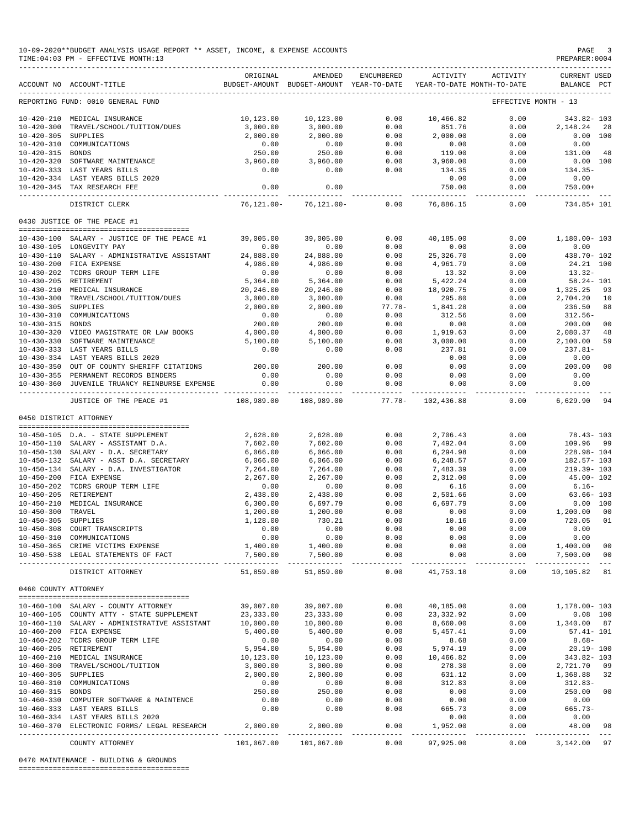|                      | 10-09-2020**BUDGET ANALYSIS USAGE REPORT ** ASSET, INCOME, & EXPENSE ACCOUNTS<br>TIME: 04:03 PM - EFFECTIVE MONTH: 13 |                         |                                                                                |                       |                          |                                                                                                                                                                                                                                                                                                                                                                                                      | PAGE<br>$\overline{\phantom{a}}$<br>PREPARER: 0004                                                                                                                                                                                                                                                                                                                                                                  |
|----------------------|-----------------------------------------------------------------------------------------------------------------------|-------------------------|--------------------------------------------------------------------------------|-----------------------|--------------------------|------------------------------------------------------------------------------------------------------------------------------------------------------------------------------------------------------------------------------------------------------------------------------------------------------------------------------------------------------------------------------------------------------|---------------------------------------------------------------------------------------------------------------------------------------------------------------------------------------------------------------------------------------------------------------------------------------------------------------------------------------------------------------------------------------------------------------------|
|                      | ACCOUNT NO ACCOUNT-TITLE                                                                                              | ORIGINAL                | AMENDED<br>BUDGET-AMOUNT BUDGET-AMOUNT YEAR-TO-DATE YEAR-TO-DATE MONTH-TO-DATE | ENCUMBERED            | ACTIVITY                 | ACTIVITY                                                                                                                                                                                                                                                                                                                                                                                             | <b>CURRENT USED</b><br>BALANCE PCT                                                                                                                                                                                                                                                                                                                                                                                  |
|                      | REPORTING FUND: 0010 GENERAL FUND                                                                                     |                         |                                                                                |                       |                          |                                                                                                                                                                                                                                                                                                                                                                                                      | EFFECTIVE MONTH - 13                                                                                                                                                                                                                                                                                                                                                                                                |
|                      | 10-420-210 MEDICAL INSURANCE                                                                                          | 10,123.00               | 10,123.00                                                                      | 0.00                  | 10,466.82                | 0.00                                                                                                                                                                                                                                                                                                                                                                                                 | 343.82- 103                                                                                                                                                                                                                                                                                                                                                                                                         |
| $10 - 420 - 300$     | TRAVEL/SCHOOL/TUITION/DUES                                                                                            | 3,000.00                | 3,000.00                                                                       | 0.00                  | 851.76                   | 0.00                                                                                                                                                                                                                                                                                                                                                                                                 | 2,148.24<br>28                                                                                                                                                                                                                                                                                                                                                                                                      |
| 10-420-305 SUPPLIES  |                                                                                                                       | 2,000.00                | 2,000.00                                                                       | 0.00                  | 2,000.00                 | 0.00                                                                                                                                                                                                                                                                                                                                                                                                 | 0.00 100                                                                                                                                                                                                                                                                                                                                                                                                            |
|                      | 10-420-310 COMMUNICATIONS                                                                                             | 0.00                    | 0.00                                                                           | 0.00                  | 0.00                     | 0.00                                                                                                                                                                                                                                                                                                                                                                                                 | 0.00                                                                                                                                                                                                                                                                                                                                                                                                                |
| 10-420-315 BONDS     |                                                                                                                       | 250.00                  | 250.00                                                                         | 0.00                  | 119.00                   | 0.00                                                                                                                                                                                                                                                                                                                                                                                                 | 131.00<br>48                                                                                                                                                                                                                                                                                                                                                                                                        |
|                      | 10-420-320 SOFTWARE MAINTENANCE                                                                                       | 3,960.00                | 3,960.00                                                                       | 0.00                  | 3,960.00                 | 0.00                                                                                                                                                                                                                                                                                                                                                                                                 | 0.00 100                                                                                                                                                                                                                                                                                                                                                                                                            |
|                      | 10-420-333 LAST YEARS BILLS<br>10-420-334 LAST YEARS BILLS 2020                                                       | 0.00                    | 0.00                                                                           | 0.00                  | 134.35<br>0.00           | 0.00<br>0.00                                                                                                                                                                                                                                                                                                                                                                                         | $134.35-$<br>0.00                                                                                                                                                                                                                                                                                                                                                                                                   |
|                      | 10-420-345 TAX RESEARCH FEE                                                                                           | 0.00                    | 0.00                                                                           |                       | 750.00                   | 0.00                                                                                                                                                                                                                                                                                                                                                                                                 | $750.00+$                                                                                                                                                                                                                                                                                                                                                                                                           |
|                      | DISTRICT CLERK                                                                                                        | $76, 121.00 -$          | $76, 121.00 -$                                                                 | 0.00                  | -----------<br>76,886.15 | $\frac{1}{2} \frac{1}{2} \frac{1}{2} \frac{1}{2} \frac{1}{2} \frac{1}{2} \frac{1}{2} \frac{1}{2} \frac{1}{2} \frac{1}{2} \frac{1}{2} \frac{1}{2} \frac{1}{2} \frac{1}{2} \frac{1}{2} \frac{1}{2} \frac{1}{2} \frac{1}{2} \frac{1}{2} \frac{1}{2} \frac{1}{2} \frac{1}{2} \frac{1}{2} \frac{1}{2} \frac{1}{2} \frac{1}{2} \frac{1}{2} \frac{1}{2} \frac{1}{2} \frac{1}{2} \frac{1}{2} \frac{$<br>0.00 | ------------<br>734.85+ 101                                                                                                                                                                                                                                                                                                                                                                                         |
|                      | 0430 JUSTICE OF THE PEACE #1                                                                                          |                         |                                                                                |                       |                          |                                                                                                                                                                                                                                                                                                                                                                                                      |                                                                                                                                                                                                                                                                                                                                                                                                                     |
|                      |                                                                                                                       |                         |                                                                                |                       |                          |                                                                                                                                                                                                                                                                                                                                                                                                      |                                                                                                                                                                                                                                                                                                                                                                                                                     |
|                      | 10-430-100 SALARY - JUSTICE OF THE PEACE #1<br>10-430-105 LONGEVITY PAY                                               | 39,005.00<br>0.00       | 39,005.00<br>0.00                                                              | 0.00<br>0.00          | 40,185.00<br>0.00        | 0.00<br>0.00                                                                                                                                                                                                                                                                                                                                                                                         | 1,180.00-103<br>0.00                                                                                                                                                                                                                                                                                                                                                                                                |
|                      | 10-430-110 SALARY - ADMINISTRATIVE ASSISTANT                                                                          | 24,888.00               | 24,888.00                                                                      | 0.00                  | 25,326.70                | 0.00                                                                                                                                                                                                                                                                                                                                                                                                 | 438.70- 102                                                                                                                                                                                                                                                                                                                                                                                                         |
|                      | 10-430-200 FICA EXPENSE                                                                                               | 4,986.00                | 4,986.00                                                                       | 0.00                  | 4,961.79                 | 0.00                                                                                                                                                                                                                                                                                                                                                                                                 | 24.21 100                                                                                                                                                                                                                                                                                                                                                                                                           |
|                      | 10-430-202 TCDRS GROUP TERM LIFE                                                                                      | 0.00                    | 0.00                                                                           | 0.00                  | 13.32                    | 0.00                                                                                                                                                                                                                                                                                                                                                                                                 | $13.32-$                                                                                                                                                                                                                                                                                                                                                                                                            |
|                      | 10-430-205 RETIREMENT                                                                                                 | 5,364.00                | 5,364.00                                                                       | 0.00                  | 5,422.24                 | 0.00                                                                                                                                                                                                                                                                                                                                                                                                 | $58.24 - 101$                                                                                                                                                                                                                                                                                                                                                                                                       |
|                      | 10-430-210 MEDICAL INSURANCE                                                                                          | 20,246.00               | 20,246.00                                                                      | 0.00                  | 18,920.75                | 0.00                                                                                                                                                                                                                                                                                                                                                                                                 | 1,325.25<br>93                                                                                                                                                                                                                                                                                                                                                                                                      |
|                      | 10-430-300 TRAVEL/SCHOOL/TUITION/DUES                                                                                 | 3,000.00                | 3,000.00                                                                       | 0.00                  | 295.80                   | 0.00                                                                                                                                                                                                                                                                                                                                                                                                 | 2,704.20<br>10                                                                                                                                                                                                                                                                                                                                                                                                      |
| 10-430-305 SUPPLIES  |                                                                                                                       | 2,000.00                | 2,000.00                                                                       | $77.78-$              | 1,841.28                 | 0.00                                                                                                                                                                                                                                                                                                                                                                                                 | 236.50<br>88                                                                                                                                                                                                                                                                                                                                                                                                        |
| $10 - 430 - 310$     | COMMUNICATIONS                                                                                                        | 0.00                    | 0.00                                                                           | 0.00                  | 312.56                   | 0.00                                                                                                                                                                                                                                                                                                                                                                                                 | $312.56 -$                                                                                                                                                                                                                                                                                                                                                                                                          |
| 10-430-315 BONDS     |                                                                                                                       | 200.00                  | 200.00                                                                         | 0.00                  | 0.00                     | 0.00                                                                                                                                                                                                                                                                                                                                                                                                 | 200.00<br>00                                                                                                                                                                                                                                                                                                                                                                                                        |
| $10 - 430 - 330$     | 10-430-320 VIDEO MAGISTRATE OR LAW BOOKS<br>SOFTWARE MAINTENANCE                                                      | 4,000.00                | 4,000.00                                                                       | 0.00                  | 1,919.63<br>3,000.00     | 0.00<br>0.00                                                                                                                                                                                                                                                                                                                                                                                         | 2,080.37<br>48<br>59                                                                                                                                                                                                                                                                                                                                                                                                |
|                      | 10-430-333 LAST YEARS BILLS                                                                                           | 5,100.00<br>0.00        | 5,100.00<br>0.00                                                               | 0.00<br>0.00          | 237.81                   | 0.00                                                                                                                                                                                                                                                                                                                                                                                                 | 2,100.00<br>$237.81-$                                                                                                                                                                                                                                                                                                                                                                                               |
|                      | 10-430-334 LAST YEARS BILLS 2020                                                                                      |                         |                                                                                |                       | 0.00                     | 0.00                                                                                                                                                                                                                                                                                                                                                                                                 | 0.00                                                                                                                                                                                                                                                                                                                                                                                                                |
|                      | 10-430-350 OUT OF COUNTY SHERIFF CITATIONS                                                                            | 200.00                  | 200.00                                                                         | 0.00                  | 0.00                     | 0.00                                                                                                                                                                                                                                                                                                                                                                                                 | 200.00<br>00                                                                                                                                                                                                                                                                                                                                                                                                        |
|                      | 10-430-355 PERMANENT RECORDS BINDERS                                                                                  | 0.00                    | 0.00                                                                           | 0.00                  | 0.00                     | 0.00                                                                                                                                                                                                                                                                                                                                                                                                 | 0.00                                                                                                                                                                                                                                                                                                                                                                                                                |
| $10 - 430 - 360$     | JUVENILE TRUANCY REINBURSE EXPENSE                                                                                    | 0.00                    | 0.00                                                                           | 0.00<br>-----         | 0.00                     | 0.00<br>$- - - - -$                                                                                                                                                                                                                                                                                                                                                                                  | 0.00                                                                                                                                                                                                                                                                                                                                                                                                                |
|                      | JUSTICE OF THE PEACE #1                                                                                               | 108,989.00              | 108,989.00                                                                     | $77.78 -$             | 102,436.88               | 0.00                                                                                                                                                                                                                                                                                                                                                                                                 | 6,629.90<br>94                                                                                                                                                                                                                                                                                                                                                                                                      |
|                      | 0450 DISTRICT ATTORNEY                                                                                                |                         |                                                                                |                       |                          |                                                                                                                                                                                                                                                                                                                                                                                                      |                                                                                                                                                                                                                                                                                                                                                                                                                     |
|                      | 10-450-105 D.A. - STATE SUPPLEMENT                                                                                    | 2,628.00                | 2,628.00                                                                       | 0.00                  | 2,706.43                 | 0.00                                                                                                                                                                                                                                                                                                                                                                                                 | $78.43 - 103$                                                                                                                                                                                                                                                                                                                                                                                                       |
|                      | 10-450-110 SALARY - ASSISTANT D.A.                                                                                    | 7,602.00                | 7,602.00                                                                       | 0.00                  | 7,492.04                 | 0.00                                                                                                                                                                                                                                                                                                                                                                                                 | 109.96<br>99                                                                                                                                                                                                                                                                                                                                                                                                        |
|                      | 10-450-130 SALARY - D.A. SECRETARY                                                                                    | 6,066.00                | 6,066.00                                                                       | 0.00                  | 6,294.98                 | 0.00                                                                                                                                                                                                                                                                                                                                                                                                 | 228.98-104                                                                                                                                                                                                                                                                                                                                                                                                          |
|                      | 10-450-132 SALARY - ASST D.A. SECRETARY                                                                               | 6,066.00                | 6,066.00                                                                       | 0.00                  | 6,248.57                 | 0.00                                                                                                                                                                                                                                                                                                                                                                                                 | 182.57- 103                                                                                                                                                                                                                                                                                                                                                                                                         |
|                      | 10-450-134 SALARY - D.A. INVESTIGATOR                                                                                 | 7,264.00                | 7,264.00                                                                       | 0.00                  | 7,483.39                 | 0.00                                                                                                                                                                                                                                                                                                                                                                                                 | $219.39 - 103$                                                                                                                                                                                                                                                                                                                                                                                                      |
|                      | 10-450-200 FICA EXPENSE                                                                                               | 2,267.00                | 2,267.00                                                                       | 0.00                  | 2,312.00                 | 0.00                                                                                                                                                                                                                                                                                                                                                                                                 | $45.00 - 102$                                                                                                                                                                                                                                                                                                                                                                                                       |
|                      | 10-450-202 TCDRS GROUP TERM LIFE                                                                                      | 0.00                    | 0.00                                                                           | 0.00                  | 6.16                     | 0.00                                                                                                                                                                                                                                                                                                                                                                                                 | $6.16 -$                                                                                                                                                                                                                                                                                                                                                                                                            |
|                      | 10-450-205 RETIREMENT                                                                                                 | 2,438.00                | 2,438.00                                                                       | 0.00                  | 2,501.66                 | 0.00                                                                                                                                                                                                                                                                                                                                                                                                 | $63.66 - 103$                                                                                                                                                                                                                                                                                                                                                                                                       |
| $10 - 450 - 210$     | MEDICAL INSURANCE                                                                                                     | 6,300.00                | 6,697.79                                                                       | 0.00                  | 6,697.79                 | 0.00                                                                                                                                                                                                                                                                                                                                                                                                 | 0.00 100                                                                                                                                                                                                                                                                                                                                                                                                            |
| $10 - 450 - 300$     | TRAVEL                                                                                                                | 1,200.00                | 1,200.00                                                                       | 0.00<br>0.00          | 0.00                     | 0.00<br>0.00                                                                                                                                                                                                                                                                                                                                                                                         | 1,200.00 00                                                                                                                                                                                                                                                                                                                                                                                                         |
| 10-450-305 SUPPLIES  | 10-450-308 COURT TRANSCRIPTS                                                                                          | 1,128.00<br>0.00        | 730.21<br>0.00                                                                 | 0.00                  | 10.16<br>0.00            | 0.00                                                                                                                                                                                                                                                                                                                                                                                                 | 720.05<br>01<br>0.00                                                                                                                                                                                                                                                                                                                                                                                                |
|                      | 10-450-310 COMMUNICATIONS                                                                                             | 0.00                    | 0.00                                                                           | 0.00                  | 0.00                     | 0.00                                                                                                                                                                                                                                                                                                                                                                                                 | 0.00                                                                                                                                                                                                                                                                                                                                                                                                                |
|                      | 10-450-365 CRIME VICTIMS EXPENSE                                                                                      | 1,400.00                | 1,400.00                                                                       | 0.00                  | 0.00                     | 0.00                                                                                                                                                                                                                                                                                                                                                                                                 | 1,400.00<br>00                                                                                                                                                                                                                                                                                                                                                                                                      |
|                      | 10-450-538 LEGAL STATEMENTS OF FACT                                                                                   | 7,500.00<br>----------- | 7,500.00<br>----------                                                         | 0.00<br>$\frac{1}{2}$ | 0.00                     | 0.00<br>$\frac{1}{2}$                                                                                                                                                                                                                                                                                                                                                                                | 7,500.00<br>00<br>.<br>$\frac{1}{2} \frac{1}{2} \frac{1}{2} \frac{1}{2} \frac{1}{2} \frac{1}{2} \frac{1}{2} \frac{1}{2} \frac{1}{2} \frac{1}{2} \frac{1}{2} \frac{1}{2} \frac{1}{2} \frac{1}{2} \frac{1}{2} \frac{1}{2} \frac{1}{2} \frac{1}{2} \frac{1}{2} \frac{1}{2} \frac{1}{2} \frac{1}{2} \frac{1}{2} \frac{1}{2} \frac{1}{2} \frac{1}{2} \frac{1}{2} \frac{1}{2} \frac{1}{2} \frac{1}{2} \frac{1}{2} \frac{$ |
|                      | DISTRICT ATTORNEY                                                                                                     | 51,859.00               | 51,859.00                                                                      | 0.00                  | 41,753.18                | 0.00                                                                                                                                                                                                                                                                                                                                                                                                 | 10,105.82<br>81                                                                                                                                                                                                                                                                                                                                                                                                     |
| 0460 COUNTY ATTORNEY |                                                                                                                       |                         |                                                                                |                       |                          |                                                                                                                                                                                                                                                                                                                                                                                                      |                                                                                                                                                                                                                                                                                                                                                                                                                     |
|                      | 10-460-100 SALARY - COUNTY ATTORNEY                                                                                   | 39,007.00               | 39,007.00                                                                      | 0.00                  | 40,185.00                | 0.00                                                                                                                                                                                                                                                                                                                                                                                                 | 1,178.00- 103                                                                                                                                                                                                                                                                                                                                                                                                       |
|                      | 10-460-105 COUNTY ATTY - STATE SUPPLEMENT                                                                             | 23, 333.00              | 23, 333.00                                                                     | 0.00                  | 23, 332.92               | 0.00                                                                                                                                                                                                                                                                                                                                                                                                 | $0.08$ 100                                                                                                                                                                                                                                                                                                                                                                                                          |
|                      | 10-460-110 SALARY - ADMINISTRATIVE ASSISTANT                                                                          | 10,000.00               | 10,000.00                                                                      | 0.00                  | 8,660.00                 | 0.00                                                                                                                                                                                                                                                                                                                                                                                                 | 1,340.00 87                                                                                                                                                                                                                                                                                                                                                                                                         |
|                      | 10-460-200 FICA EXPENSE                                                                                               | 5,400.00                | 5,400.00                                                                       | 0.00                  | 5,457.41                 | 0.00                                                                                                                                                                                                                                                                                                                                                                                                 | $57.41 - 101$                                                                                                                                                                                                                                                                                                                                                                                                       |
|                      | 10-460-202 TCDRS GROUP TERM LIFE                                                                                      | 0.00                    | 0.00                                                                           | 0.00                  | 8.68                     | 0.00                                                                                                                                                                                                                                                                                                                                                                                                 | $8.68-$                                                                                                                                                                                                                                                                                                                                                                                                             |
|                      | 10-460-205 RETIREMENT                                                                                                 | 5,954.00                | 5,954.00                                                                       | 0.00                  | 5,974.19                 | 0.00                                                                                                                                                                                                                                                                                                                                                                                                 | $20.19 - 100$                                                                                                                                                                                                                                                                                                                                                                                                       |
|                      | 10-460-210 MEDICAL INSURANCE                                                                                          | 10,123.00               | 10,123.00                                                                      | 0.00                  | 10,466.82                | 0.00                                                                                                                                                                                                                                                                                                                                                                                                 | 343.82- 103                                                                                                                                                                                                                                                                                                                                                                                                         |
|                      | 10-460-300 TRAVEL/SCHOOL/TUITION                                                                                      | 3,000.00                | 3,000.00                                                                       | 0.00                  | 278.30                   | 0.00                                                                                                                                                                                                                                                                                                                                                                                                 | 2,721.70<br>09                                                                                                                                                                                                                                                                                                                                                                                                      |
| 10-460-305 SUPPLIES  |                                                                                                                       | 2,000.00                | 2,000.00                                                                       | 0.00                  | 631.12                   | 0.00                                                                                                                                                                                                                                                                                                                                                                                                 | 1,368.88<br>32                                                                                                                                                                                                                                                                                                                                                                                                      |
|                      | 10-460-310 COMMUNICATIONS                                                                                             | 0.00                    | 0.00                                                                           | 0.00                  | 312.83                   | 0.00                                                                                                                                                                                                                                                                                                                                                                                                 | $312.83-$                                                                                                                                                                                                                                                                                                                                                                                                           |
| 10-460-315 BONDS     |                                                                                                                       | 250.00<br>0.00          | 250.00                                                                         | 0.00<br>0.00          | 0.00                     | 0.00                                                                                                                                                                                                                                                                                                                                                                                                 | 250.00<br>00<br>0.00                                                                                                                                                                                                                                                                                                                                                                                                |
|                      | 10-460-330 COMPUTER SOFTWARE & MAINTENCE<br>10-460-333 LAST YEARS BILLS                                               | 0.00                    | 0.00<br>0.00                                                                   | 0.00                  | 0.00<br>665.73           | 0.00<br>0.00                                                                                                                                                                                                                                                                                                                                                                                         | $665.73-$                                                                                                                                                                                                                                                                                                                                                                                                           |
|                      | 10-460-334 LAST YEARS BILLS 2020                                                                                      |                         |                                                                                |                       | 0.00                     | 0.00                                                                                                                                                                                                                                                                                                                                                                                                 | 0.00                                                                                                                                                                                                                                                                                                                                                                                                                |
| $10 - 460 - 370$     | ELECTRONIC FORMS/ LEGAL RESEARCH                                                                                      | 2,000.00                | 2,000.00                                                                       | 0.00                  | 1,952.00                 | 0.00                                                                                                                                                                                                                                                                                                                                                                                                 | 48.00<br>98                                                                                                                                                                                                                                                                                                                                                                                                         |
|                      | COUNTY ATTORNEY                                                                                                       | 101,067.00              | -----------<br>101,067.00                                                      | 0.00                  | ----------<br>97,925.00  | -----<br>0.00                                                                                                                                                                                                                                                                                                                                                                                        | ---------- ---<br>3,142.00 97                                                                                                                                                                                                                                                                                                                                                                                       |

0470 MAINTENANCE - BUILDING & GROUNDS

========================================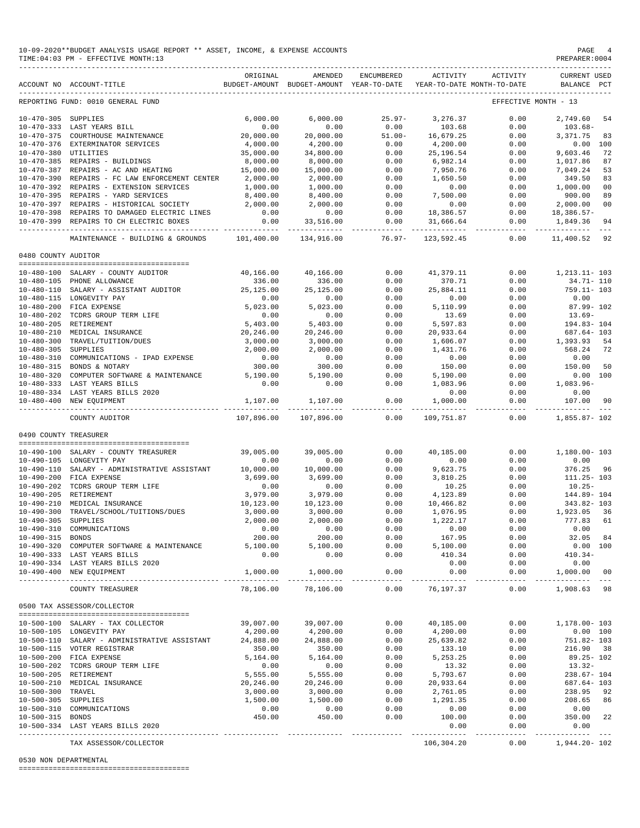|                       | 10-09-2020**BUDGET ANALYSIS USAGE REPORT ** ASSET, INCOME, & EXPENSE ACCOUNTS<br>TIME: 04:03 PM - EFFECTIVE MONTH: 13                          |                       |                                                                                |                                                     |                                                                                                                                                                                                                 |                                                                                                            | PAGE<br>PREPARER: 0004             | - 4      |
|-----------------------|------------------------------------------------------------------------------------------------------------------------------------------------|-----------------------|--------------------------------------------------------------------------------|-----------------------------------------------------|-----------------------------------------------------------------------------------------------------------------------------------------------------------------------------------------------------------------|------------------------------------------------------------------------------------------------------------|------------------------------------|----------|
|                       | ACCOUNT NO ACCOUNT-TITLE                                                                                                                       | ORIGINAL              | AMENDED<br>BUDGET-AMOUNT BUDGET-AMOUNT YEAR-TO-DATE YEAR-TO-DATE MONTH-TO-DATE | ENCUMBERED                                          |                                                                                                                                                                                                                 | ACTIVITY ACTIVITY                                                                                          | <b>CURRENT USED</b><br>BALANCE PCT |          |
|                       | REPORTING FUND: 0010 GENERAL FUND                                                                                                              |                       |                                                                                |                                                     |                                                                                                                                                                                                                 |                                                                                                            | EFFECTIVE MONTH - 13               |          |
|                       |                                                                                                                                                | 6,000.00              | 6,000.00                                                                       | $25.97 -$                                           | 3,276.37                                                                                                                                                                                                        | 0.00                                                                                                       | 2,749.60 54                        |          |
|                       | 10-470-333 LAST YEARS BILL<br>10-470-375 COURTHOUSE MAINTENANCE<br>10-470-376 EXTERMINISMON CO-                                                | 0.00                  | 0.00                                                                           | 0.00                                                | 103.68                                                                                                                                                                                                          | 0.00                                                                                                       | $103.68 -$                         |          |
|                       | 10-470-376 EXTERMINATOR SERVICES                                                                                                               | 20,000.00             | 20,000.00                                                                      |                                                     |                                                                                                                                                                                                                 | 0.00                                                                                                       | 3,371.75 83                        |          |
| 10-470-380 UTILITIES  |                                                                                                                                                | 4,000.00<br>35,000.00 | 4,200.00<br>34,800.00                                                          |                                                     | $\begin{array}{cccc} 0.00 & 0.00 & 0.00 & 0.00 \\ 0.00 & 0.00 & 0.00 & 0.00 \\ 0.00 & 0.00 & 0.00 & 0.00 \\ 0.00 & 0.00 & 0.00 & 0.00 \\ 0.00 & 0.00 & 0.00 & 0.00 \\ 0.00 & 0.00 & 0.00 & 0.00 \\ \end{array}$ | 0.00<br>0.00                                                                                               | $0.00$ 100<br>9,603.46             | 72       |
|                       | 10-470-385 REPAIRS - BUILDINGS                                                                                                                 | 8,000.00              | 8,000.00                                                                       |                                                     |                                                                                                                                                                                                                 | 0.00                                                                                                       | 1,017.86                           | 87       |
|                       | 10-470-387 REPAIRS - AC AND HEATING                                                                                                            | 15,000.00             | 15,000.00                                                                      |                                                     |                                                                                                                                                                                                                 | 0.00                                                                                                       | 7,049.24                           | 53       |
|                       | 10-470-390 REPAIRS - FC LAW ENFORCEMENT CENTER 2,000.00                                                                                        |                       | 2,000.00                                                                       | 0.00                                                |                                                                                                                                                                                                                 | 0.00                                                                                                       | 349.50 83                          |          |
|                       | 10-470-392 REPAIRS - EXTENSION SERVICES                                                                                                        | 1,000.00              |                                                                                | 0.00                                                | $1,650.50$<br>0.00<br>7,500.00                                                                                                                                                                                  | 0.00                                                                                                       | 1,000.00                           | 00       |
|                       | 10-470-395 REPAIRS - YARD SERVICES                                                                                                             | 8,400.00              | $1,000.00$<br>8,400.00<br>2,000.00                                             | 0.00                                                | 7,500.00                                                                                                                                                                                                        | 0.00                                                                                                       | 900.00<br>900.00<br>2,000.00       | 89       |
|                       | 10-470-397 REPAIRS - HISTORICAL SOCIETY                                                                                                        | 2,000.00              |                                                                                | $\begin{array}{c} 0.00 \\ 0.00 \\ 0.00 \end{array}$ |                                                                                                                                                                                                                 | $\begin{array}{cccc} 0.00 & 0.00 & 0.00 \\ 0.00 & 18,386.57 & 0.00 \\ 0.00 & 31,666.64 & 0.00 \end{array}$ |                                    | 00       |
|                       | 10-470-398 REPAIRS TO DAMAGED ELECTRIC LINES                                                                                                   | 0.00                  | 0.00                                                                           |                                                     |                                                                                                                                                                                                                 |                                                                                                            | 18,386.57-                         |          |
|                       | 10-470-399 REPAIRS TO CH ELECTRIC BOXES                                                                                                        |                       | $0.00$ 33,516.00                                                               |                                                     |                                                                                                                                                                                                                 |                                                                                                            | 1,849.36 94                        |          |
|                       | MAINTENANCE - BUILDING & GROUNDS 101,400.00                                                                                                    |                       | 134,916.00                                                                     | $76.97 -$                                           | 123,592.45                                                                                                                                                                                                      | 0.00                                                                                                       | 11,400.52 92                       |          |
| 0480 COUNTY AUDITOR   |                                                                                                                                                |                       |                                                                                |                                                     |                                                                                                                                                                                                                 |                                                                                                            |                                    |          |
|                       | 10-480-100 SALARY - COUNTY AUDITOR                                                                                                             |                       | 40,166.00  40,166.00                                                           |                                                     | 0.00 41,379.11                                                                                                                                                                                                  |                                                                                                            | $0.00$ 1, 213.11-103               |          |
|                       |                                                                                                                                                | 336.00                | 336.00                                                                         | 0.00                                                | 370.71                                                                                                                                                                                                          | 0.00                                                                                                       | 34.71- 110                         |          |
|                       | $10-480-105 \quad {\rm PHONE\ ALLOWANCE} \qquad \qquad 336.00 \\ 10-480-110 \quad {\rm SALARY\ -\ ASSISTANT\ AUDITOR} \qquad \qquad 25,125.00$ |                       | 25,125.00                                                                      | 0.00                                                | 25,884.11                                                                                                                                                                                                       | 0.00                                                                                                       | 759.11- 103                        |          |
|                       | 10-480-115 LONGEVITY PAY                                                                                                                       | 0.00                  | 0.00                                                                           | 0.00                                                | 0.00                                                                                                                                                                                                            | 0.00                                                                                                       | 0.00                               |          |
|                       | 10-480-200 FICA EXPENSE<br>10-480-202 TCDRS GROUP TERM LIFE 6.403.00                                                                           |                       | 5,023.00                                                                       | 0.00                                                | 5,110.99                                                                                                                                                                                                        | 0.00                                                                                                       | 87.99- 102                         |          |
|                       |                                                                                                                                                |                       | 0.00                                                                           | 0.00                                                | 13.69<br>$13.69$<br>5,597.83<br>20,933                                                                                                                                                                          | 0.00                                                                                                       | $13.69-$                           |          |
|                       | 10-480-205 RETIREMENT<br>10-480-210 MEDICAL INSURANCE<br>10-480-300 TRAVEL/TUITION/DUES                                                        |                       | 5,403.00                                                                       | 0.00                                                |                                                                                                                                                                                                                 | 0.00                                                                                                       | 194.83-104                         |          |
|                       |                                                                                                                                                | 20,246.00             | 20,246.00                                                                      | 0.00                                                |                                                                                                                                                                                                                 | 0.00                                                                                                       | 687.64- 103                        |          |
|                       |                                                                                                                                                | 3,000.00              | 3,000.00                                                                       | 0.00                                                | 1,606.07                                                                                                                                                                                                        | 0.00                                                                                                       | $1,393.93$ $54$                    |          |
|                       | 10-480-310 COMMUNICATIONS - IPAD EXPENSE                                                                                                       | 2,000.00<br>0.00      | 2,000.00                                                                       | 0.00<br>0.00                                        | $1, 432$<br>0.00<br>150.00                                                                                                                                                                                      | 0.00<br>0.00                                                                                               | 568.24 72<br>0.00                  |          |
|                       | 10-480-315 BONDS & NOTARY                                                                                                                      | 300.00                | 0.00<br>300.00                                                                 | 0.00                                                |                                                                                                                                                                                                                 | 0.00                                                                                                       | 150.00 50                          |          |
|                       | 10-480-320 COMPUTER SOFTWARE & MAINTENANCE 5,190.00                                                                                            |                       |                                                                                | 0.00                                                | 5,190.00                                                                                                                                                                                                        | 0.00                                                                                                       |                                    | 0.00 100 |
|                       | 10-480-333 LAST YEARS BILLS                                                                                                                    | 0.00                  | $5,190.00$<br>$0.00$                                                           | 0.00                                                | 1,083.96                                                                                                                                                                                                        | 0.00                                                                                                       | 1,083.96-                          |          |
|                       | 10-480-334 LAST YEARS BILLS 2020                                                                                                               |                       |                                                                                |                                                     | 0.00                                                                                                                                                                                                            | 0.00                                                                                                       | 0.00                               |          |
|                       | 10-480-400 NEW EQUIPMENT                                                                                                                       | 1,107.00              | 1,107.00<br>------------                                                       | 0.00<br>------------                                | 1,000.00                                                                                                                                                                                                        | 0.00<br>-------------- --------------                                                                      | 107.00 90                          |          |
|                       | COUNTY AUDITOR                                                                                                                                 | 107,896.00            | 107,896.00                                                                     | 0.00                                                | 109,751.87                                                                                                                                                                                                      |                                                                                                            | $0.00$ 1,855.87-102                |          |
| 0490 COUNTY TREASURER |                                                                                                                                                |                       |                                                                                |                                                     |                                                                                                                                                                                                                 |                                                                                                            |                                    |          |
|                       |                                                                                                                                                |                       |                                                                                |                                                     |                                                                                                                                                                                                                 |                                                                                                            |                                    |          |
|                       | 10-490-100 SALARY - COUNTY TREASURER                                                                                                           | 39,005.00             | 39,005.00                                                                      | 0.00                                                | 40,185.00                                                                                                                                                                                                       | 0.00                                                                                                       | 1,180.00- 103                      |          |
|                       | 10-490-105 LONGEVITY PAY                                                                                                                       | 0.00                  | 0.00                                                                           | 0.00                                                | 0.00                                                                                                                                                                                                            | 0.00                                                                                                       | 0.00                               |          |
|                       | 10-490-110 SALARY - ADMINISTRATIVE ASSISTANT 10,000.00<br>10-490-200 FICA EXPENSE                                                              | 3,699.00              | 10,000.00<br>3,699.00                                                          | 0.00<br>0.00                                        | 9,623.75<br>3,810.25<br>3,810.25                                                                                                                                                                                | 0.00<br>0.00                                                                                               | 376.25 96<br>$111.25 - 103$        |          |
|                       | 10-490-202 TCDRS GROUP TERM LIFE                                                                                                               | 0.00                  | 0.00                                                                           | 0.00                                                | 10.25                                                                                                                                                                                                           | 0.00                                                                                                       | $10.25 -$                          |          |
|                       | 10-490-205 RETIREMENT                                                                                                                          | 3,979.00              | 3,979.00                                                                       | 0.00                                                | 4,123.89                                                                                                                                                                                                        | 0.00                                                                                                       | 144.89- 104                        |          |
|                       | 10-490-210 MEDICAL INSURANCE                                                                                                                   | 10,123.00             | 10,123.00                                                                      | 0.00                                                | 10,466.82                                                                                                                                                                                                       | 0.00                                                                                                       | 343.82-103                         |          |
|                       | 10-490-300 TRAVEL/SCHOOL/TUITIONS/DUES                                                                                                         | 3,000.00              | 3,000.00                                                                       | 0.00                                                | 1,076.95                                                                                                                                                                                                        | 0.00                                                                                                       | 1,923.05 36                        |          |
| 10-490-305 SUPPLIES   |                                                                                                                                                | 2,000.00              | 2,000.00                                                                       | 0.00                                                | 1,222.17                                                                                                                                                                                                        | 0.00                                                                                                       | 777.83 61                          |          |
|                       | 10-490-310 COMMUNICATIONS                                                                                                                      | 0.00                  | 0.00                                                                           | 0.00                                                | 0.00                                                                                                                                                                                                            | 0.00                                                                                                       | 0.00                               |          |
| 10-490-315 BONDS      |                                                                                                                                                | 200.00                | 200.00                                                                         | 0.00                                                | 167.95                                                                                                                                                                                                          | 0.00                                                                                                       | 32.05 84                           |          |
|                       | 10-490-320 COMPUTER SOFTWARE & MAINTENANCE<br>10-490-333 LAST YEARS BILLS                                                                      | 5,100.00<br>0.00      | 5,100.00<br>0.00                                                               | 0.00<br>0.00                                        | 5,100.00<br>410.34                                                                                                                                                                                              | 0.00<br>0.00                                                                                               | $0.00$ 100<br>$410.34-$            |          |
|                       | 10-490-334 LAST YEARS BILLS 2020                                                                                                               |                       |                                                                                |                                                     | 0.00                                                                                                                                                                                                            | 0.00                                                                                                       | 0.00                               |          |
|                       | 10-490-400 NEW EQUIPMENT                                                                                                                       | 1,000.00              | 1,000.00                                                                       | 0.00                                                | 0.00                                                                                                                                                                                                            | 0.00                                                                                                       | 1,000.00                           | 00       |
|                       | COUNTY TREASURER                                                                                                                               | 78,106.00             | ______________<br>78,106.00                                                    | _____________<br>0.00                               | ----------<br>76,197.37                                                                                                                                                                                         | -------------<br>0.00                                                                                      | 1,908.63 98                        |          |
|                       | 0500 TAX ASSESSOR/COLLECTOR                                                                                                                    |                       |                                                                                |                                                     |                                                                                                                                                                                                                 |                                                                                                            |                                    |          |
|                       |                                                                                                                                                |                       |                                                                                |                                                     |                                                                                                                                                                                                                 |                                                                                                            |                                    |          |
|                       | 10-500-100 SALARY - TAX COLLECTOR                                                                                                              | 39,007.00             | 39,007.00                                                                      | 0.00                                                | 40,185.00                                                                                                                                                                                                       | 0.00                                                                                                       | 1,178.00- 103                      |          |
|                       | 10-500-105 LONGEVITY PAY                                                                                                                       | 4,200.00              | 4,200.00                                                                       | 0.00                                                | 4,200.00                                                                                                                                                                                                        | 0.00                                                                                                       |                                    | 0.00 100 |
|                       | 10-500-110 SALARY - ADMINISTRATIVE ASSISTANT                                                                                                   | 24,888.00             | 24,888.00                                                                      | 0.00                                                | 25,639.82                                                                                                                                                                                                       | 0.00                                                                                                       | 751.82- 103                        |          |
|                       | 10-500-115 VOTER REGISTRAR<br>10-500-200 FICA EXPENSE                                                                                          | 350.00<br>5,164.00    | 350.00<br>5,164.00                                                             | 0.00<br>0.00                                        | 133.10<br>5, 253. 25                                                                                                                                                                                            | 0.00<br>0.00                                                                                               | 216.90 38<br>89.25- 102            |          |
|                       | 10-500-202 TCDRS GROUP TERM LIFE                                                                                                               | 0.00                  | 0.00                                                                           | 0.00                                                | 13.32                                                                                                                                                                                                           | 0.00                                                                                                       | $13.32-$                           |          |
|                       | 10-500-205 RETIREMENT                                                                                                                          | 5,555.00              | 5,555.00                                                                       | 0.00                                                | 5,793.67                                                                                                                                                                                                        | 0.00                                                                                                       | 238.67- 104                        |          |
|                       | 10-500-210 MEDICAL INSURANCE                                                                                                                   | 20,246.00             | 20,246.00                                                                      | 0.00                                                | 20,933.64                                                                                                                                                                                                       | 0.00                                                                                                       | 687.64- 103                        |          |
| 10-500-300 TRAVEL     |                                                                                                                                                | 3,000.00              | 3,000.00                                                                       | 0.00                                                | 2,761.05                                                                                                                                                                                                        | 0.00                                                                                                       | 238.95 92                          |          |
| 10-500-305 SUPPLIES   |                                                                                                                                                | 1,500.00              | 1,500.00                                                                       | 0.00                                                | 1,291.35                                                                                                                                                                                                        | 0.00                                                                                                       | 208.65 86                          |          |
|                       | 10-500-310 COMMUNICATIONS                                                                                                                      | 0.00                  | 0.00                                                                           | 0.00                                                | 0.00                                                                                                                                                                                                            | 0.00                                                                                                       | 0.00                               |          |
| 10-500-315 BONDS      |                                                                                                                                                | 450.00                | 450.00                                                                         | 0.00                                                | 100.00                                                                                                                                                                                                          | 0.00                                                                                                       | 350.00 22                          |          |
|                       | 10-500-334 LAST YEARS BILLS 2020<br>-------------------------------                                                                            |                       |                                                                                |                                                     | 0.00                                                                                                                                                                                                            | 0.00<br>.                                                                                                  | 0.00<br>--------                   |          |
|                       | TAX ASSESSOR/COLLECTOR                                                                                                                         |                       |                                                                                |                                                     | 106,304.20                                                                                                                                                                                                      | 0.00                                                                                                       | 1,944.20- 102                      |          |

### 0530 NON DEPARTMENTAL

========================================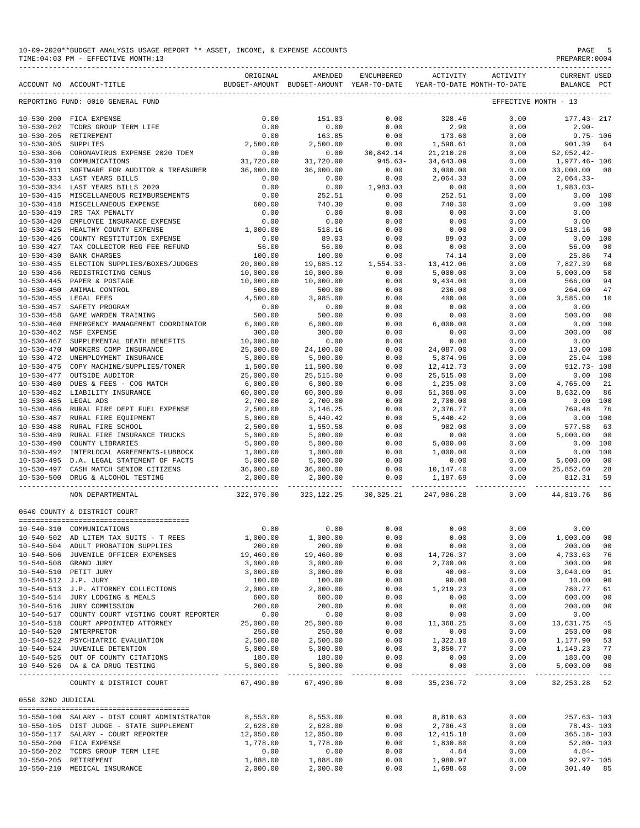| 10-09-2020**BUDGET ANALYSIS USAGE REPORT ** ASSET, INCOME, & EXPENSE ACCOUNTS | PAGE           |
|-------------------------------------------------------------------------------|----------------|
| TIME: 04:03 PM - EFFECTIVE MONTH: 13                                          | PREPARER: 0004 |

|                                      | ACCOUNT NO ACCOUNT-TITLE                       | ORIGINAL   | AMENDED<br>BUDGET-AMOUNT BUDGET-AMOUNT YEAR-TO-DATE | ENCUMBERED           | ACTIVITY              | ACTIVITY<br>YEAR-TO-DATE MONTH-TO-DATE | <b>CURRENT USED</b><br>BALANCE PCT              |                |
|--------------------------------------|------------------------------------------------|------------|-----------------------------------------------------|----------------------|-----------------------|----------------------------------------|-------------------------------------------------|----------------|
|                                      | REPORTING FUND: 0010 GENERAL FUND              |            |                                                     |                      |                       |                                        | EFFECTIVE MONTH - 13                            |                |
| $10 - 530 - 200$                     | FICA EXPENSE                                   | 0.00       | 151.03                                              | 0.00                 | 328.46                | 0.00                                   | 177.43-217                                      |                |
| $10 - 530 - 202$                     | TCDRS GROUP TERM LIFE                          | 0.00       | 0.00                                                | 0.00                 | 2.90                  | 0.00                                   | $2.90 -$                                        |                |
| $10 - 530 - 205$                     | RETIREMENT                                     | 0.00       | 163.85                                              | 0.00                 | 173.60                | 0.00                                   | $9.75 - 106$                                    |                |
| $10 - 530 - 305$                     | SUPPLIES                                       | 2,500.00   | 2,500.00                                            | 0.00                 | 1,598.61              | 0.00                                   | 901.39                                          | 64             |
| $10 - 530 - 306$                     | CORONAVIRUS EXPENSE 2020 TDEM                  | 0.00       | 0.00                                                | 30,842.14            | 21, 210.28            | 0.00                                   | $52,052.42-$                                    |                |
| $10 - 530 - 310$                     | COMMUNICATIONS                                 | 31,720.00  | 31,720.00                                           | $945.63 -$           | 34,643.09             | 0.00                                   | 1,977.46- 106                                   |                |
|                                      | SOFTWARE FOR AUDITOR & TREASURER               |            | 36,000.00                                           | 0.00                 | 3,000.00              |                                        | 33,000.00                                       | 08             |
| $10 - 530 - 311$<br>$10 - 530 - 333$ |                                                | 36,000.00  |                                                     |                      |                       | 0.00                                   |                                                 |                |
|                                      | LAST YEARS BILLS                               | 0.00       | 0.00                                                | 0.00                 | 2,064.33              | 0.00                                   | $2,064.33-$                                     |                |
|                                      | 10-530-334 LAST YEARS BILLS 2020               | 0.00       | 0.00                                                | 1,983.03             | 0.00                  | 0.00                                   | $1,983.03-$                                     |                |
| $10 - 530 - 415$                     | MISCELLANEOUS REIMBURSEMENTS                   | 0.00       | 252.51                                              | 0.00                 | 252.51                | 0.00                                   | 0.00 100                                        |                |
| $10 - 530 - 418$                     | MISCELLANEOUS EXPENSE                          | 600.00     | 740.30                                              | 0.00                 | 740.30                | 0.00                                   | 0.00                                            | 100            |
| $10 - 530 - 419$                     | IRS TAX PENALTY                                | 0.00       | 0.00                                                | 0.00                 | 0.00                  | 0.00                                   | 0.00                                            |                |
| $10 - 530 - 420$                     | EMPLOYEE INSURANCE EXPENSE                     | 0.00       | 0.00                                                | 0.00                 | 0.00                  | 0.00                                   | 0.00                                            |                |
| $10 - 530 - 425$                     | HEALTHY COUNTY EXPENSE                         | 1,000.00   | 518.16                                              | 0.00                 | 0.00                  | 0.00                                   | 518.16                                          | 0 <sub>0</sub> |
| $10 - 530 - 426$                     | COUNTY RESTITUTION EXPENSE                     | 0.00       | 89.03                                               | 0.00                 | 89.03                 | 0.00                                   | 0.00                                            | 100            |
| $10 - 530 - 427$                     | TAX COLLECTOR REG FEE REFUND                   | 56.00      | 56.00                                               | 0.00                 | 0.00                  | 0.00                                   | 56.00                                           | 00             |
| $10 - 530 - 430$                     | <b>BANK CHARGES</b>                            | 100.00     | 100.00                                              | 0.00                 | 74.14                 | 0.00                                   | 25.86                                           | 74             |
| $10 - 530 - 435$                     | ELECTION SUPPLIES/BOXES/JUDGES                 | 20,000.00  | 19,685.12                                           | $1,554.33-$          | 13, 412.06            | 0.00                                   | 7,827.39                                        | 60             |
| $10 - 530 - 436$                     | REDISTRICTING CENUS                            | 10,000.00  | 10,000.00                                           | 0.00                 | 5,000.00              | 0.00                                   | 5,000.00                                        | 50             |
| $10 - 530 - 445$                     | PAPER & POSTAGE                                | 10,000.00  | 10,000.00                                           | 0.00                 | 9,434.00              | 0.00                                   | 566.00                                          | 94             |
|                                      |                                                |            |                                                     |                      |                       |                                        |                                                 |                |
| $10 - 530 - 450$                     | ANIMAL CONTROL                                 | 500.00     | 500.00                                              | 0.00                 | 236.00                | 0.00                                   | 264.00                                          | 47             |
| $10 - 530 - 455$                     | LEGAL FEES                                     | 4,500.00   | 3,985.00                                            | 0.00                 | 400.00                | 0.00                                   | 3,585.00                                        | 10             |
| $10 - 530 - 457$                     | SAFETY PROGRAM                                 | 0.00       | 0.00                                                | 0.00                 | 0.00                  | 0.00                                   | 0.00                                            |                |
| $10 - 530 - 458$                     | GAME WARDEN TRAINING                           | 500.00     | 500.00                                              | 0.00                 | 0.00                  | 0.00                                   | 500.00                                          | 0 <sub>0</sub> |
| $10 - 530 - 460$                     | EMERGENCY MANAGEMENT COORDINATOR               | 6,000.00   | 6,000.00                                            | 0.00                 | 6,000.00              | 0.00                                   | 0.00                                            | 100            |
| $10 - 530 - 462$                     | NSF EXPENSE                                    | 300.00     | 300.00                                              | 0.00                 | 0.00                  | 0.00                                   | 300.00                                          | 00             |
| $10 - 530 - 467$                     | SUPPLEMENTAL DEATH BENEFITS                    | 10,000.00  | 0.00                                                | 0.00                 | 0.00                  | 0.00                                   | 0.00                                            |                |
| $10 - 530 - 470$                     | WORKERS COMP INSURANCE                         | 25,000.00  | 24,100.00                                           | 0.00                 | 24,087.00             | 0.00                                   | 13.00                                           | 100            |
| $10 - 530 - 472$                     | UNEMPLOYMENT INSURANCE                         | 5,000.00   | 5,900.00                                            | 0.00                 | 5,874.96              | 0.00                                   | 25.04                                           | 100            |
| $10 - 530 - 475$                     | COPY MACHINE/SUPPLIES/TONER                    | 1,500.00   | 11,500.00                                           | 0.00                 | 12, 412.73            | 0.00                                   | $912.73 - 108$                                  |                |
| $10 - 530 - 477$                     | OUTSIDE AUDITOR                                | 25,000.00  | 25,515.00                                           | 0.00                 | 25,515.00             | 0.00                                   | 0.00                                            | 100            |
|                                      |                                                |            |                                                     |                      |                       |                                        |                                                 |                |
| $10 - 530 - 480$                     | DUES & FEES - COG MATCH                        | 6,000.00   | 6,000.00                                            | 0.00                 | 1,235.00              | 0.00                                   | 4,765.00                                        | 21             |
| $10 - 530 - 482$                     | LIABILITY INSURANCE                            | 60,000.00  | 60,000.00                                           | 0.00                 | 51,368.00             | 0.00                                   | 8,632.00                                        | 86             |
| $10 - 530 - 485$                     | LEGAL ADS                                      | 2,700.00   | 2,700.00                                            | 0.00                 | 2,700.00              | 0.00                                   | 0.00                                            | 100            |
| $10 - 530 - 486$                     | RURAL FIRE DEPT FUEL EXPENSE                   | 2,500.00   | 3,146.25                                            | 0.00                 | 2,376.77              | 0.00                                   | 769.48                                          | 76             |
| $10 - 530 - 487$                     | RURAL FIRE EQUIPMENT                           | 5,000.00   | 5,440.42                                            | 0.00                 | 5,440.42              | 0.00                                   | 0.00                                            | 100            |
| $10 - 530 - 488$                     | RURAL FIRE SCHOOL                              | 2,500.00   | 1,559.58                                            | 0.00                 | 982.00                | 0.00                                   | 577.58                                          | 63             |
| $10 - 530 - 489$                     | RURAL FIRE INSURANCE TRUCKS                    | 5,000.00   | 5,000.00                                            | 0.00                 | 0.00                  | 0.00                                   | 5,000.00                                        | 00             |
| $10 - 530 - 490$                     | COUNTY LIBRARIES                               | 5,000.00   | 5,000.00                                            | 0.00                 | 5,000.00              | 0.00                                   | 0.00                                            | 100            |
| $10 - 530 - 492$                     | INTERLOCAL AGREEMENTS-LUBBOCK                  | 1,000.00   | 1,000.00                                            | 0.00                 | 1,000.00              | 0.00                                   | 0.00                                            | 100            |
| $10 - 530 - 495$                     | D.A. LEGAL STATEMENT OF FACTS                  | 5,000.00   | 5,000.00                                            | 0.00                 | 0.00                  | 0.00                                   | 5,000.00                                        | 00             |
|                                      | 10-530-497 CASH MATCH SENIOR CITIZENS          | 36,000.00  | 36,000.00                                           | 0.00                 | 10,147.40             | 0.00                                   | 25,852.60                                       | 28             |
|                                      | 10-530-500 DRUG & ALCOHOL TESTING              | 2,000.00   | 2,000.00                                            | 0.00                 | 1,187.69              | 0.00                                   | 812.31                                          | 59             |
|                                      | NON DEPARTMENTAL                               | 322,976.00 | 323, 122. 25                                        | 30,325.21            | 247,986.28            | 0.00                                   | 44,810.76                                       | 86             |
|                                      |                                                |            |                                                     |                      |                       |                                        |                                                 |                |
|                                      | 0540 COUNTY & DISTRICT COURT                   |            |                                                     |                      |                       |                                        |                                                 |                |
|                                      | 10-540-310 COMMUNICATIONS                      | 0.00       | 0.00                                                | 0.00                 | 0.00                  | 0.00                                   | 0.00                                            |                |
|                                      | 10-540-502 AD LITEM TAX SUITS - T REES         | 1,000.00   | 1,000.00                                            | 0.00                 | 0.00                  | 0.00                                   | 1,000.00                                        | 00             |
|                                      | 10-540-504 ADULT PROBATION SUPPLIES            | 200.00     | 200.00                                              | 0.00                 | 0.00                  | 0.00                                   | 200.00                                          | 00             |
|                                      | 10-540-506 JUVENILE OFFICER EXPENSES           | 19,460.00  | 19,460.00                                           | 0.00                 | 14,726.37             | 0.00                                   | 4,733.63                                        | 76             |
|                                      | 10-540-508 GRAND JURY                          | 3,000.00   | 3,000.00                                            | 0.00                 | 2,700.00              | 0.00                                   | 300.00                                          | 90             |
|                                      | 10-540-510 PETIT JURY                          | 3,000.00   | 3,000.00                                            | 0.00                 | $40.00 -$             | 0.00                                   | 3,040.00                                        | 01             |
| 10-540-512 J.P. JURY                 |                                                | 100.00     | 100.00                                              | 0.00                 | 90.00                 | 0.00                                   | 10.00                                           | 90             |
|                                      | 10-540-513 J.P. ATTORNEY COLLECTIONS           | 2,000.00   | 2,000.00                                            | 0.00                 | 1,219.23              | 0.00                                   | 780.77                                          | 61             |
|                                      | 10-540-514 JURY LODGING & MEALS                |            |                                                     |                      |                       |                                        |                                                 |                |
|                                      |                                                | 600.00     | 600.00                                              | 0.00                 | 0.00                  | 0.00                                   | 600.00                                          | 00             |
|                                      | 10-540-516 JURY COMMISSION                     | 200.00     | 200.00                                              | 0.00                 | 0.00                  | 0.00                                   | 200.00                                          | 00             |
|                                      | 10-540-517 COUNTY COURT VISTING COURT REPORTER | 0.00       | 0.00                                                | 0.00                 | 0.00                  | 0.00                                   | 0.00                                            |                |
|                                      | 10-540-518 COURT APPOINTED ATTORNEY            | 25,000.00  | 25,000.00                                           | 0.00                 | 11,368.25             | 0.00                                   | 13,631.75                                       | 45             |
|                                      | 10-540-520 INTERPRETOR                         | 250.00     | 250.00                                              | 0.00                 | 0.00                  | 0.00                                   | 250.00                                          | 00             |
|                                      | 10-540-522 PSYCHIATRIC EVALUATION              | 2,500.00   | 2,500.00                                            | 0.00                 | 1,322.10              | 0.00                                   | 1,177.90                                        | 53             |
|                                      | 10-540-524 JUVENILE DETENTION                  | 5,000.00   | 5,000.00                                            | 0.00                 | 3,850.77              | 0.00                                   | 1,149.23                                        | 77             |
|                                      | 10-540-525 OUT OF COUNTY CITATIONS             | 180.00     | 180.00                                              | 0.00                 | 0.00                  | 0.00                                   | 180.00                                          | 00             |
|                                      | 10-540-526 DA & CA DRUG TESTING                | 5,000.00   | 5,000.00                                            | 0.00<br>------------ | 0.00<br>------------- | 0.00                                   | 5,000.00 00<br>------------- -------------- --- |                |
|                                      | COUNTY & DISTRICT COURT                        | 67,490.00  | 67,490.00                                           | 0.00                 | 35,236.72             | 0.00                                   | 32, 253. 28 52                                  |                |
| 0550 32ND JUDICIAL                   |                                                |            |                                                     |                      |                       |                                        |                                                 |                |
|                                      |                                                |            |                                                     |                      |                       |                                        |                                                 |                |
|                                      | 10-550-100 SALARY - DIST COURT ADMINISTRATOR   | 8,553.00   | 8,553.00                                            | 0.00                 | 8,810.63              | 0.00                                   | $257.63 - 103$                                  |                |
|                                      | 10-550-105 DIST JUDGE - STATE SUPPLEMENT       | 2,628.00   | 2,628.00                                            | 0.00                 | 2,706.43              | 0.00                                   | 78.43- 103                                      |                |
|                                      | 10-550-117 SALARY - COURT REPORTER             | 12,050.00  | 12,050.00                                           | 0.00                 | 12, 415.18            | 0.00                                   | $365.18 - 103$                                  |                |
|                                      | 10-550-200 FICA EXPENSE                        | 1,778.00   | 1,778.00                                            | 0.00                 | 1,830.80              | 0.00                                   | $52.80 - 103$                                   |                |
|                                      | 10-550-202 TCDRS GROUP TERM LIFE               | 0.00       | 0.00                                                | 0.00                 | 4.84                  | 0.00                                   | $4.84-$                                         |                |
|                                      | 10-550-205 RETIREMENT                          | 1,888.00   | 1,888.00                                            | 0.00                 | 1,980.97              | 0.00                                   | $92.97 - 105$                                   |                |

10-550-210 MEDICAL INSURANCE 2,000.00 2,000.00 0.00 1,698.60 0.00 301.40 85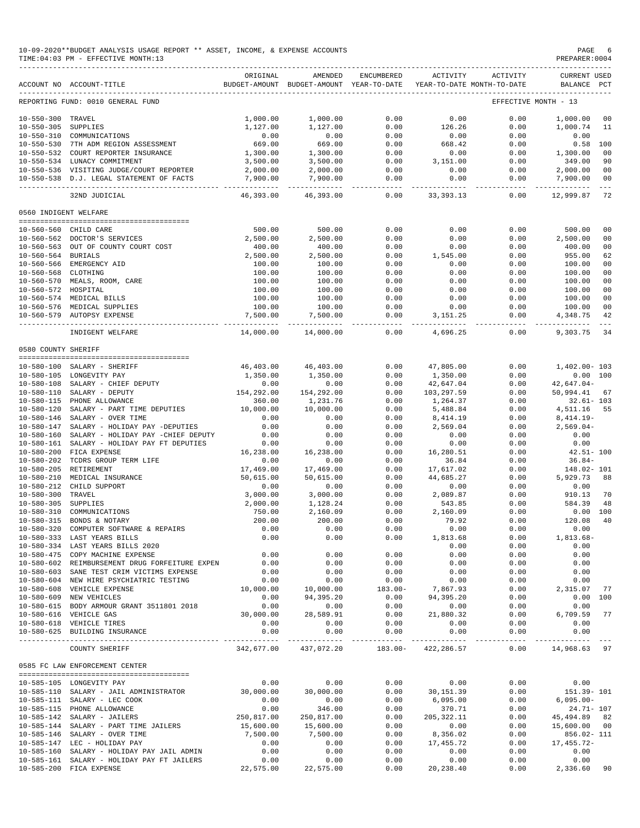| 10-09-2020**BUDGET ANALYSIS USAGE REPORT ** ASSET, INCOME, & EXPENSE ACCOUNTS | PAGE           |
|-------------------------------------------------------------------------------|----------------|
| TIME:04:03 PM - EFFECTIVE MONTH:13                                            | PREPARER: 0004 |

|                       | ACCOUNT NO ACCOUNT-TITLE                       | ORIGINAL   | AMENDED<br>BUDGET-AMOUNT BUDGET-AMOUNT YEAR-TO-DATE | ENCUMBERED        | ACTIVITY           | ACTIVITY<br>YEAR-TO-DATE MONTH-TO-DATE | <b>CURRENT USED</b><br>BALANCE | PCT            |
|-----------------------|------------------------------------------------|------------|-----------------------------------------------------|-------------------|--------------------|----------------------------------------|--------------------------------|----------------|
|                       | REPORTING FUND: 0010 GENERAL FUND              |            |                                                     |                   |                    |                                        | EFFECTIVE MONTH - 13           |                |
| $10 - 550 - 300$      | TRAVEL                                         | 1,000.00   | 1,000.00                                            | 0.00              | 0.00               | 0.00                                   | 1,000.00                       | 00             |
| $10 - 550 - 305$      | SUPPLIES                                       | 1,127.00   | 1,127.00                                            | 0.00              | 126.26             | 0.00                                   | 1,000.74                       | 11             |
| $10 - 550 - 310$      | COMMUNICATIONS                                 | 0.00       | 0.00                                                | 0.00              | 0.00               | 0.00                                   | 0.00                           |                |
|                       | 10-550-530 7TH ADM REGION ASSESSMENT           | 669.00     | 669.00                                              | 0.00              | 668.42             | 0.00                                   | 0.58                           | 100            |
|                       | 10-550-532 COURT REPORTER INSURANCE            | 1,300.00   | 1,300.00                                            | 0.00              | 0.00               | 0.00                                   | 1,300.00                       | 0 <sup>0</sup> |
|                       | 10-550-534 LUNACY COMMITMENT                   | 3,500.00   | 3,500.00                                            | 0.00              | 3,151.00           | 0.00                                   | 349.00                         | 90             |
|                       | 10-550-536 VISITING JUDGE/COURT REPORTER       | 2,000.00   | 2,000.00                                            | 0.00              | 0.00               | 0.00                                   | 2,000.00                       | 0 <sub>0</sub> |
|                       | 10-550-538 D.J. LEGAL STATEMENT OF FACTS       | 7,900.00   | 7,900.00                                            | 0.00              | 0.00               | 0.00                                   | 7,900.00                       | 00<br>$- - -$  |
|                       | 32ND JUDICIAL                                  | 46,393.00  | 46,393.00                                           | $- - - -$<br>0.00 | 33, 393. 13        | 0.00                                   | 12,999.87                      | 72             |
| 0560 INDIGENT WELFARE |                                                |            |                                                     |                   |                    |                                        |                                |                |
| 10-560-560 CHILD CARE |                                                | 500.00     | 500.00                                              | 0.00              | 0.00               | 0.00                                   | 500.00                         | 00             |
|                       | 10-560-562 DOCTOR'S SERVICES                   | 2,500.00   | 2,500.00                                            | 0.00              | 0.00               | 0.00                                   | 2,500.00                       | 00             |
|                       | 10-560-563 OUT OF COUNTY COURT COST            | 400.00     | 400.00                                              | 0.00              | 0.00               | 0.00                                   | 400.00                         | 00             |
| 10-560-564 BURIALS    |                                                | 2,500.00   | 2,500.00                                            | 0.00              | 1,545.00           | 0.00                                   | 955.00                         | 62             |
|                       | 10-560-566 EMERGENCY AID                       | 100.00     | 100.00                                              | 0.00              | 0.00               | 0.00                                   | 100.00                         | 00             |
| $10 - 560 - 568$      | CLOTHING                                       | 100.00     | 100.00                                              | 0.00              | 0.00               | 0.00                                   | 100.00                         | 0 <sub>0</sub> |
|                       | 10-560-570 MEALS, ROOM, CARE                   | 100.00     | 100.00                                              | 0.00              | 0.00               | 0.00                                   | 100.00                         | 0 <sub>0</sub> |
| 10-560-572 HOSPITAL   |                                                | 100.00     | 100.00                                              | 0.00              | 0.00               | 0.00                                   | 100.00                         | 00             |
|                       | 10-560-574 MEDICAL BILLS                       | 100.00     |                                                     |                   | 0.00               | 0.00                                   |                                | 0 <sub>0</sub> |
|                       |                                                |            | 100.00                                              | 0.00              |                    |                                        | 100.00                         |                |
|                       | 10-560-576 MEDICAL SUPPLIES                    | 100.00     | 100.00                                              | 0.00              | 0.00<br>3, 151. 25 | 0.00<br>0.00                           | 100.00                         | 00<br>42       |
|                       | 10-560-579 AUTOPSY EXPENSE                     | 7,500.00   | 7,500.00                                            | 0.00              |                    |                                        | 4,348.75                       |                |
|                       | INDIGENT WELFARE                               | 14,000.00  | 14,000.00                                           | 0.00              | 4,696.25           | 0.00                                   | 9,303.75                       | 34             |
| 0580 COUNTY SHERIFF   |                                                |            |                                                     |                   |                    |                                        |                                |                |
| $10 - 580 - 100$      | SALARY - SHERIFF                               | 46,403.00  | 46,403.00                                           | 0.00              | 47,805.00          | 0.00                                   | $1.402.00 - 103$               |                |
|                       |                                                |            |                                                     |                   |                    |                                        |                                |                |
|                       | 10-580-105 LONGEVITY PAY                       | 1,350.00   | 1,350.00                                            | 0.00              | 1,350.00           | 0.00                                   | 0.00 100                       |                |
| $10 - 580 - 108$      | SALARY - CHIEF DEPUTY                          | 0.00       | 0.00                                                | 0.00              | 42,647.04          | 0.00                                   | $42,647.04-$                   |                |
| $10 - 580 - 110$      | SALARY - DEPUTY                                | 154,292.00 | 154,292.00                                          | 0.00              | 103,297.59         | 0.00                                   | 50,994.41                      | 67             |
| $10 - 580 - 115$      | PHONE ALLOWANCE                                | 360.00     | 1,231.76                                            | 0.00              | 1,264.37           | 0.00                                   | $32.61 - 103$                  |                |
| $10 - 580 - 120$      | SALARY - PART TIME DEPUTIES                    | 10,000.00  | 10,000.00                                           | 0.00              | 5,488.84           | 0.00                                   | 4,511.16                       | 55             |
| $10 - 580 - 146$      | SALARY - OVER TIME                             | 0.00       | 0.00                                                | 0.00              | 8,414.19           | 0.00                                   | $8,414.19-$                    |                |
| $10 - 580 - 147$      | SALARY - HOLIDAY PAY -DEPUTIES                 | 0.00       | 0.00                                                | 0.00              | 2,569.04           | 0.00                                   | $2,569.04-$                    |                |
| $10 - 580 - 160$      | SALARY - HOLIDAY PAY -CHIEF DEPUTY             | 0.00       | 0.00                                                | 0.00              | 0.00               | 0.00                                   | 0.00                           |                |
| $10 - 580 - 161$      | SALARY - HOLIDAY PAY FT DEPUTIES               | 0.00       | 0.00                                                | 0.00              | 0.00               | 0.00                                   | 0.00                           |                |
| $10 - 580 - 200$      | FICA EXPENSE                                   | 16,238.00  | 16,238.00                                           | 0.00              | 16,280.51          | 0.00                                   | $42.51 - 100$                  |                |
| $10 - 580 - 202$      | TCDRS GROUP TERM LIFE                          | 0.00       | 0.00                                                | 0.00              | 36.84              | 0.00                                   | $36.84-$                       |                |
| $10 - 580 - 205$      | RETIREMENT                                     | 17,469.00  | 17,469.00                                           | 0.00              | 17,617.02          | 0.00                                   | 148.02- 101                    |                |
| $10 - 580 - 210$      | MEDICAL INSURANCE                              | 50,615.00  | 50,615.00                                           | 0.00              | 44,685.27          | 0.00                                   | 5,929.73                       | 88             |
| $10 - 580 - 212$      | CHILD SUPPORT                                  | 0.00       | 0.00                                                | 0.00              | 0.00               | 0.00                                   | 0.00                           |                |
| $10 - 580 - 300$      | TRAVEL                                         | 3,000.00   | 3,000.00                                            | 0.00              | 2,089.87           | 0.00                                   | 910.13                         | 70             |
| $10 - 580 - 305$      | SUPPLIES                                       | 2,000.00   | 1,128.24                                            | 0.00              | 543.85             | 0.00                                   | 584.39                         | 48             |
| $10 - 580 - 310$      | COMMUNICATIONS                                 | 750.00     | 2,160.09                                            | 0.00              | 2,160.09           | 0.00                                   | 0.00                           | 100            |
| $10 - 580 - 315$      | BONDS & NOTARY                                 | 200.00     | 200.00                                              | 0.00              | 79.92              | 0.00                                   | 120.08                         | 40             |
| $10 - 580 - 320$      | COMPUTER SOFTWARE & REPAIRS                    | 0.00       | 0.00                                                | 0.00              | 0.00               | 0.00                                   | 0.00                           |                |
|                       | 10-580-333 LAST YEARS BILLS                    | 0.00       | 0.00                                                | 0.00              | 1,813.68           | 0.00                                   | 1,813.68-                      |                |
|                       | 10-580-334 LAST YEARS BILLS 2020               |            |                                                     |                   | 0.00               | 0.00                                   | 0.00                           |                |
|                       | 10-580-475 COPY MACHINE EXPENSE                | 0.00       | 0.00                                                | 0.00              | 0.00               | 0.00                                   | 0.00                           |                |
|                       | 10-580-602 REIMBURSEMENT DRUG FORFEITURE EXPEN | 0.00       | 0.00                                                | 0.00              | 0.00               | 0.00                                   | 0.00                           |                |
|                       | 10-580-603 SANE TEST CRIM VICTIMS EXPENSE      | 0.00       | 0.00                                                | 0.00              | 0.00               | 0.00                                   | 0.00                           |                |
|                       | 10-580-604 NEW HIRE PSYCHIATRIC TESTING        | 0.00       | 0.00                                                | 0.00              | 0.00               | 0.00                                   | 0.00                           |                |
|                       | 10-580-608 VEHICLE EXPENSE                     | 10,000.00  | 10,000.00                                           | $183.00 -$        | 7,867.93           | 0.00                                   | 2,315.07                       | 77             |
|                       | 10-580-609 NEW VEHICLES                        | 0.00       | 94,395.20                                           | 0.00              | 94,395.20          | 0.00                                   | 0.00 100                       |                |
|                       | 10-580-615 BODY ARMOUR GRANT 3511801 2018      | 0.00       | 0.00                                                | 0.00              | 0.00               | 0.00                                   | 0.00                           |                |
|                       | 10-580-616 VEHICLE GAS                         | 30,000.00  | 28,589.91                                           | 0.00              | 21,880.32          | 0.00                                   | 6,709.59 77                    |                |
|                       | 10-580-618 VEHICLE TIRES                       | 0.00       | 0.00                                                | 0.00              | 0.00               | 0.00                                   | 0.00                           |                |
|                       | 10-580-625 BUILDING INSURANCE                  | 0.00       | 0.00                                                | 0.00              | 0.00               | 0.00                                   | 0.00                           |                |
|                       |                                                |            |                                                     | _______________   | -------------      | --------------                         | . <u>.</u>                     |                |
|                       | COUNTY SHERIFF                                 |            | 342,677.00 437,072.20 183.00- 422,286.57            |                   |                    | 0.00                                   | 14,968.63 97                   |                |
|                       | 0585 FC LAW ENFORCEMENT CENTER                 |            |                                                     |                   |                    |                                        |                                |                |
|                       | 10-585-105 LONGEVITY PAY                       | 0.00       | 0.00                                                | 0.00              | 0.00               | 0.00                                   | 0.00                           |                |
|                       | 10-585-110 SALARY - JAIL ADMINISTRATOR         | 30,000.00  | 30,000.00                                           | 0.00              | 30,151.39          | 0.00                                   | 151.39-101                     |                |
|                       | 10-585-111 SALARY - LEC COOK                   | 0.00       | 0.00                                                | 0.00              | 6,095.00           | 0.00                                   | $6,095.00-$                    |                |
|                       | 10-585-115 PHONE ALLOWANCE                     | 0.00       | 346.00                                              | 0.00              | 370.71             | 0.00                                   | 24.71- 107                     |                |
|                       | 10-585-142 SALARY - JAILERS                    | 250,817.00 | 250,817.00                                          | 0.00              | 205, 322.11        | 0.00                                   | 45, 494.89 82                  |                |
|                       | 10-585-144 SALARY - PART TIME JAILERS          | 15,600.00  | 15,600.00                                           | 0.00              | 0.00               | 0.00                                   | 15,600.00 00                   |                |
|                       | 10-585-146 SALARY - OVER TIME                  | 7,500.00   | 7,500.00                                            | 0.00              | 8,356.02           | 0.00                                   | 856.02- 111                    |                |
|                       | 10-585-147 LEC - HOLIDAY PAY                   | 0.00       | 0.00                                                | 0.00              | 17,455.72          | 0.00                                   | 17,455.72-                     |                |
|                       | 10-585-160 SALARY - HOLIDAY PAY JAIL ADMIN     | 0.00       | 0.00                                                | 0.00              | 0.00               | 0.00                                   | 0.00                           |                |
|                       | 10-585-161 SALARY - HOLIDAY PAY FT JAILERS     | 0.00       | 0.00                                                | 0.00              | 0.00               | 0.00                                   | 0.00                           |                |
|                       |                                                |            |                                                     |                   |                    |                                        |                                |                |

10-585-200 FICA EXPENSE 22,575.00 22,575.00 0.00 20,238.40 0.00 2,336.60 90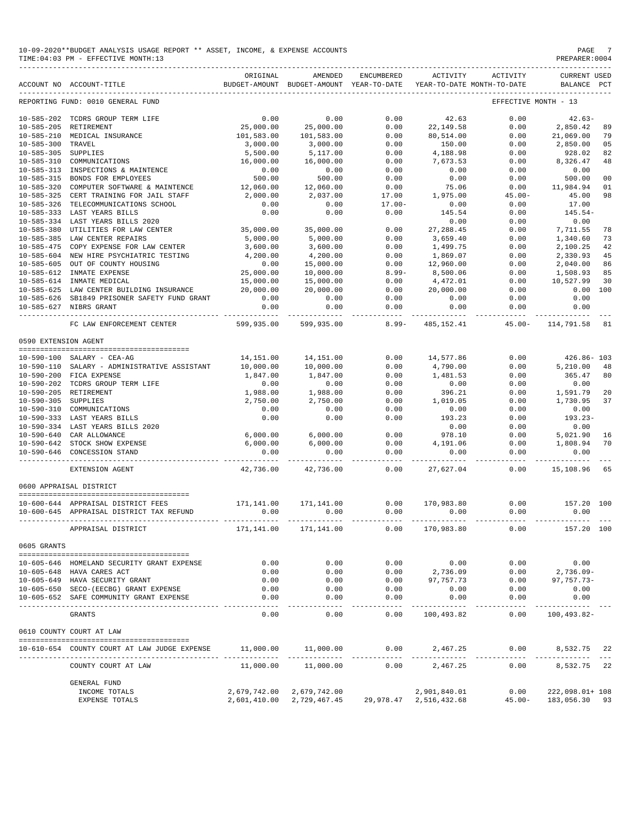|                      | 10-09-2020**BUDGET ANALYSIS USAGE REPORT ** ASSET, INCOME, & EXPENSE ACCOUNTS<br>TIME: 04:03 PM - EFFECTIVE MONTH: 13 |                       |                                                     |                        |                                                  |                      | PAGE<br>PREPARER: 0004         | - 7          |
|----------------------|-----------------------------------------------------------------------------------------------------------------------|-----------------------|-----------------------------------------------------|------------------------|--------------------------------------------------|----------------------|--------------------------------|--------------|
|                      | ACCOUNT NO ACCOUNT-TITLE                                                                                              | ORIGINAL              | AMENDED<br>BUDGET-AMOUNT BUDGET-AMOUNT YEAR-TO-DATE | ENCUMBERED             | ACTIVITY<br>YEAR-TO-DATE MONTH-TO-DATE           | ACTIVITY             | <b>CURRENT USED</b><br>BALANCE | $_{\rm PCT}$ |
|                      | REPORTING FUND: 0010 GENERAL FUND                                                                                     |                       |                                                     |                        |                                                  | EFFECTIVE MONTH - 13 |                                |              |
|                      | 10-585-202 TCDRS GROUP TERM LIFE                                                                                      | 0.00                  | 0.00                                                | 0.00                   | 42.63                                            | 0.00                 | $42.63-$                       |              |
|                      | 10-585-205 RETIREMENT                                                                                                 | 25,000.00             | 25,000.00                                           | 0.00                   | 22, 149.58                                       | 0.00                 | 2,850.42                       | 89           |
|                      | 10-585-210 MEDICAL INSURANCE                                                                                          | 101,583.00            | 101,583.00                                          | 0.00                   | 80,514.00                                        | 0.00                 | 21,069.00                      | 79           |
| $10 - 585 - 300$     | TRAVEL                                                                                                                | 3,000.00              | 3,000.00                                            | 0.00                   | 150.00                                           | 0.00                 | 2,850.00                       | 05           |
| 10-585-305 SUPPLIES  |                                                                                                                       | 5,500.00              | 5,117.00                                            | 0.00                   | 4,188.98                                         | 0.00                 | 928.02                         | 82           |
| 10-585-310           | COMMUNICATIONS                                                                                                        | 16,000.00             | 16,000.00                                           | 0.00                   | 7,673.53                                         | 0.00                 | 8,326.47                       | 48           |
|                      | 10-585-313 INSPECTIONS & MAINTENCE                                                                                    | $0.00$<br>500.00      | 0.00                                                | 0.00                   | 0.00                                             | 0.00                 | 0.00                           |              |
|                      | 10-585-315 BONDS FOR EMPLOYEES                                                                                        |                       | 500.00                                              | 0.00                   | 0.00                                             | 0.00                 | 500.00                         | 00           |
| $10 - 585 - 320$     | COMPUTER SOFTWARE & MAINTENCE                                                                                         | 12,060.00             | 12,060.00                                           | 0.00                   | 75.06                                            | 0.00                 | 11,984.94                      | 01           |
| $10 - 585 - 325$     | CERT TRAINING FOR JAIL STAFF                                                                                          | 2,000.00              | 2,037.00                                            | 17.00                  | 1,975.00                                         | $45.00 -$            | 45.00                          | 98           |
|                      | 10-585-326 TELECOMMUNICATIONS SCHOOL                                                                                  | 0.00                  | 0.00                                                | $17.00 -$              | 0.00                                             | 0.00                 | 17.00                          |              |
|                      | 10-585-333 LAST YEARS BILLS                                                                                           | 0.00                  | 0.00                                                | 0.00                   | 145.54                                           | 0.00                 | $145.54-$                      |              |
|                      | 10-585-334 LAST YEARS BILLS 2020<br>10-585-380 UTILITIES FOR LAW CENTER                                               | 35,000.00             | 35,000.00                                           | 0.00                   | 0.00<br>27, 288.45                               | 0.00<br>0.00         | 0.00<br>7,711.55               | 78           |
|                      | 10-585-385 LAW CENTER REPAIRS                                                                                         | 5,000.00              | 5,000.00                                            | 0.00                   | 3,659.40                                         | 0.00                 | 1,340.60                       | 73           |
|                      | 10-585-475 COPY EXPENSE FOR LAW CENTER                                                                                | 3,600.00              | 3,600.00                                            | 0.00                   | 1,499.75                                         | 0.00                 | 2,100.25                       | 42           |
|                      | 10-585-604 NEW HIRE PSYCHIATRIC TESTING                                                                               | 4,200.00              | 4,200.00                                            | 0.00                   | 1,869.07                                         | 0.00                 | 2,330.93                       | 45           |
|                      | 10-585-605 OUT OF COUNTY HOUSING                                                                                      | 0.00                  | 15,000.00                                           | 0.00                   | 12,960.00                                        | 0.00                 | 2,040.00                       | 86           |
|                      | 10-585-612 INMATE EXPENSE                                                                                             | 25,000.00             | 10,000.00                                           | $8.99 -$               | 8,500.06                                         | 0.00                 | 1,508.93                       | 85           |
|                      | 10-585-614 INMATE MEDICAL                                                                                             | 15,000.00             | 15,000.00                                           | 0.00                   | 4,472.01                                         | 0.00                 | 10,527.99                      | 30           |
|                      | 10-585-625 LAW CENTER BUILDING INSURANCE                                                                              | 20,000.00             | 20,000.00                                           | 0.00                   | 20,000.00                                        | 0.00                 | 0.00                           | 100          |
|                      | 10-585-626 SB1849 PRISONER SAFETY FUND GRANT                                                                          | 0.00                  | 0.00                                                | 0.00                   | 0.00                                             | 0.00                 | 0.00                           |              |
|                      | 10-585-627 NIBRS GRANT<br>-------------------------------                                                             | 0.00<br>------------- | 0.00                                                | 0.00<br>-------------- | 0.00<br>.                                        | 0.00                 | 0.00                           |              |
|                      | FC LAW ENFORCEMENT CENTER                                                                                             | 599,935.00            | 599,935.00                                          | $8.99 -$               | 485,152.41                                       |                      | 45.00- 114,791.58              | 81           |
| 0590 EXTENSION AGENT |                                                                                                                       |                       |                                                     |                        |                                                  |                      |                                |              |
|                      | 10-590-100 SALARY - CEA-AG                                                                                            | 14,151.00             | 14,151.00                                           | 0.00                   | 14,577.86                                        | 0.00                 | 426.86- 103                    |              |
|                      | 10-590-110 SALARY - ADMINISTRATIVE ASSISTANT                                                                          | 10,000.00             | 10,000.00                                           | 0.00                   | 4,790.00                                         | 0.00                 | 5,210.00                       | -48          |
|                      | 10-590-200 FICA EXPENSE                                                                                               | 1,847.00              | 1,847.00                                            | 0.00                   | 1,481.53                                         | 0.00                 | 365.47                         | 80           |
|                      | 10-590-202 TCDRS GROUP TERM LIFE                                                                                      | 0.00                  | 0.00                                                | 0.00                   | 0.00                                             | 0.00                 | 0.00                           |              |
|                      | 10-590-205 RETIREMENT                                                                                                 | 1,988.00              | 1,988.00                                            | 0.00                   | 396.21                                           | 0.00                 | 1,591.79                       | 20           |
| 10-590-305 SUPPLIES  |                                                                                                                       | 2,750.00              | 2,750.00                                            | 0.00                   | 1,019.05                                         | 0.00                 | 1,730.95                       | 37           |
|                      | 10-590-310 COMMUNICATIONS                                                                                             | 0.00                  | 0.00                                                | 0.00                   | 0.00                                             | 0.00                 | 0.00                           |              |
|                      | 10-590-333 LAST YEARS BILLS                                                                                           | 0.00                  | 0.00                                                | 0.00                   | 193.23                                           | 0.00                 | 193.23-                        |              |
|                      | 10-590-334 LAST YEARS BILLS 2020                                                                                      |                       |                                                     |                        | 0.00                                             | 0.00                 | 0.00                           |              |
|                      | 10-590-640 CAR ALLOWANCE                                                                                              | 6,000.00              | 6,000.00                                            | 0.00                   | 978.10                                           | 0.00                 | 5,021.90                       | 16           |
|                      | 10-590-642 STOCK SHOW EXPENSE                                                                                         | 6,000.00              | 6,000.00                                            | 0.00                   | 4,191.06                                         | 0.00                 | 1,808.94                       | 70           |
|                      | 10-590-646 CONCESSION STAND<br>----------------------- -------------                                                  | 0.00                  | 0.00<br>-----------                                 | 0.00<br>_____________  | 0.00                                             | 0.00<br>---------- - | 0.00<br>------------           |              |
|                      | EXTENSION AGENT                                                                                                       | 42,736.00             | 42,736.00                                           | 0.00                   | 27,627.04                                        | 0.00                 | 15,108.96 65                   |              |
|                      | 0600 APPRAISAL DISTRICT                                                                                               |                       |                                                     |                        |                                                  |                      |                                |              |
|                      | 10-600-644 APPRAISAL DISTRICT FEES                                                                                    | 171, 141.00           | 171,141.00                                          | 0.00                   | 170,983.80                                       |                      | $0.00$ 157.20 100              |              |
|                      | 10-600-645 APPRAISAL DISTRICT TAX REFUND                                                                              |                       | $0.00$ 0.00                                         |                        | $0.00$ 0.00                                      | 0.00                 | 0.00                           |              |
|                      | APPRAISAL DISTRICT                                                                                                    |                       | 171, 141.00 171, 141.00                             | 0.00                   | 170,983.80                                       | 0.00                 | 157.20 100                     |              |
| 0605 GRANTS          |                                                                                                                       |                       |                                                     |                        |                                                  |                      |                                |              |
|                      |                                                                                                                       |                       |                                                     |                        |                                                  |                      |                                |              |
|                      | 10-605-646 HOMELAND SECURITY GRANT EXPENSE                                                                            | 0.00                  | 0.00                                                | 0.00                   | 0.00                                             | 0.00                 | 0.00                           |              |
|                      | 10-605-648 HAVA CARES ACT                                                                                             | 0.00                  | 0.00                                                | 0.00                   | 2,736.09                                         | 0.00                 | 2,736.09-                      |              |
|                      | 10-605-649 HAVA SECURITY GRANT                                                                                        | 0.00                  | 0.00                                                | 0.00                   | 97,757.73                                        | 0.00                 | 97,757.73-                     |              |
|                      | 10-605-650 SECO-(EECBG) GRANT EXPENSE<br>10-605-652 SAFE COMMUNITY GRANT EXPENSE                                      | 0.00<br>0.00          | 0.00<br>0.00                                        | 0.00<br>0.00           | 0.00<br>0.00                                     | 0.00<br>0.00         | 0.00<br>0.00                   |              |
|                      |                                                                                                                       | -------               | $- - - - - - -$                                     | --------               | .                                                | .                    | ----------                     |              |
|                      | GRANTS                                                                                                                | 0.00                  | 0.00                                                | 0.00                   | 100,493.82                                       | 0.00                 | 100,493.82-                    |              |
|                      | 0610 COUNTY COURT AT LAW                                                                                              |                       |                                                     |                        |                                                  |                      |                                |              |
|                      | 10-610-654 COUNTY COURT AT LAW JUDGE EXPENSE                                                                          | 11,000.00             | 11,000.00                                           | 0.00                   | 2,467.25                                         | 0.00                 | 8,532.75 22                    |              |
|                      | COUNTY COURT AT LAW                                                                                                   | 11,000.00             | 11,000.00                                           | 0.00                   | 2,467.25                                         | 0.00                 | 8,532.75 22                    |              |
|                      | <b>GENERAL FUND</b>                                                                                                   |                       |                                                     |                        |                                                  |                      |                                |              |
|                      | INCOME TOTALS                                                                                                         |                       | 2,679,742.00 2,679,742.00                           |                        | 2,901,840.01                                     |                      | $0.00$ 222,098.01+108          |              |
|                      | EXPENSE TOTALS                                                                                                        |                       |                                                     |                        | 2,601,410.00 2,729,467.45 29,978.47 2,516,432.68 |                      | 45.00- 183,056.30 93           |              |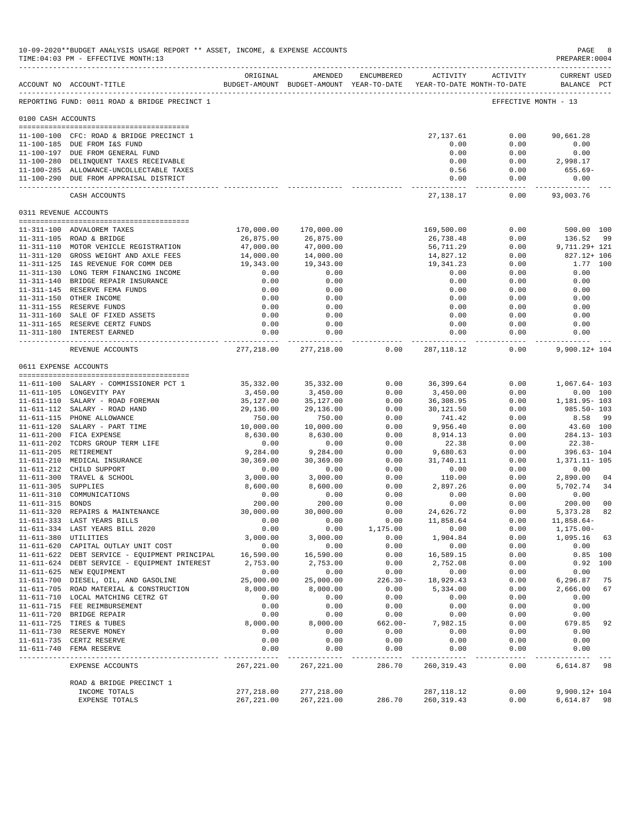|                     | 10-09-2020**BUDGET ANALYSIS USAGE REPORT ** ASSET, INCOME, & EXPENSE ACCOUNTS<br>TIME: 04:03 PM - EFFECTIVE MONTH: 13 |                    |                                                                                |                  |                   |                     | PAGE<br>PREPARER: 0004             | 8              |
|---------------------|-----------------------------------------------------------------------------------------------------------------------|--------------------|--------------------------------------------------------------------------------|------------------|-------------------|---------------------|------------------------------------|----------------|
|                     | ACCOUNT NO ACCOUNT-TITLE                                                                                              | ORIGINAL           | AMENDED<br>BUDGET-AMOUNT BUDGET-AMOUNT YEAR-TO-DATE YEAR-TO-DATE MONTH-TO-DATE | ENCUMBERED       |                   | ACTIVITY ACTIVITY   | <b>CURRENT USED</b><br>BALANCE PCT |                |
|                     | REPORTING FUND: 0011 ROAD & BRIDGE PRECINCT 1                                                                         |                    |                                                                                |                  |                   |                     | EFFECTIVE MONTH - 13               |                |
| 0100 CASH ACCOUNTS  |                                                                                                                       |                    |                                                                                |                  |                   |                     |                                    |                |
|                     | 11-100-100 CFC: ROAD & BRIDGE PRECINCT 1<br>11-100-185 DUE FROM I&S FUND                                              |                    |                                                                                |                  | 27,137.61<br>0.00 | 0.00<br>0.00        | 90,661.28<br>0.00                  |                |
|                     | 11-100-197 DUE FROM GENERAL FUND                                                                                      |                    |                                                                                |                  | 0.00              | 0.00                | 0.00                               |                |
|                     | 11-100-280 DELINQUENT TAXES RECEIVABLE<br>11-100-285 ALLOWANCE-UNCOLLECTABLE TAXES                                    |                    |                                                                                |                  | 0.00<br>0.56      | 0.00<br>0.00        | 2,998.17<br>655.69-                |                |
|                     | 11-100-290 DUE FROM APPRAISAL DISTRICT                                                                                |                    |                                                                                |                  | 0.00              | 0.00<br>--------    | 0.00                               |                |
|                     | CASH ACCOUNTS                                                                                                         |                    |                                                                                |                  | 27,138.17         | 0.00                | 93,003.76                          |                |
|                     | 0311 REVENUE ACCOUNTS                                                                                                 |                    |                                                                                |                  |                   |                     |                                    |                |
|                     | 11-311-100 ADVALOREM TAXES                                                                                            | 170,000.00         | 170,000.00                                                                     |                  | 169,500.00        | 0.00                | 500.00 100                         |                |
|                     | 11-311-105 ROAD & BRIDGE                                                                                              | 26,875.00          | 26,875.00                                                                      |                  | 26,738.48         | 0.00                | 136.52                             | 99             |
|                     | 11-311-110 MOTOR VEHICLE REGISTRATION                                                                                 | 47,000.00          | 47,000.00                                                                      |                  | 56,711.29         | 0.00                | 9,711.29+ 121                      |                |
|                     | 11-311-120 GROSS WEIGHT AND AXLE FEES                                                                                 | 14,000.00          | 14,000.00                                                                      |                  | 14,827.12         | 0.00                | 827.12+ 106                        |                |
|                     | 11-311-125 I&S REVENUE FOR COMM DEB                                                                                   | 19,343.00          | 19,343.00                                                                      |                  | 19,341.23         | 0.00                |                                    | 1.77 100       |
|                     | 11-311-130 LONG TERM FINANCING INCOME                                                                                 | 0.00               | 0.00                                                                           |                  | 0.00              | 0.00                | 0.00                               |                |
|                     | 11-311-140 BRIDGE REPAIR INSURANCE<br>11-311-145 RESERVE FEMA FUNDS                                                   | 0.00<br>0.00       | 0.00<br>0.00                                                                   |                  | 0.00<br>0.00      | 0.00<br>0.00        | 0.00<br>0.00                       |                |
|                     | 11-311-150 OTHER INCOME                                                                                               | 0.00               | 0.00                                                                           |                  | 0.00              | 0.00                | 0.00                               |                |
|                     | 11-311-155 RESERVE FUNDS                                                                                              | 0.00               | 0.00                                                                           |                  | 0.00              | 0.00                | 0.00                               |                |
|                     | 11-311-160 SALE OF FIXED ASSETS                                                                                       | 0.00               | 0.00                                                                           |                  | 0.00              | 0.00                | 0.00                               |                |
|                     | 11-311-165 RESERVE CERTZ FUNDS                                                                                        | 0.00               | 0.00                                                                           |                  | 0.00              | 0.00                | 0.00                               |                |
|                     | 11-311-180 INTEREST EARNED                                                                                            | 0.00<br>---------  | 0.00                                                                           |                  | 0.00              | 0.00                | 0.00                               |                |
|                     | REVENUE ACCOUNTS                                                                                                      | 277,218.00         | 277,218.00                                                                     | 0.00             | 287,118.12        | 0.00                | 9,900.12+ 104                      |                |
|                     | 0611 EXPENSE ACCOUNTS                                                                                                 |                    |                                                                                |                  |                   |                     |                                    |                |
|                     | 11-611-100 SALARY - COMMISSIONER PCT 1                                                                                | 35,332.00          | 35,332.00                                                                      | 0.00             | 36,399.64         | 0.00                | 1,067.64-103                       |                |
|                     | 11-611-105 LONGEVITY PAY                                                                                              | 3,450.00           | 3,450.00                                                                       | 0.00             | 3,450.00          | 0.00                |                                    | 0.00 100       |
|                     | 11-611-110 SALARY - ROAD FOREMAN                                                                                      | 35,127.00          | 35,127.00                                                                      | 0.00             | 36,308.95         | 0.00                | 1,181.95- 103                      |                |
|                     | 11-611-112 SALARY - ROAD HAND                                                                                         | 29,136.00          | 29,136.00                                                                      | 0.00             | 30,121.50         | 0.00                | $985.50 - 103$                     |                |
|                     | 11-611-115 PHONE ALLOWANCE                                                                                            | 750.00             | 750.00                                                                         | 0.00             | 741.42            | 0.00                | 8.58 99                            |                |
|                     | 11-611-120 SALARY - PART TIME                                                                                         | 10,000.00          | 10,000.00                                                                      | 0.00             | 9,956.40          | 0.00                | 43.60 100                          |                |
|                     | 11-611-200 FICA EXPENSE                                                                                               | 8,630.00           | 8,630.00                                                                       | 0.00             | 8,914.13          | 0.00                | $284.13 - 103$                     |                |
|                     | 11-611-202 TCDRS GROUP TERM LIFE<br>11-611-205 RETIREMENT                                                             | 0.00<br>9,284.00   | 0.00<br>9,284.00                                                               | 0.00<br>0.00     | 22.38<br>9,680.63 | 0.00<br>0.00        | $22.38-$<br>$396.63 - 104$         |                |
|                     | 11-611-210 MEDICAL INSURANCE                                                                                          | 30,369.00          | 30,369.00                                                                      | 0.00             | 31,740.11         | 0.00                | 1,371.11- 105                      |                |
|                     | 11-611-212 CHILD SUPPORT                                                                                              | 0.00               | 0.00                                                                           | 0.00             | 0.00              | 0.00                | 0.00                               |                |
|                     | 11-611-300 TRAVEL & SCHOOL                                                                                            | 3,000.00           | 3,000.00                                                                       | 0.00             | 110.00            | 0.00                | 2,890.00 04                        |                |
| 11-611-305 SUPPLIES |                                                                                                                       | 8,600.00           | 8,600.00                                                                       | 0.00             | 2,897.26          | 0.00                | 5,702.74                           | 34             |
|                     | 11-611-310 COMMUNICATIONS                                                                                             | 0.00               | 0.00                                                                           | 0.00             | 0.00              | 0.00                | 0.00                               |                |
| 11-611-315 BONDS    |                                                                                                                       | 200.00             | 200.00                                                                         | 0.00             | 0.00              | 0.00                | 200.00                             | 0 <sup>0</sup> |
|                     | 11-611-320 REPAIRS & MAINTENANCE                                                                                      | 30,000.00          | 30,000.00                                                                      | 0.00             | 24,626.72         | 0.00                | 5,373.28                           | 82             |
|                     | 11-611-333 LAST YEARS BILLS<br>11-611-334 LAST YEARS BILL 2020                                                        | 0.00<br>0.00       | 0.00<br>0.00                                                                   | 0.00<br>1,175.00 | 11,858.64<br>0.00 | 0.00<br>0.00        | $11,858.64-$<br>1,175.00-          |                |
|                     | 11-611-380 UTILITIES                                                                                                  | 3,000.00           | 3,000.00                                                                       | 0.00             | 1,904.84          | 0.00                | 1,095.16                           | 63             |
|                     | 11-611-620 CAPITAL OUTLAY UNIT COST                                                                                   | 0.00               | 0.00                                                                           | 0.00             | 0.00              | 0.00                | 0.00                               |                |
|                     | 11-611-622 DEBT SERVICE - EQUIPMENT PRINCIPAL                                                                         | 16,590.00          | 16,590.00                                                                      | 0.00             | 16,589.15         | 0.00                |                                    | $0.85$ 100     |
|                     | 11-611-624 DEBT SERVICE - EQUIPMENT INTEREST                                                                          | 2,753.00           | 2,753.00                                                                       | 0.00             | 2,752.08          | 0.00                |                                    | 0.92 100       |
|                     | 11-611-625 NEW EQUIPMENT                                                                                              | 0.00               | 0.00                                                                           | 0.00             | 0.00              | 0.00                | 0.00                               |                |
|                     | 11-611-700 DIESEL, OIL, AND GASOLINE                                                                                  | 25,000.00          | 25,000.00                                                                      | $226.30 -$       | 18,929.43         | 0.00                | 6,296.87                           | 75             |
|                     | 11-611-705 ROAD MATERIAL & CONSTRUCTION                                                                               | 8,000.00           | 8,000.00                                                                       | 0.00             | 5,334.00          | 0.00                | 2,666.00                           | 67             |
|                     | 11-611-710 LOCAL MATCHING CETRZ GT<br>11-611-715 FEE REIMBURSEMENT                                                    | 0.00<br>0.00       | 0.00<br>0.00                                                                   | 0.00<br>0.00     | 0.00<br>0.00      | 0.00<br>0.00        | 0.00<br>0.00                       |                |
|                     | 11-611-720 BRIDGE REPAIR                                                                                              | 0.00               | 0.00                                                                           | 0.00             | 0.00              | 0.00                | 0.00                               |                |
|                     | 11-611-725 TIRES & TUBES                                                                                              | 8,000.00           | 8,000.00                                                                       | $662.00 -$       | 7,982.15          | 0.00                | 679.85                             | 92             |
|                     | 11-611-730 RESERVE MONEY                                                                                              | 0.00               | 0.00                                                                           | 0.00             | 0.00              | 0.00                | 0.00                               |                |
|                     | 11-611-735 CERTZ RESERVE                                                                                              | 0.00               | 0.00                                                                           | 0.00             | 0.00              | 0.00                | 0.00                               |                |
|                     | 11-611-740 FEMA RESERVE                                                                                               | 0.00<br>---------- | 0.00                                                                           | 0.00             | 0.00              | 0.00<br>$- - - - -$ | 0.00                               |                |
|                     | EXPENSE ACCOUNTS                                                                                                      | 267,221.00         | 267, 221.00                                                                    | 286.70           | 260, 319.43       | 0.00                | 6,614.87                           | 98             |
|                     | ROAD & BRIDGE PRECINCT 1                                                                                              |                    |                                                                                |                  |                   |                     |                                    |                |
|                     | INCOME TOTALS                                                                                                         | 277,218.00         | 277,218.00                                                                     |                  | 287, 118.12       | 0.00                | $9,900.12 + 104$                   |                |
|                     | EXPENSE TOTALS                                                                                                        | 267, 221.00        | 267, 221.00                                                                    | 286.70           | 260, 319.43       | 0.00                | 6,614.87 98                        |                |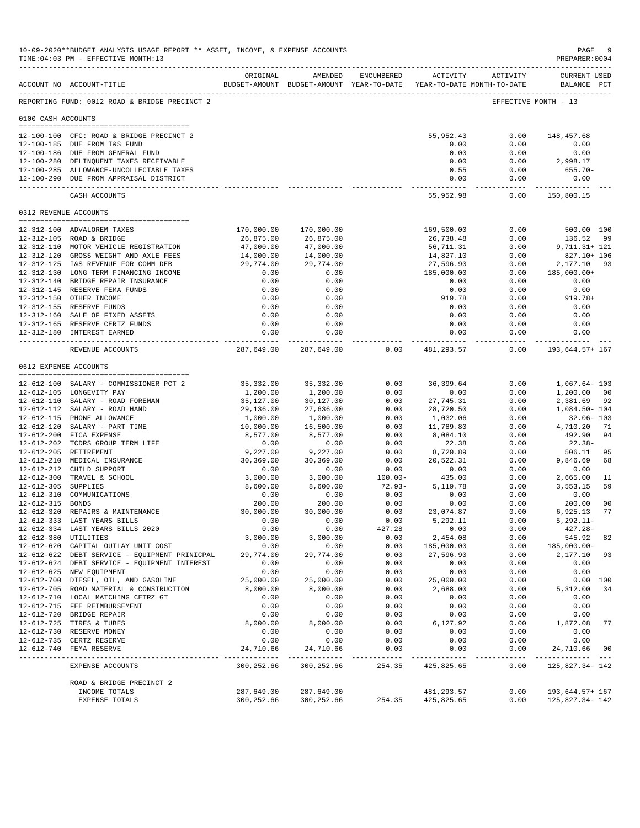|                                         | 10-09-2020**BUDGET ANALYSIS USAGE REPORT ** ASSET, INCOME, & EXPENSE ACCOUNTS<br>TIME: 04:03 PM - EFFECTIVE MONTH: 13<br>------------------------------------ |                   |                                                                                |                   |                         |                    | PAGE<br>PREPARER: 0004             | - 9            |
|-----------------------------------------|---------------------------------------------------------------------------------------------------------------------------------------------------------------|-------------------|--------------------------------------------------------------------------------|-------------------|-------------------------|--------------------|------------------------------------|----------------|
|                                         | ACCOUNT NO ACCOUNT-TITLE                                                                                                                                      | ORIGINAL          | AMENDED<br>BUDGET-AMOUNT BUDGET-AMOUNT YEAR-TO-DATE YEAR-TO-DATE MONTH-TO-DATE | ENCUMBERED        | ACTIVITY                | ACTIVITY           | <b>CURRENT USED</b><br>BALANCE PCT |                |
|                                         | REPORTING FUND: 0012 ROAD & BRIDGE PRECINCT 2                                                                                                                 |                   |                                                                                |                   |                         |                    | EFFECTIVE MONTH - 13               |                |
| 0100 CASH ACCOUNTS                      |                                                                                                                                                               |                   |                                                                                |                   |                         |                    |                                    |                |
|                                         | 12-100-100 CFC: ROAD & BRIDGE PRECINCT 2                                                                                                                      |                   |                                                                                |                   | 55,952.43               | 0.00               | 148,457.68                         |                |
|                                         | 12-100-185 DUE FROM I&S FUND                                                                                                                                  |                   |                                                                                |                   | 0.00                    | 0.00               | 0.00                               |                |
|                                         | 12-100-186 DUE FROM GENERAL FUND                                                                                                                              |                   |                                                                                |                   | 0.00                    | 0.00               | 0.00                               |                |
|                                         | 12-100-280 DELINQUENT TAXES RECEIVABLE                                                                                                                        |                   |                                                                                |                   | 0.00                    | 0.00               | 2,998.17                           |                |
|                                         | 12-100-285 ALLOWANCE-UNCOLLECTABLE TAXES                                                                                                                      |                   |                                                                                |                   | 0.55                    | 0.00               | $655.70 -$                         |                |
|                                         | 12-100-290 DUE FROM APPRAISAL DISTRICT                                                                                                                        |                   |                                                                                |                   | 0.00<br>-------------   | 0.00<br>-----      | 0.00<br>-----------                |                |
|                                         | CASH ACCOUNTS                                                                                                                                                 |                   |                                                                                |                   | 55,952.98               | 0.00               | 150,800.15                         |                |
| 0312 REVENUE ACCOUNTS                   |                                                                                                                                                               |                   |                                                                                |                   |                         |                    |                                    |                |
|                                         | 12-312-100 ADVALOREM TAXES                                                                                                                                    | 170,000.00        | 170,000.00                                                                     |                   | 169,500.00              | 0.00               | 500.00 100                         |                |
|                                         | 12-312-105 ROAD & BRIDGE                                                                                                                                      | 26,875.00         | 26,875.00                                                                      |                   | 26,738.48               | 0.00               | 136.52                             | - 99           |
|                                         | 12-312-110 MOTOR VEHICLE REGISTRATION                                                                                                                         | 47,000.00         | 47,000.00                                                                      |                   | 56,711.31               | 0.00               | 9,711.31+ 121                      |                |
|                                         | 12-312-120 GROSS WEIGHT AND AXLE FEES                                                                                                                         | 14,000.00         | 14,000.00                                                                      |                   | 14,827.10               | 0.00               | 827.10+ 106                        |                |
|                                         | 12-312-125 I&S REVENUE FOR COMM DEB                                                                                                                           | 29,774.00         | 29,774.00                                                                      |                   | 27,596.90               | 0.00               | 2,177.10                           | 93             |
|                                         | 12-312-130 LONG TERM FINANCING INCOME<br>12-312-140 BRIDGE REPAIR INSURANCE                                                                                   | 0.00              | 0.00                                                                           |                   | 185,000.00              | 0.00<br>0.00       | 185,000.00+<br>0.00                |                |
|                                         | 12-312-145 RESERVE FEMA FUNDS                                                                                                                                 | 0.00<br>0.00      | 0.00<br>0.00                                                                   |                   | 0.00<br>0.00            | 0.00               | 0.00                               |                |
|                                         | 12-312-150 OTHER INCOME                                                                                                                                       | 0.00              | 0.00                                                                           |                   | 919.78                  | 0.00               | $919.78+$                          |                |
|                                         | 12-312-155 RESERVE FUNDS                                                                                                                                      | 0.00              | 0.00                                                                           |                   | 0.00                    | 0.00               | 0.00                               |                |
|                                         | 12-312-160 SALE OF FIXED ASSETS                                                                                                                               | 0.00              | 0.00                                                                           |                   | 0.00                    | 0.00               | 0.00                               |                |
|                                         | 12-312-165 RESERVE CERTZ FUNDS                                                                                                                                | 0.00              | 0.00                                                                           |                   | 0.00                    | 0.00               | 0.00                               |                |
|                                         | 12-312-180 INTEREST EARNED                                                                                                                                    | 0.00              | 0.00<br>------------                                                           |                   | 0.00<br>------------    | 0.00<br>---------- | 0.00<br>------------               |                |
|                                         | REVENUE ACCOUNTS                                                                                                                                              | 287,649.00        | 287,649.00                                                                     | 0.00              | 481,293.57              | 0.00               | 193,644.57+ 167                    |                |
|                                         | 0612 EXPENSE ACCOUNTS                                                                                                                                         |                   |                                                                                |                   |                         |                    |                                    |                |
|                                         | 12-612-100 SALARY - COMMISSIONER PCT 2                                                                                                                        | 35,332.00         | 35, 332.00                                                                     | 0.00              | 36, 399.64              | 0.00               | $1,067.64 - 103$                   |                |
|                                         | 12-612-105 LONGEVITY PAY                                                                                                                                      | 1,200.00          | 1,200.00                                                                       | 0.00              | 0.00                    | 0.00               | 1,200.00                           | 00             |
|                                         | 12-612-110 SALARY - ROAD FOREMAN                                                                                                                              | 35,127.00         | 30,127.00                                                                      | 0.00              | 27,745.31               | 0.00               | 2,381.69                           | -92            |
|                                         | 12-612-112 SALARY - ROAD HAND                                                                                                                                 | 29,136.00         | 27,636.00                                                                      | 0.00              | 28,720.50               | 0.00               | 1,084.50-104                       |                |
|                                         | 12-612-115 PHONE ALLOWANCE                                                                                                                                    | 1,000.00          | 1,000.00                                                                       | 0.00              | 1,032.06                | 0.00               | $32.06 - 103$                      |                |
|                                         | 12-612-120 SALARY - PART TIME                                                                                                                                 | 10,000.00         | 16,500.00                                                                      | 0.00              | 11,789.80               | 0.00               | 4,710.20                           | 71             |
|                                         | 12-612-200 FICA EXPENSE<br>12-612-202 TCDRS GROUP TERM LIFE                                                                                                   | 8,577.00<br>0.00  | 8,577.00<br>0.00                                                               | 0.00<br>0.00      | 8,084.10<br>22.38       | 0.00<br>0.00       | 492.90<br>$22.38-$                 | 94             |
|                                         | 12-612-205 RETIREMENT                                                                                                                                         | 9,227.00          | 9,227.00                                                                       | 0.00              | 8,720.89                | 0.00               | 506.11                             | 95             |
|                                         | 12-612-210 MEDICAL INSURANCE                                                                                                                                  | 30,369.00         | 30,369.00                                                                      | 0.00              | 20,522.31               | 0.00               | 9,846.69                           | 68             |
|                                         | 12-612-212 CHILD SUPPORT                                                                                                                                      | 0.00              | 0.00                                                                           | 0.00              | 0.00                    | 0.00               | 0.00                               |                |
| $12 - 612 - 300$                        | TRAVEL & SCHOOL                                                                                                                                               | 3,000.00          | 3,000.00                                                                       | $100.00 -$        | 435.00                  | 0.00               | 2,665.00                           | 11             |
| 12-612-305 SUPPLIES<br>$12 - 612 - 310$ |                                                                                                                                                               | 8,600.00<br>0.00  | 8,600.00                                                                       | $72.93 -$<br>0.00 | 5,119.78                | 0.00<br>0.00       | 3,553.15                           | 59             |
| 12-612-315                              | COMMUNICATIONS<br><b>BONDS</b>                                                                                                                                | 200.00            | 0.00<br>200.00                                                                 | 0.00              | 0.00<br>0.00            | 0.00               | 0.00<br>200.00                     | 0 <sub>0</sub> |
| $12 - 612 - 320$                        | REPAIRS & MAINTENANCE                                                                                                                                         | 30,000.00         | 30,000.00                                                                      | 0.00              | 23,074.87               | 0.00               | 6,925.13                           | 77             |
|                                         | 12-612-333 LAST YEARS BILLS                                                                                                                                   | 0.00              | 0.00                                                                           | 0.00              | 5,292.11                | 0.00               | $5,292.11-$                        |                |
|                                         | 12-612-334 LAST YEARS BILLS 2020                                                                                                                              | 0.00              | 0.00                                                                           | 427.28            | 0.00                    | 0.00               | $427.28 -$                         |                |
|                                         | 12-612-380 UTILITIES                                                                                                                                          | 3,000.00          | 3,000.00                                                                       | 0.00              | 2,454.08                | 0.00               | 545.92                             | 82             |
|                                         | 12-612-620 CAPITAL OUTLAY UNIT COST                                                                                                                           | 0.00<br>29,774.00 | 0.00                                                                           | 0.00              | 185,000.00<br>27,596.90 | 0.00               | 185,000.00-<br>2,177.10            | 93             |
|                                         | 12-612-622 DEBT SERVICE - EQUIPMENT PRINICPAL<br>12-612-624 DEBT SERVICE - EQUIPMENT INTEREST                                                                 | 0.00              | 29,774.00<br>0.00                                                              | 0.00<br>0.00      | 0.00                    | 0.00<br>0.00       | 0.00                               |                |
|                                         | 12-612-625 NEW EQUIPMENT                                                                                                                                      | 0.00              | 0.00                                                                           | 0.00              | 0.00                    | 0.00               | 0.00                               |                |
|                                         | 12-612-700 DIESEL, OIL, AND GASOLINE                                                                                                                          | 25,000.00         | 25,000.00                                                                      | 0.00              | 25,000.00               | 0.00               |                                    | 0.00 100       |
|                                         | 12-612-705 ROAD MATERIAL & CONSTRUCTION                                                                                                                       | 8,000.00          | 8,000.00                                                                       | 0.00              | 2,688.00                | 0.00               | 5,312.00                           | 34             |
|                                         | 12-612-710 LOCAL MATCHING CETRZ GT                                                                                                                            | 0.00              | 0.00                                                                           | 0.00              | 0.00                    | 0.00               | 0.00                               |                |
|                                         | 12-612-715 FEE REIMBURSEMENT                                                                                                                                  | 0.00              | 0.00                                                                           | 0.00              | 0.00                    | 0.00               | 0.00                               |                |
|                                         | 12-612-720 BRIDGE REPAIR<br>12-612-725 TIRES & TUBES                                                                                                          | 0.00<br>8,000.00  | 0.00<br>8,000.00                                                               | 0.00<br>0.00      | 0.00<br>6,127.92        | 0.00<br>0.00       | 0.00<br>1,872.08                   | 77             |
|                                         | 12-612-730 RESERVE MONEY                                                                                                                                      | 0.00              | 0.00                                                                           | 0.00              | 0.00                    | 0.00               | 0.00                               |                |
|                                         | 12-612-735 CERTZ RESERVE                                                                                                                                      | 0.00              | 0.00                                                                           | 0.00              | 0.00                    | 0.00               | 0.00                               |                |
|                                         | 12-612-740 FEMA RESERVE                                                                                                                                       | 24,710.66         | 24,710.66                                                                      | 0.00              | 0.00                    | 0.00               | 24,710.66<br>___________           | 00             |
|                                         | EXPENSE ACCOUNTS                                                                                                                                              | 300,252.66        | 300,252.66                                                                     | 254.35            | 425,825.65              | 0.00               | 125,827.34-142                     |                |
|                                         | ROAD & BRIDGE PRECINCT 2                                                                                                                                      |                   |                                                                                |                   |                         |                    |                                    |                |
|                                         | INCOME TOTALS                                                                                                                                                 | 287,649.00        | 287,649.00                                                                     |                   | 481,293.57              | 0.00               | 193,644.57+ 167                    |                |
|                                         | EXPENSE TOTALS                                                                                                                                                | 300,252.66        | 300,252.66                                                                     | 254.35            | 425,825.65              | 0.00               | 125,827.34-142                     |                |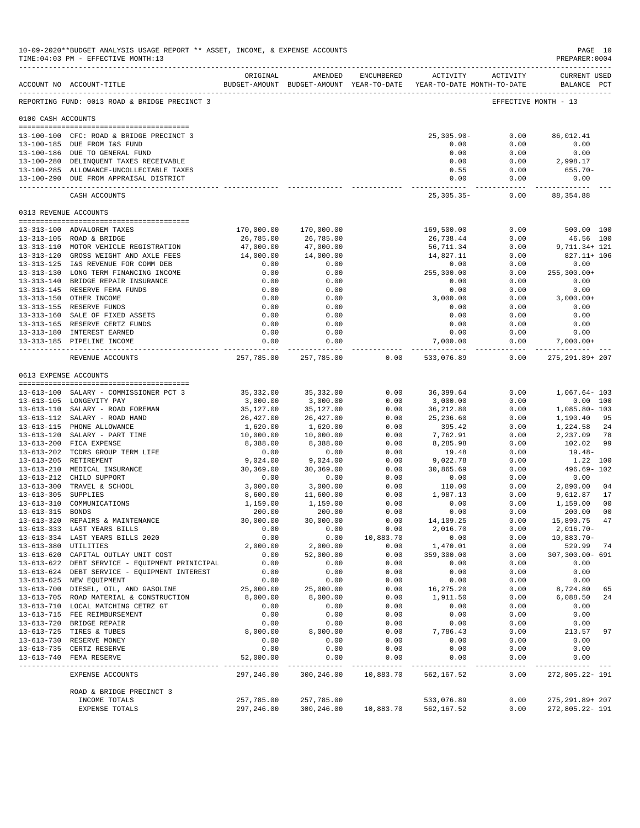|                       | 10-09-2020**BUDGET ANALYSIS USAGE REPORT ** ASSET, INCOME, & EXPENSE ACCOUNTS<br>TIME: 04:03 PM - EFFECTIVE MONTH: 13 |                        |                                                                                |                   |                              |                     | PREPARER: 0004                                       | PAGE 10        |
|-----------------------|-----------------------------------------------------------------------------------------------------------------------|------------------------|--------------------------------------------------------------------------------|-------------------|------------------------------|---------------------|------------------------------------------------------|----------------|
|                       | ACCOUNT NO ACCOUNT-TITLE                                                                                              | ORIGINAL               | AMENDED<br>BUDGET-AMOUNT BUDGET-AMOUNT YEAR-TO-DATE YEAR-TO-DATE MONTH-TO-DATE | ENCUMBERED        | ACTIVITY                     | ACTIVITY            | <b>CURRENT USED</b><br>BALANCE PCT                   |                |
|                       | REPORTING FUND: 0013 ROAD & BRIDGE PRECINCT 3                                                                         |                        |                                                                                |                   |                              |                     | EFFECTIVE MONTH - 13                                 |                |
| 0100 CASH ACCOUNTS    |                                                                                                                       |                        |                                                                                |                   |                              |                     |                                                      |                |
|                       | 13-100-100 CFC: ROAD & BRIDGE PRECINCT 3                                                                              |                        |                                                                                |                   | 25,305.90-                   | 0.00                | 86,012.41                                            |                |
|                       | 13-100-185 DUE FROM I&S FUND                                                                                          |                        |                                                                                |                   | 0.00                         | 0.00                | 0.00                                                 |                |
|                       | 13-100-186 DUE TO GENERAL FUND                                                                                        |                        |                                                                                |                   | 0.00                         | 0.00                | 0.00                                                 |                |
|                       | 13-100-280 DELINQUENT TAXES RECEIVABLE                                                                                |                        |                                                                                |                   | 0.00                         | 0.00                | 2,998.17                                             |                |
|                       | 13-100-285 ALLOWANCE-UNCOLLECTABLE TAXES<br>13-100-290 DUE FROM APPRAISAL DISTRICT                                    |                        |                                                                                |                   | 0.55<br>0.00                 | 0.00<br>0.00        | 655.70-<br>0.00                                      |                |
|                       | CASH ACCOUNTS                                                                                                         |                        |                                                                                |                   | $25, 305.35 -$               | ---------<br>0.00   | 88, 354.88                                           |                |
| 0313 REVENUE ACCOUNTS |                                                                                                                       |                        |                                                                                |                   |                              |                     |                                                      |                |
|                       | 13-313-100 ADVALOREM TAXES                                                                                            | 170,000.00             | 170,000.00                                                                     |                   | 169,500.00                   | 0.00                | 500.00 100                                           |                |
|                       | 13-313-105 ROAD & BRIDGE                                                                                              | 26,785.00              | 26,785.00                                                                      |                   | 26,738.44                    | 0.00                | 46.56 100                                            |                |
|                       | 13-313-110 MOTOR VEHICLE REGISTRATION                                                                                 | 47,000.00              | 47,000.00                                                                      |                   | 56,711.34                    | 0.00                | 9,711.34+ 121                                        |                |
|                       | 13-313-120 GROSS WEIGHT AND AXLE FEES                                                                                 | 14,000.00              | 14,000.00                                                                      |                   | 14,827.11                    | 0.00                | 827.11+ 106                                          |                |
|                       | 13-313-125 I&S REVENUE FOR COMM DEB                                                                                   | 0.00                   | 0.00                                                                           |                   | 0.00                         | 0.00                | 0.00                                                 |                |
|                       | 13-313-130 LONG TERM FINANCING INCOME                                                                                 | 0.00                   | 0.00                                                                           |                   | 255,300.00                   | 0.00                | $255, 300.00+$                                       |                |
|                       | 13-313-140 BRIDGE REPAIR INSURANCE<br>13-313-145 RESERVE FEMA FUNDS                                                   | 0.00<br>0.00           | 0.00<br>0.00                                                                   |                   | 0.00<br>0.00                 | 0.00<br>0.00        | 0.00<br>0.00                                         |                |
|                       | 13-313-150 OTHER INCOME                                                                                               | 0.00                   | 0.00                                                                           |                   | 3,000.00                     | 0.00                | $3,000.00+$                                          |                |
|                       | 13-313-155 RESERVE FUNDS                                                                                              | 0.00                   | 0.00                                                                           |                   | 0.00                         | 0.00                | 0.00                                                 |                |
|                       | 13-313-160 SALE OF FIXED ASSETS                                                                                       | 0.00                   | 0.00                                                                           |                   | 0.00                         | 0.00                | 0.00                                                 |                |
|                       | 13-313-165 RESERVE CERTZ FUNDS                                                                                        | 0.00                   | 0.00                                                                           |                   | 0.00                         | 0.00                | 0.00                                                 |                |
|                       | 13-313-180 INTEREST EARNED<br>13-313-185 PIPELINE INCOME                                                              | 0.00<br>0.00           | 0.00<br>0.00                                                                   |                   | 0.00<br>7,000.00             | 0.00<br>0.00        | 0.00<br>$7,000.00+$                                  |                |
|                       | REVENUE ACCOUNTS                                                                                                      | ---------------        | --------------<br>257,785.00 257,785.00                                        | 0.00              | --------------<br>533,076.89 | 0.00                | --------    --------------    --<br>275, 291.89+ 207 |                |
| 0613 EXPENSE ACCOUNTS |                                                                                                                       |                        |                                                                                |                   |                              |                     |                                                      |                |
|                       |                                                                                                                       |                        |                                                                                |                   |                              |                     |                                                      |                |
|                       | 13-613-100 SALARY - COMMISSIONER PCT 3                                                                                | 35,332.00              | 35, 332.00                                                                     | 0.00              | 36,399.64                    | 0.00                | 1,067.64- 103                                        |                |
|                       | 13-613-105 LONGEVITY PAY                                                                                              | 3,000.00               | 3,000.00                                                                       | 0.00              | 3,000.00                     | 0.00                |                                                      | 0.00 100       |
|                       | 13-613-110 SALARY - ROAD FOREMAN<br>13-613-112 SALARY - ROAD HAND                                                     | 35,127.00<br>26,427.00 | 35,127.00<br>26,427.00                                                         | 0.00<br>0.00      | 36,212.80<br>25,236.60       | 0.00<br>0.00        | 1,085.80- 103<br>1,190.40                            | 95             |
|                       | 13-613-115 PHONE ALLOWANCE                                                                                            | 1,620.00               | 1,620.00                                                                       | 0.00              | 395.42                       | 0.00                | 1,224.58                                             | 24             |
|                       | 13-613-120 SALARY - PART TIME                                                                                         | 10,000.00              | 10,000.00                                                                      | 0.00              | 7,762.91                     | 0.00                | 2,237.09                                             | 78             |
|                       | 13-613-200 FICA EXPENSE                                                                                               | 8,388.00               | 8,388.00                                                                       | 0.00              | 8,285.98                     | 0.00                | 102.02                                               | 99             |
|                       | 13-613-202 TCDRS GROUP TERM LIFE                                                                                      | 0.00                   | 0.00                                                                           | 0.00              | 19.48                        | 0.00                | 19.48-                                               |                |
|                       | 13-613-205 RETIREMENT                                                                                                 | 9,024.00               | 9,024.00                                                                       | 0.00              | 9,022.78                     | 0.00                | 1.22 100                                             |                |
|                       | 13-613-210 MEDICAL INSURANCE<br>13-613-212 CHILD SUPPORT                                                              | 30,369.00<br>0.00      | 30,369.00<br>0.00                                                              | 0.00<br>0.00      | 30,865.69<br>0.00            | 0.00<br>0.00        | 496.69-102<br>0.00                                   |                |
|                       | 13-613-300 TRAVEL & SCHOOL                                                                                            | 3,000.00               | 3,000.00                                                                       | 0.00              | 110.00                       | 0.00                | 2,890.00                                             | 0 <sub>4</sub> |
| 13-613-305 SUPPLIES   |                                                                                                                       | 8,600.00               | 11,600.00                                                                      | 0.00              | 1,987.13                     | 0.00                | 9,612.87                                             | 17             |
|                       | 13-613-310 COMMUNICATIONS                                                                                             | 1,159.00               | 1,159.00                                                                       | 0.00              | 0.00                         | 0.00                | 1,159.00                                             | 0 <sub>0</sub> |
| 13-613-315 BONDS      |                                                                                                                       | 200.00                 | 200.00                                                                         | 0.00              | 0.00                         | 0.00                | 200.00                                               | 0 <sub>0</sub> |
|                       | 13-613-320 REPAIRS & MAINTENANCE                                                                                      | 30,000.00              | 30,000.00                                                                      | 0.00              | 14,109.25                    | 0.00                | 15,890.75 47                                         |                |
|                       | 13-613-333 LAST YEARS BILLS<br>13-613-334 LAST YEARS BILLS 2020                                                       | 0.00<br>0.00           | 0.00<br>0.00                                                                   | 0.00<br>10,883.70 | 2,016.70<br>0.00             | 0.00<br>0.00        | 2,016.70-<br>10,883.70-                              |                |
| 13-613-380 UTILITIES  |                                                                                                                       | 2,000.00               | 2,000.00                                                                       | 0.00              | 1,470.01                     | 0.00                | 529.99                                               | 74             |
|                       | 13-613-620 CAPITAL OUTLAY UNIT COST                                                                                   | 0.00                   | 52,000.00                                                                      | 0.00              | 359,300.00                   | 0.00                | 307,300.00- 691                                      |                |
|                       | 13-613-622 DEBT SERVICE - EQUIPMENT PRINICIPAL                                                                        | 0.00                   | 0.00                                                                           | 0.00              | 0.00                         | 0.00                | 0.00                                                 |                |
|                       | 13-613-624 DEBT SERVICE - EQUIPMENT INTEREST                                                                          | 0.00                   | 0.00                                                                           | 0.00              | 0.00                         | 0.00                | 0.00                                                 |                |
|                       | 13-613-625 NEW EQUIPMENT                                                                                              | 0.00                   | 0.00                                                                           | 0.00              | 0.00                         | 0.00                | 0.00                                                 |                |
|                       | 13-613-700 DIESEL, OIL, AND GASOLINE                                                                                  | 25,000.00<br>8,000.00  | 25,000.00<br>8,000.00                                                          | 0.00<br>0.00      | 16,275.20<br>1,911.50        | 0.00<br>0.00        | 8,724.80                                             | 65<br>24       |
|                       | 13-613-705 ROAD MATERIAL & CONSTRUCTION<br>13-613-710 LOCAL MATCHING CETRZ GT                                         | 0.00                   | 0.00                                                                           | 0.00              | 0.00                         | 0.00                | 6,088.50<br>0.00                                     |                |
|                       | 13-613-715 FEE REIMBURSEMENT                                                                                          | 0.00                   | 0.00                                                                           | 0.00              | 0.00                         | 0.00                | 0.00                                                 |                |
|                       | 13-613-720 BRIDGE REPAIR                                                                                              | 0.00                   | 0.00                                                                           | 0.00              | 0.00                         | 0.00                | 0.00                                                 |                |
|                       | 13-613-725 TIRES & TUBES                                                                                              | 8,000.00               | 8,000.00                                                                       | 0.00              | 7,786.43                     | 0.00                | 213.57                                               | 97             |
|                       | 13-613-730 RESERVE MONEY                                                                                              | 0.00                   | 0.00                                                                           | 0.00              | 0.00                         | 0.00                | 0.00                                                 |                |
|                       | 13-613-735 CERTZ RESERVE<br>13-613-740 FEMA RESERVE                                                                   | 0.00<br>52,000.00      | 0.00<br>0.00                                                                   | 0.00<br>0.00      | 0.00<br>0.00                 | 0.00<br>0.00        | 0.00<br>0.00                                         |                |
| ___________           | EXPENSE ACCOUNTS                                                                                                      | 297,246.00             | ------------<br>300,246.00                                                     | .<br>10,883.70    | .<br>562,167.52              | $- - - - -$<br>0.00 | 272,805.22- 191                                      |                |
|                       | ROAD & BRIDGE PRECINCT 3                                                                                              |                        |                                                                                |                   |                              |                     |                                                      |                |
|                       | INCOME TOTALS                                                                                                         | 257,785.00             | 257,785.00                                                                     |                   | 533,076.89                   | 0.00                | 275, 291.89+ 207                                     |                |
|                       | EXPENSE TOTALS                                                                                                        | 297,246.00             | 300,246.00                                                                     | 10,883.70         | 562,167.52                   | 0.00                | 272,805.22- 191                                      |                |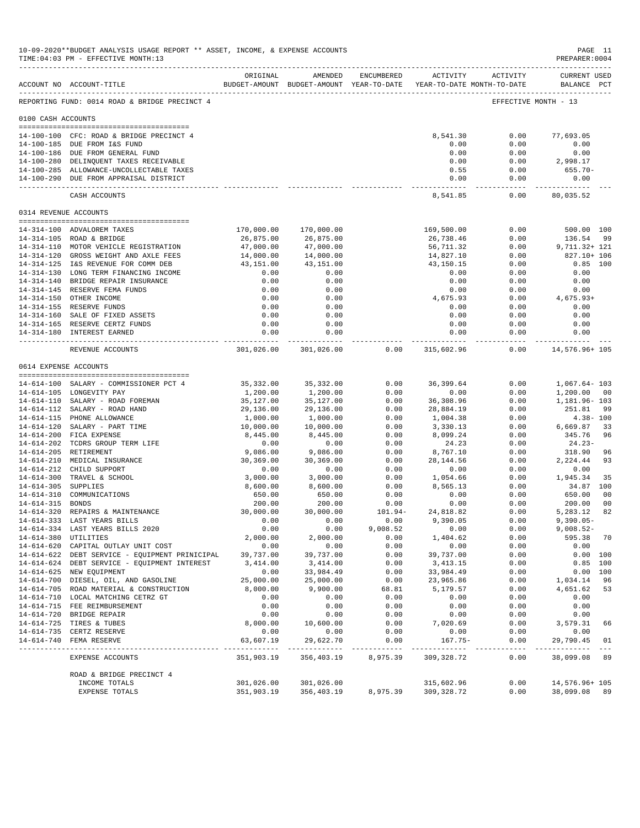|                       | 10-09-2020**BUDGET ANALYSIS USAGE REPORT ** ASSET, INCOME, & EXPENSE ACCOUNTS<br>TIME: 04:03 PM - EFFECTIVE MONTH: 13 |                                 |                                                                                |                     |                          |                     | PREPARER:0004                      | PAGE 11        |
|-----------------------|-----------------------------------------------------------------------------------------------------------------------|---------------------------------|--------------------------------------------------------------------------------|---------------------|--------------------------|---------------------|------------------------------------|----------------|
|                       | ACCOUNT NO ACCOUNT-TITLE<br>------------------------------------                                                      | ORIGINAL                        | AMENDED<br>BUDGET-AMOUNT BUDGET-AMOUNT YEAR-TO-DATE YEAR-TO-DATE MONTH-TO-DATE | ENCUMBERED          |                          | ACTIVITY ACTIVITY   | <b>CURRENT USED</b><br>BALANCE PCT |                |
|                       | REPORTING FUND: 0014 ROAD & BRIDGE PRECINCT 4                                                                         |                                 |                                                                                |                     |                          |                     | EFFECTIVE MONTH - 13               |                |
| 0100 CASH ACCOUNTS    |                                                                                                                       |                                 |                                                                                |                     |                          |                     |                                    |                |
|                       | 14-100-100 CFC: ROAD & BRIDGE PRECINCT 4                                                                              |                                 |                                                                                |                     | 8,541.30                 | 0.00                | 77,693.05                          |                |
|                       | 14-100-185 DUE FROM I&S FUND                                                                                          |                                 |                                                                                |                     | 0.00                     | 0.00                | 0.00                               |                |
|                       | 14-100-186 DUE FROM GENERAL FUND                                                                                      |                                 |                                                                                |                     | 0.00                     | 0.00                | 0.00                               |                |
|                       | 14-100-280 DELINQUENT TAXES RECEIVABLE                                                                                |                                 |                                                                                |                     | 0.00                     | 0.00                | 2,998.17                           |                |
|                       | 14-100-285 ALLOWANCE-UNCOLLECTABLE TAXES<br>14-100-290 DUE FROM APPRAISAL DISTRICT                                    |                                 |                                                                                |                     | 0.55<br>0.00             | 0.00<br>0.00        | $655.70 -$<br>0.00                 |                |
|                       | CASH ACCOUNTS                                                                                                         |                                 |                                                                                |                     | ------------<br>8,541.85 | -----------<br>0.00 | ------------<br>80,035.52          |                |
| 0314 REVENUE ACCOUNTS |                                                                                                                       |                                 |                                                                                |                     |                          |                     |                                    |                |
|                       | 14-314-100 ADVALOREM TAXES                                                                                            | 170,000.00                      | 170,000.00                                                                     |                     | 169,500.00               | 0.00                | 500.00 100                         |                |
|                       | 14-314-105 ROAD & BRIDGE                                                                                              | 26,875.00                       | 26,875.00                                                                      |                     | 26,738.46                | 0.00                | 136.54 99                          |                |
|                       | 14-314-110 MOTOR VEHICLE REGISTRATION                                                                                 | 47,000.00                       | 47,000.00                                                                      |                     | 56,711.32                | 0.00                | 9,711.32+ 121                      |                |
|                       | 14-314-120 GROSS WEIGHT AND AXLE FEES                                                                                 | 14,000.00                       | 14,000.00                                                                      |                     | 14,827.10                | 0.00                | 827.10+ 106                        |                |
|                       | 14-314-125 I&S REVENUE FOR COMM DEB                                                                                   | 43,151.00                       | 43,151.00                                                                      |                     | 43,150.15                | 0.00                |                                    | $0.85$ 100     |
|                       | 14-314-130 LONG TERM FINANCING INCOME                                                                                 | 0.00                            | 0.00                                                                           |                     | 0.00                     | 0.00                | 0.00                               |                |
|                       | 14-314-140 BRIDGE REPAIR INSURANCE                                                                                    | 0.00                            | 0.00                                                                           |                     | 0.00                     | 0.00                | 0.00                               |                |
|                       | 14-314-145 RESERVE FEMA FUNDS                                                                                         | 0.00                            | 0.00                                                                           |                     | 0.00                     | 0.00                | 0.00                               |                |
|                       | 14-314-150 OTHER INCOME<br>14-314-155 RESERVE FUNDS                                                                   | 0.00<br>0.00                    | 0.00<br>0.00                                                                   |                     | 4,675.93<br>0.00         | 0.00<br>0.00        | 4,675.93+<br>0.00                  |                |
|                       | 14-314-160 SALE OF FIXED ASSETS                                                                                       | 0.00                            | 0.00                                                                           |                     | 0.00                     | 0.00                | 0.00                               |                |
|                       | 14-314-165 RESERVE CERTZ FUNDS                                                                                        | 0.00                            | 0.00                                                                           |                     | 0.00                     | 0.00                | 0.00                               |                |
|                       | 14-314-180 INTEREST EARNED                                                                                            | 0.00<br>. <u>.</u>              | 0.00<br>-------------                                                          |                     | 0.00                     | 0.00<br>----------- | 0.00<br>-----------                |                |
|                       | REVENUE ACCOUNTS                                                                                                      |                                 | 301,026.00 301,026.00                                                          | 0.00                | 315,602.96               | 0.00                | 14,576.96+ 105                     |                |
| 0614 EXPENSE ACCOUNTS |                                                                                                                       |                                 |                                                                                |                     |                          |                     |                                    |                |
|                       |                                                                                                                       |                                 |                                                                                | 0.00                | 36,399.64                | 0.00                |                                    |                |
|                       | 14-614-100 SALARY - COMMISSIONER PCT 4<br>14-614-105 LONGEVITY PAY                                                    | 35,332.00<br>1,200.00           | 35,332.00<br>1,200.00                                                          | 0.00                | 0.00                     | 0.00                | 1,067.64- 103<br>1,200.00          | -00            |
|                       | 14-614-110 SALARY - ROAD FOREMAN                                                                                      | 35,127.00                       | 35,127.00                                                                      | 0.00                | 36,308.96                | 0.00                | 1,181.96- 103                      |                |
|                       | 14-614-112 SALARY - ROAD HAND                                                                                         | 29,136.00                       | 29,136.00                                                                      | 0.00                | 28,884.19                | 0.00                | 251.81                             | -99            |
|                       | 14-614-115 PHONE ALLOWANCE                                                                                            | 1,000.00                        | 1,000.00                                                                       | 0.00                | 1,004.38                 | 0.00                |                                    | $4.38 - 100$   |
|                       | 14-614-120 SALARY - PART TIME                                                                                         | 10,000.00                       | 10,000.00                                                                      | 0.00                | 3,330.13                 | 0.00                | 6,669.87                           | 33             |
|                       | 14-614-200 FICA EXPENSE                                                                                               | 8,445.00                        | 8,445.00                                                                       | 0.00                | 8,099.24                 | 0.00                | 345.76                             | 96             |
|                       | 14-614-202 TCDRS GROUP TERM LIFE                                                                                      | 0.00                            | 0.00                                                                           | 0.00                | 24.23                    | 0.00                | 24.23-                             |                |
|                       | 14-614-205 RETIREMENT<br>14-614-210 MEDICAL INSURANCE                                                                 | 9,086.00<br>30,369.00           | 9,086.00<br>30,369.00                                                          | 0.00<br>0.00        | 8,767.10<br>28,144.56    | 0.00<br>0.00        | 318.90<br>2,224.44                 | 96<br>93       |
|                       | 14-614-212 CHILD SUPPORT                                                                                              | 0.00                            | 0.00                                                                           | 0.00                | 0.00                     | 0.00                | 0.00                               |                |
|                       | 14-614-300 TRAVEL & SCHOOL                                                                                            | 3,000.00                        | 3,000.00                                                                       | 0.00                | 1,054.66                 | 0.00                | 1,945.34                           | 35             |
| 14-614-305 SUPPLIES   |                                                                                                                       | 8,600.00                        | 8,600.00                                                                       | 0.00                | 8,565.13                 | 0.00                | 34.87 100                          |                |
|                       | 14-614-310 COMMUNICATIONS                                                                                             | 650.00                          | 650.00                                                                         | 0.00                | 0.00                     | 0.00                | 650.00                             | 0 <sub>0</sub> |
| 14-614-315 BONDS      |                                                                                                                       | 200.00                          | 200.00                                                                         | 0.00                | 0.00                     | 0.00                | 200.00                             | 0 <sub>0</sub> |
|                       | 14-614-320 REPAIRS & MAINTENANCE                                                                                      | 30,000.00                       | 30,000.00                                                                      | 101.94-             | 24,818.82                | 0.00                | 5, 283, 12                         | 82             |
|                       | 14-614-333 LAST YEARS BILLS<br>14-614-334 LAST YEARS BILLS 2020                                                       | 0.00                            | 0.00                                                                           | 0.00                | 9,390.05                 | 0.00                | $9,390.05 -$                       |                |
| 14-614-380 UTILITIES  |                                                                                                                       | 0.00<br>2,000.00                | 0.00<br>2,000.00                                                               | 9,008.52<br>0.00    | 0.00<br>1,404.62         | 0.00<br>0.00        | $9,008.52-$<br>595.38              | 70             |
|                       | 14-614-620 CAPITAL OUTLAY UNIT COST                                                                                   | 0.00                            | 0.00                                                                           | 0.00                | 0.00                     | 0.00                | 0.00                               |                |
|                       | 14-614-622 DEBT SERVICE - EQUIPMENT PRINICIPAL                                                                        | 39,737.00                       | 39,737.00                                                                      | 0.00                | 39,737.00                | 0.00                |                                    | 0.00 100       |
|                       | 14-614-624 DEBT SERVICE - EQUIPMENT INTEREST                                                                          | 3,414.00                        | 3,414.00                                                                       | 0.00                | 3, 413.15                | 0.00                |                                    | $0.85$ 100     |
|                       | 14-614-625 NEW EQUIPMENT                                                                                              | 0.00                            | 33,984.49                                                                      | 0.00                | 33,984.49                | 0.00                |                                    | 0.00 100       |
|                       | 14-614-700 DIESEL, OIL, AND GASOLINE                                                                                  | 25,000.00                       | 25,000.00                                                                      | 0.00                | 23,965.86                | 0.00                | 1,034.14                           | 96             |
|                       | 14-614-705 ROAD MATERIAL & CONSTRUCTION                                                                               | 8,000.00                        | 9,900.00                                                                       | 68.81               | 5,179.57                 | 0.00                | 4,651.62                           | 53             |
|                       | 14-614-710 LOCAL MATCHING CETRZ GT                                                                                    | 0.00                            | 0.00                                                                           | 0.00                | 0.00                     | 0.00                | 0.00                               |                |
|                       | 14-614-715 FEE REIMBURSEMENT<br>14-614-720 BRIDGE REPAIR                                                              | 0.00<br>0.00                    | 0.00<br>0.00                                                                   | 0.00<br>0.00        | 0.00<br>0.00             | 0.00<br>0.00        | 0.00<br>0.00                       |                |
|                       | 14-614-725 TIRES & TUBES                                                                                              | 8,000.00                        | 10,600.00                                                                      | 0.00                | 7,020.69                 | 0.00                | 3,579.31                           | 66             |
|                       | 14-614-735 CERTZ RESERVE                                                                                              | 0.00                            | 0.00                                                                           | 0.00                | 0.00                     | 0.00                | 0.00                               |                |
|                       | 14-614-740 FEMA RESERVE<br>______________________________                                                             | 63,607.19<br><u>___________</u> | 29,622.70<br>__________                                                        | 0.00<br>$- - - - -$ | $167.75-$                | 0.00<br>$- - - - -$ | 29,790.45<br>. _ _ _ _ _ _ _ _ _   | 01<br>$- - -$  |
|                       | EXPENSE ACCOUNTS                                                                                                      | 351,903.19                      | 356,403.19                                                                     | 8,975.39            | 309,328.72               | 0.00                | 38,099.08 89                       |                |
|                       | ROAD & BRIDGE PRECINCT 4                                                                                              |                                 |                                                                                |                     |                          |                     |                                    |                |
|                       | INCOME TOTALS                                                                                                         | 301,026.00                      | 301,026.00                                                                     |                     | 315,602.96               | 0.00                | 14,576.96+ 105                     |                |
|                       | <b>EXPENSE TOTALS</b>                                                                                                 | 351,903.19                      | 356, 403.19                                                                    | 8,975.39            | 309, 328.72              | 0.00                | 38,099.08                          | 89             |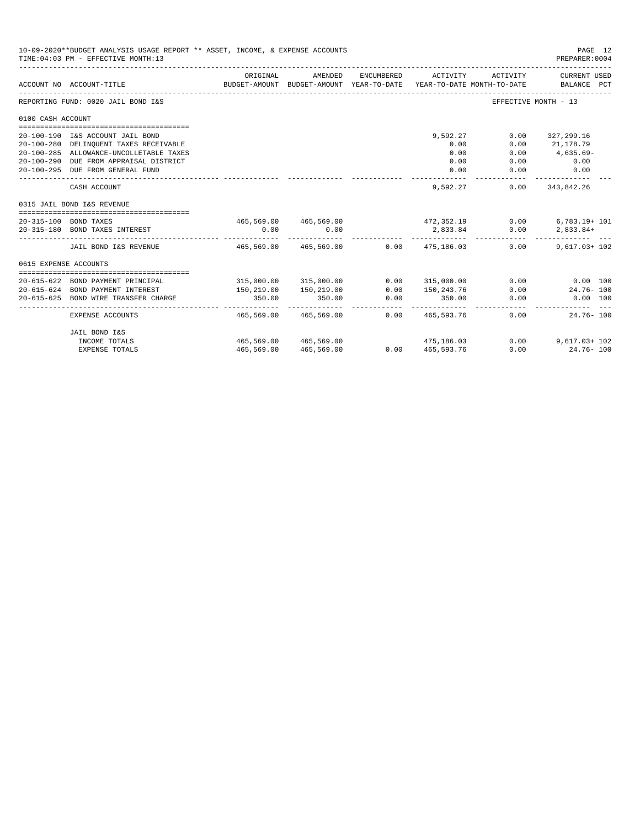|                       | 10-09-2020**BUDGET ANALYSIS USAGE REPORT ** ASSET, INCOME, & EXPENSE ACCOUNTS<br>TIME: 04:03 PM - EFFECTIVE MONTH: 13 |                           |                                                     |                      |                            |                                        | PAGE 12<br>PREPARER: 0004          |
|-----------------------|-----------------------------------------------------------------------------------------------------------------------|---------------------------|-----------------------------------------------------|----------------------|----------------------------|----------------------------------------|------------------------------------|
|                       | ACCOUNT NO ACCOUNT-TITLE                                                                                              | ORIGINAL                  | AMENDED<br>BUDGET-AMOUNT BUDGET-AMOUNT YEAR-TO-DATE | ENCUMBERED           | ACTIVITY                   | ACTIVITY<br>YEAR-TO-DATE MONTH-TO-DATE | CURRENT USED<br>BALANCE PCT        |
|                       | REPORTING FUND: 0020 JAIL BOND I&S                                                                                    |                           |                                                     |                      |                            |                                        | EFFECTIVE MONTH - 13               |
| 0100 CASH ACCOUNT     |                                                                                                                       |                           |                                                     |                      |                            |                                        |                                    |
|                       | 20-100-190 I&S ACCOUNT JAIL BOND                                                                                      |                           |                                                     |                      | 9,592.27                   | 0.00                                   | 327,299.16                         |
|                       | 20-100-280 DELINQUENT TAXES RECEIVABLE                                                                                |                           |                                                     |                      | 0.00                       | 0.00                                   | 21,178.79                          |
|                       | 20-100-285 ALLOWANCE-UNCOLLETABLE TAXES                                                                               |                           |                                                     |                      | 0.00                       | 0.00                                   | 4,635.69-                          |
|                       | 20-100-290 DUE FROM APPRAISAL DISTRICT                                                                                |                           |                                                     |                      | 0.00                       | 0.00                                   | 0.00                               |
|                       | 20-100-295 DUE FROM GENERAL FUND                                                                                      |                           |                                                     |                      | 0.00                       | 0.00                                   | 0.00                               |
|                       | CASH ACCOUNT                                                                                                          |                           |                                                     |                      | 9,592,27                   | 0.00                                   | -----------<br>343,842.26          |
|                       | 0315 JAIL BOND I&S REVENUE                                                                                            |                           |                                                     |                      |                            |                                        |                                    |
|                       | 20-315-100 BOND TAXES                                                                                                 |                           | $465,569.00$ $465,569.00$ $472,352.19$              |                      |                            | 0.00                                   | $6,783.19+101$                     |
|                       | 20-315-180 BOND TAXES INTEREST                                                                                        | 0.00                      | 0.00                                                |                      | 2,833.84<br>------------ - | 0.00                                   | 2,833.84+                          |
|                       | JAIL BOND I&S REVENUE                                                                                                 | $465.569.00$ $465.569.00$ |                                                     |                      | $0.00$ $475.186.03$        | 0.00                                   | $9.617.03 + 102$                   |
| 0615 EXPENSE ACCOUNTS |                                                                                                                       |                           |                                                     |                      |                            |                                        |                                    |
|                       |                                                                                                                       |                           |                                                     |                      |                            |                                        |                                    |
|                       | 20-615-622 BOND PAYMENT PRINCIPAL                                                                                     |                           | 315,000.00 315,000.00                               | 0.00                 | 315,000.00                 |                                        | $0.00$ $0.00$ $100$                |
|                       | 20-615-624 BOND PAYMENT INTEREST                                                                                      | 150,219.00                | 150,219.00                                          | 0.00                 | 150,243.76                 | 0.00                                   | $24.76 - 100$                      |
|                       | 20-615-625 BOND WIRE TRANSFER CHARGE                                                                                  | 350.00                    | 350.00                                              | 0.00<br>------------ | 350.00<br>-------------    | 0.00                                   | $0.00$ 100                         |
|                       | EXPENSE ACCOUNTS                                                                                                      | 465,569.00                | 465,569.00                                          |                      | $0.00 \qquad 465.593.76$   |                                        | $0.00$ and $0.00$<br>$24.76 - 100$ |
|                       | JAIL BOND I&S                                                                                                         |                           |                                                     |                      |                            |                                        |                                    |
|                       | INCOME TOTALS                                                                                                         |                           | 465,569.00 465,569.00                               |                      | 475, 186.03                |                                        | $0.00$ 9.617.03+102                |
|                       | <b>EXPENSE TOTALS</b>                                                                                                 |                           | 465,569.00 465,569.00                               |                      | 0.00 465,593.76            |                                        | $0.00$ 24.76 - 100                 |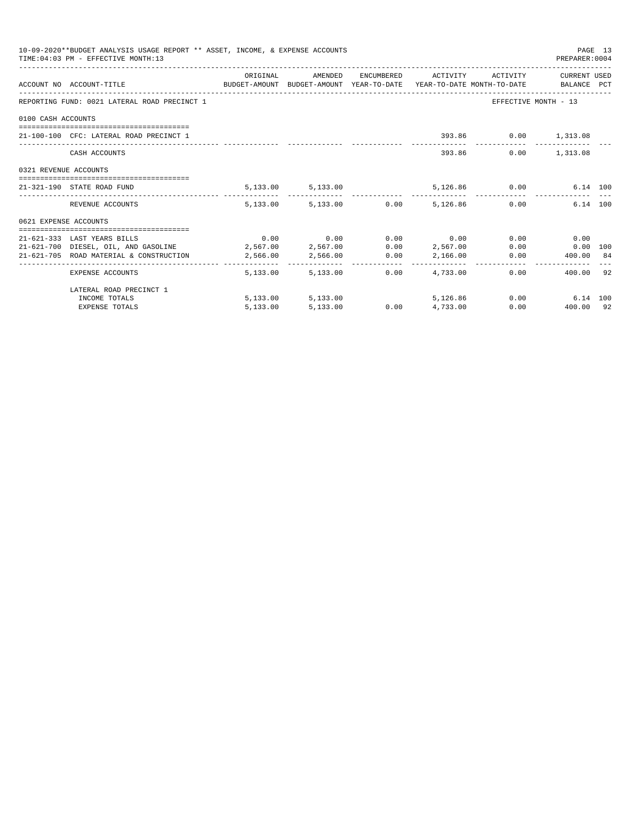|                       | 10-09-2020**BUDGET ANALYSIS USAGE REPORT ** ASSET, INCOME, & EXPENSE ACCOUNTS<br>TIME: 04:03 PM - EFFECTIVE MONTH: 13 |          |                   |      |                                                            | PREPARER: 0004                 | PAGE 13 |
|-----------------------|-----------------------------------------------------------------------------------------------------------------------|----------|-------------------|------|------------------------------------------------------------|--------------------------------|---------|
|                       | ACCOUNT NO ACCOUNT-TITLE CONTROL BUDGET-AMOUNT BUDGET-AMOUNT YEAR-TO-DATE YEAR-TO-DATE MONTH-TO-DATE BALANCE PCT      |          |                   |      | ORIGINAL AMENDED ENCUMBERED ACTIVITY ACTIVITY CURRENT USED |                                |         |
|                       | REPORTING FUND: 0021 LATERAL ROAD PRECINCT 1                                                                          |          |                   |      |                                                            | EFFECTIVE MONTH - 13           |         |
| 0100 CASH ACCOUNTS    |                                                                                                                       |          |                   |      |                                                            |                                |         |
|                       | 21-100-100 CFC: LATERAL ROAD PRECINCT 1                                                                               |          |                   |      |                                                            | 393.86 0.00 1,313.08           |         |
|                       | CASH ACCOUNTS                                                                                                         |          |                   |      | 393.86                                                     | $0.00$ 1,313.08                |         |
| 0321 REVENUE ACCOUNTS |                                                                                                                       |          |                   |      |                                                            |                                |         |
|                       | 21-321-190 STATE ROAD FUND                                                                                            |          |                   |      | 5,133.00 5,133.00 5,126.86 0.00 6.14 100                   |                                |         |
|                       | REVENUE ACCOUNTS                                                                                                      |          |                   |      | $5.133.00$ $5.133.00$ $0.00$ $5.126.86$ $0.00$             | 6.14 100                       |         |
| 0621 EXPENSE ACCOUNTS |                                                                                                                       |          |                   |      |                                                            |                                |         |
|                       |                                                                                                                       |          |                   |      |                                                            |                                |         |
|                       | 21-621-333 LAST YEARS BILLS                                                                                           |          |                   |      | $0.00$ $0.00$ $0.00$ $0.00$ $0.00$                         | 0.00<br>0.00                   |         |
|                       | 21-621-700 DIESEL, OIL, AND GASOLINE 2,567.00 2,567.00                                                                |          |                   |      | 0.00 2,567.00                                              | $0.00$ $0.00$ $100$            |         |
|                       | 21-621-705 ROAD MATERIAL & CONSTRUCTION 2,566.00 2,566.00 0.00 2,166.00                                               |          |                   |      |                                                            | $0.00$ 400.00 84               |         |
|                       | EXPENSE ACCOUNTS                                                                                                      |          | 5,133,00 5,133,00 | 0.00 | 4,733.00                                                   | 400.00 92<br>$0.00$ and $0.00$ |         |
|                       | LATERAL ROAD PRECINCT 1                                                                                               |          |                   |      |                                                            |                                |         |
|                       | INCOME TOTALS                                                                                                         |          | 5,133.00 5,133.00 |      | 5,126,86                                                   | 0.00<br>6.14 100               |         |
|                       | <b>EXPENSE TOTALS</b>                                                                                                 | 5,133.00 | 5,133.00          |      | $0.00$ $4,733.00$                                          | $0.00$ $400.00$ 92             |         |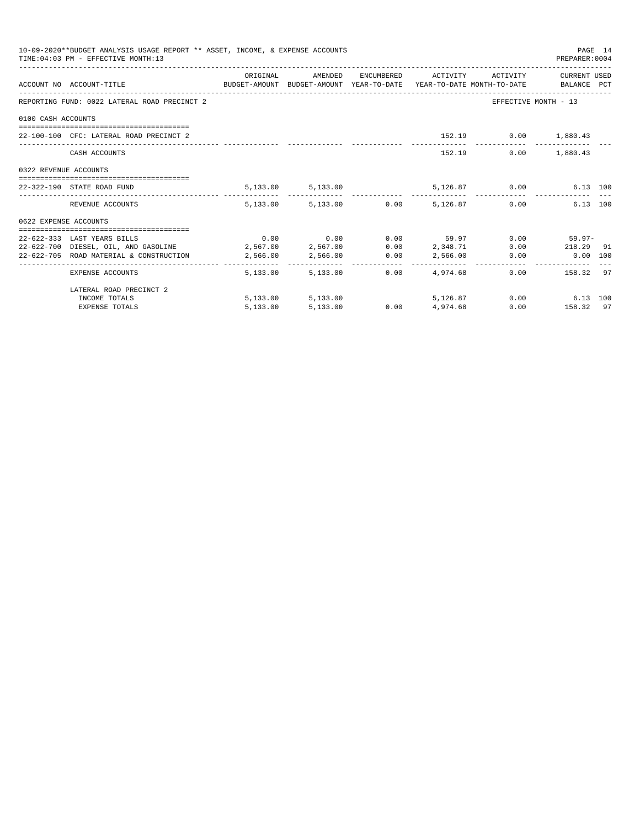|                       | 10-09-2020**BUDGET ANALYSIS USAGE REPORT ** ASSET, INCOME, & EXPENSE ACCOUNTS<br>TIME: 04:03 PM - EFFECTIVE MONTH: 13 |          |                   |      |                                                           | PREPARER: 0004       | PAGE 14 |
|-----------------------|-----------------------------------------------------------------------------------------------------------------------|----------|-------------------|------|-----------------------------------------------------------|----------------------|---------|
|                       | ACCOUNT NO ACCOUNT-TITLE CONTROL BUDGET-AMOUNT BUDGET-AMOUNT YEAR-TO-DATE YEAR-TO-DATE MONTH-TO-DATE BALANCE PCT      |          |                   |      | ORIGINAL AMENDED ENCUMBERED ACTIVITY ACTIVITY CURRENTUSED |                      |         |
|                       | REPORTING FUND: 0022 LATERAL ROAD PRECINCT 2                                                                          |          |                   |      |                                                           | EFFECTIVE MONTH - 13 |         |
| 0100 CASH ACCOUNTS    |                                                                                                                       |          |                   |      |                                                           |                      |         |
|                       | 22-100-100 CFC: LATERAL ROAD PRECINCT 2                                                                               |          |                   |      |                                                           | 152.19 0.00 1,880.43 |         |
|                       | CASH ACCOUNTS                                                                                                         |          |                   |      | 152.19                                                    | $0.00$ 1,880.43      |         |
| 0322 REVENUE ACCOUNTS |                                                                                                                       |          |                   |      |                                                           |                      |         |
|                       | 22-322-190 STATE ROAD FUND                                                                                            |          |                   |      | 5,133.00 5,133.00 5,126.87 0.00 6.13 100                  |                      |         |
|                       | REVENUE ACCOUNTS                                                                                                      |          |                   |      | $5.133.00$ $5.133.00$ $0.00$ $5.126.87$ $0.00$            | 6.13 100             |         |
| 0622 EXPENSE ACCOUNTS |                                                                                                                       |          |                   |      |                                                           |                      |         |
|                       |                                                                                                                       |          |                   |      |                                                           |                      |         |
|                       | 22-622-333 LAST YEARS BILLS                                                                                           |          |                   |      | $0.00$ $0.00$ $0.00$ $0.59.97$ $0.00$ $59.97$ $0.00$      |                      |         |
|                       | 22-622-700 DIESEL, OIL, AND GASOLINE $2,567.00$ $2,567.00$ $0.00$ $2,348.71$ $0.00$ $218.29$ 91                       |          |                   |      |                                                           |                      |         |
|                       | 22-622-705 ROAD MATERIAL & CONSTRUCTION 2,566.00 2,566.00 0.00 2,566.00                                               |          |                   |      |                                                           | $0.00$ $0.00$ $100$  |         |
|                       | EXPENSE ACCOUNTS                                                                                                      |          | 5,133,00 5,133,00 | 0.00 | 4,974.68                                                  | $0.00$ 158.32 97     |         |
|                       | LATERAL ROAD PRECINCT 2                                                                                               |          |                   |      |                                                           |                      |         |
|                       | INCOME TOTALS                                                                                                         |          | 5,133.00 5,133.00 |      | 5,126.87                                                  | $0.00$ 6.13 100      |         |
|                       | <b>EXPENSE TOTALS</b>                                                                                                 | 5,133.00 | 5,133.00          |      | $0.00$ 4,974.68                                           | $0.00$ 158.32 97     |         |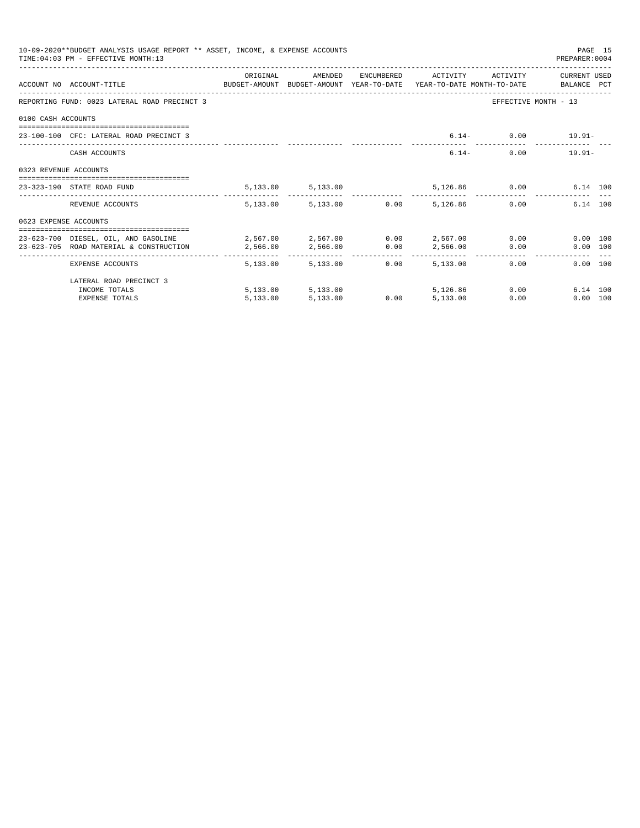|                       | 10-09-2020**BUDGET ANALYSIS USAGE REPORT ** ASSET, INCOME, & EXPENSE ACCOUNTS<br>TIME: 04:03 PM - EFFECTIVE MONTH: 13         |          |                        |      |                              |               | PREPARER: 0004       | PAGE 15 |
|-----------------------|-------------------------------------------------------------------------------------------------------------------------------|----------|------------------------|------|------------------------------|---------------|----------------------|---------|
|                       | ACCOUNT NO ACCOUNT-TITLE CONTROL SUDGET-AMOUNT BUDGET-AMOUNT YEAR-TO-DATE YEAR-TO-DATE MONTH-TO-DATE BALANCE PCT              | ORIGINAL | AMENDED                |      | ENCUMBERED ACTIVITY ACTIVITY |               | CURRENT USED         |         |
|                       | REPORTING FUND: 0023 LATERAL ROAD PRECINCT 3                                                                                  |          |                        |      |                              |               | EFFECTIVE MONTH - 13 |         |
| 0100 CASH ACCOUNTS    |                                                                                                                               |          |                        |      |                              |               |                      |         |
|                       | 23-100-100 CFC: LATERAL ROAD PRECINCT 3                                                                                       |          |                        |      |                              |               | $6.14 - 0.00$ 19.91- |         |
|                       | CASH ACCOUNTS                                                                                                                 |          |                        |      |                              | $6.14-$       | $0.00$ 19.91-        |         |
| 0323 REVENUE ACCOUNTS |                                                                                                                               |          |                        |      |                              |               |                      |         |
|                       | 23-323-190 STATE ROAD FUND                                                                                                    |          | 5,133.00 5,133.00      |      |                              | 5,126.86 0.00 | 6.14 100             |         |
|                       | REVENUE ACCOUNTS                                                                                                              |          | 5,133.00 5,133.00 0.00 |      | 5,126.86                     |               | 0.00<br>6.14 100     |         |
| 0623 EXPENSE ACCOUNTS |                                                                                                                               |          |                        |      |                              |               |                      |         |
|                       | 23-623-700 DIESEL, OIL, AND GASOLINE 2,567.00 2,567.00 0.00 2,567.00 0.00<br>23-623-705 ROAD MATERIAL & CONSTRUCTION 2.566.00 |          | 2,566.00               | 0.00 |                              | 2,566.00 0.00 | 0.00 100<br>0.00 100 |         |
|                       | EXPENSE ACCOUNTS                                                                                                              | -------- | 5,133.00 5,133.00      | 0.00 | . <u>.</u><br>5,133,00       |               | 0.00<br>0.00 100     |         |
|                       | LATERAL ROAD PRECINCT 3                                                                                                       |          |                        |      |                              |               |                      |         |
|                       | INCOME TOTALS                                                                                                                 |          | 5,133.00 5,133.00      |      | 5,126,86                     |               | 0.00<br>6.14 100     |         |
|                       | <b>EXPENSE TOTALS</b>                                                                                                         | 5.133.00 | 5,133.00               | 0.00 | 5,133.00                     | 0.00          | 0.00 100             |         |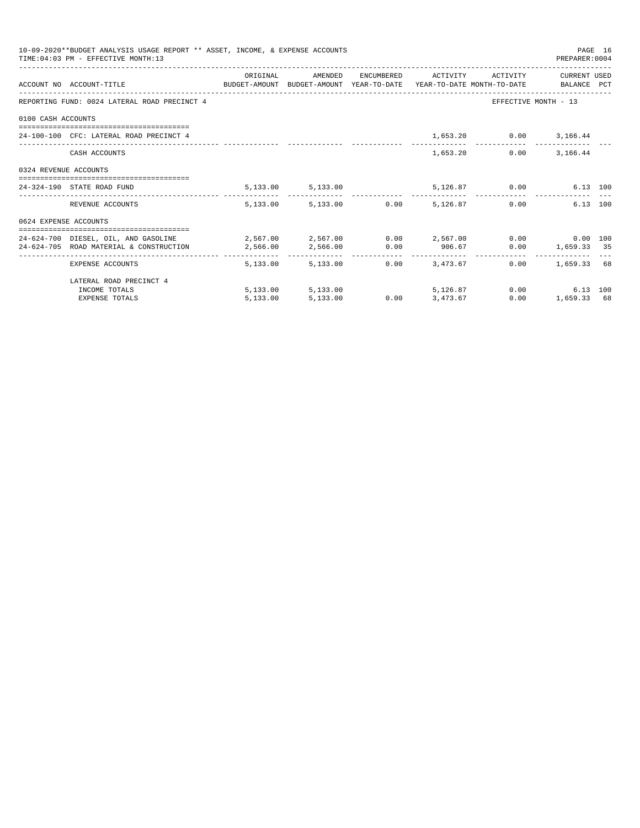|                       | 10-09-2020**BUDGET ANALYSIS USAGE REPORT ** ASSET, INCOME, & EXPENSE ACCOUNTS<br>TIME: 04:03 PM - EFFECTIVE MONTH: 13 |                                                              |                                 |                  |                                       |                              | PREPARER: 0004                                       | PAGE 16 |
|-----------------------|-----------------------------------------------------------------------------------------------------------------------|--------------------------------------------------------------|---------------------------------|------------------|---------------------------------------|------------------------------|------------------------------------------------------|---------|
|                       | ACCOUNT NO ACCOUNT-TITLE COMPUTE BUDGET-AMOUNT BUDGET-AMOUNT YEAR-TO-DATE YEAR-TO-DATE MONTH-TO-DATE BALANCE PCT      | ORIGINAL                                                     | AMENDED                         |                  |                                       | ENCUMBERED ACTIVITY ACTIVITY | CURRENT USED                                         |         |
|                       | REPORTING FUND: 0024 LATERAL ROAD PRECINCT 4                                                                          |                                                              |                                 |                  |                                       |                              | EFFECTIVE MONTH - 13                                 |         |
| 0100 CASH ACCOUNTS    |                                                                                                                       |                                                              |                                 |                  |                                       |                              |                                                      |         |
|                       | 24-100-100 CFC: LATERAL ROAD PRECINCT 4                                                                               |                                                              |                                 |                  |                                       | 1,653.20 0.00 3,166.44       |                                                      |         |
|                       | CASH ACCOUNTS                                                                                                         |                                                              |                                 |                  |                                       | 1,653.20                     | $0.00$ 3,166.44                                      |         |
| 0324 REVENUE ACCOUNTS |                                                                                                                       |                                                              |                                 |                  |                                       |                              |                                                      |         |
|                       | 24-324-190 STATE ROAD FUND                                                                                            |                                                              | 5, 133.00 5, 133.00             |                  |                                       | 5,126.87 0.00                | 6.13 100                                             |         |
|                       | REVENUE ACCOUNTS                                                                                                      |                                                              | 5,133.00 5,133.00 0.00 5,126.87 |                  |                                       |                              | 6.13 100<br>0.00                                     |         |
| 0624 EXPENSE ACCOUNTS |                                                                                                                       |                                                              |                                 |                  |                                       |                              |                                                      |         |
|                       | 24-624-700 DIESEL, OIL, AND GASOLINE                                                                                  | $2,567.00$ $2,567.00$ $0.00$ $2,567.00$ $0.00$ $0.00$ $0.00$ |                                 |                  |                                       |                              |                                                      |         |
|                       | 24-624-705 ROAD MATERIAL & CONSTRUCTION 2.566.00                                                                      |                                                              | 2,566.00 0.00 906.67            |                  |                                       |                              | $0.00$ 1,659.33 35                                   |         |
|                       | _____________________________________<br>EXPENSE ACCOUNTS                                                             |                                                              | 5,133.00 5,133.00               |                  | ----------------<br>$0.00$ $3.473.67$ |                              | ------------------------------<br>$0.00$ 1.659.33 68 |         |
|                       | LATERAL ROAD PRECINCT 4                                                                                               |                                                              |                                 |                  |                                       |                              |                                                      |         |
|                       | INCOME TOTALS                                                                                                         |                                                              | 5,133.00 5,133.00 5,126.87      |                  |                                       |                              | 0.00<br>6.13 100                                     |         |
|                       | <b>EXPENSE TOTALS</b>                                                                                                 | 5,133.00                                                     | 5,133.00                        | $0.00$ 3, 473.67 |                                       | 0.00                         | 1,659.33 68                                          |         |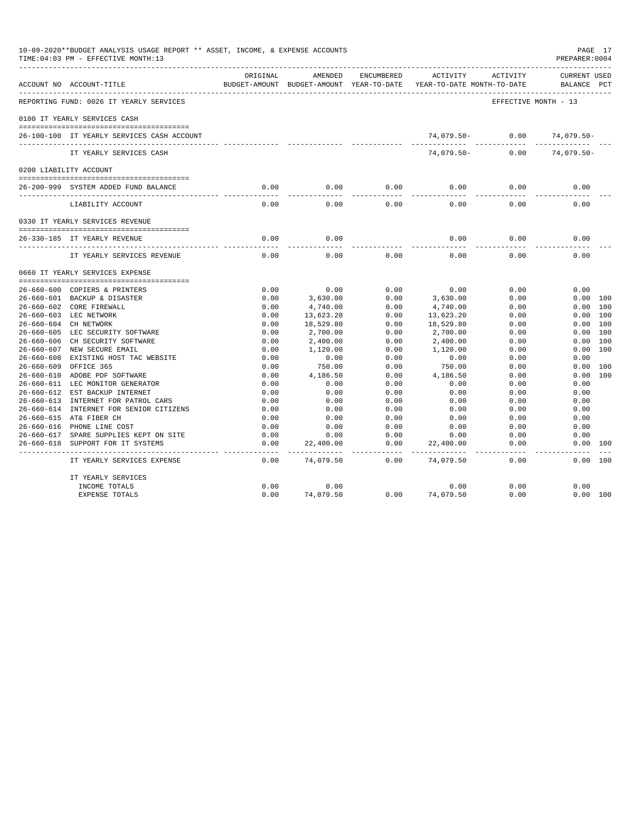| 10-09-2020**BUDGET ANALYSIS USAGE REPORT ** ASSET, INCOME, & EXPENSE ACCOUNTS<br>TIME: 04:03 PM - EFFECTIVE MONTH: 13<br>---------------------------------- |          |                         |                       |                                                                                 |                      | PAGE 17<br>PREPARER: 0004          |
|-------------------------------------------------------------------------------------------------------------------------------------------------------------|----------|-------------------------|-----------------------|---------------------------------------------------------------------------------|----------------------|------------------------------------|
| ACCOUNT NO ACCOUNT-TITLE                                                                                                                                    | ORIGINAL | AMENDED                 | ENCUMBERED            | ACTIVITY<br>BUDGET-AMOUNT BUDGET-AMOUNT YEAR-TO-DATE YEAR-TO-DATE MONTH-TO-DATE | ACTIVITY             | <b>CURRENT USED</b><br>BALANCE PCT |
| REPORTING FUND: 0026 IT YEARLY SERVICES                                                                                                                     |          |                         |                       |                                                                                 | EFFECTIVE MONTH - 13 |                                    |
| 0100 IT YEARLY SERVICES CASH                                                                                                                                |          |                         |                       |                                                                                 |                      |                                    |
| 26-100-100 IT YEARLY SERVICES CASH ACCOUNT                                                                                                                  |          |                         |                       |                                                                                 | 74,079.50- 0.00      | 74,079.50-                         |
| IT YEARLY SERVICES CASH                                                                                                                                     |          |                         |                       | $74.079.50 -$                                                                   | 0.00                 | 74,079.50-                         |
| 0200 LIABILITY ACCOUNT                                                                                                                                      |          |                         |                       |                                                                                 |                      |                                    |
|                                                                                                                                                             | 0.00     |                         |                       | 0.00                                                                            | 0.00                 | 0.00                               |
| 26-200-999 SYSTEM ADDED FUND BALANCE                                                                                                                        |          | 0.00                    | 0.00                  |                                                                                 |                      |                                    |
| LIABILITY ACCOUNT                                                                                                                                           | 0.00     | 0.00                    | 0.00                  | 0.00                                                                            | 0.00                 | 0.00                               |
| 0330 IT YEARLY SERVICES REVENUE                                                                                                                             |          |                         |                       |                                                                                 |                      |                                    |
| 26-330-185 IT YEARLY REVENUE                                                                                                                                | 0.00     | 0.00                    |                       | 0.00                                                                            | 0.00                 | 0.00                               |
| IT YEARLY SERVICES REVENUE                                                                                                                                  | 0.00     | 0.00                    | 0.00                  | 0.00                                                                            | 0.00                 | 0.00                               |
| 0660 IT YEARLY SERVICES EXPENSE                                                                                                                             |          |                         |                       |                                                                                 |                      |                                    |
| 26-660-600 COPIERS & PRINTERS                                                                                                                               | 0.00     | 0.00                    | 0.00                  | 0.00                                                                            | 0.00                 | 0.00                               |
| 26-660-601 BACKUP & DISASTER                                                                                                                                | 0.00     | 3,630.00                | 0.00                  | 3,630.00                                                                        | 0.00                 | 0.00 100                           |
| 26-660-602 CORE FIREWALL                                                                                                                                    | 0.00     | 4,740.00                | 0.00                  | 4,740.00                                                                        | 0.00                 | $0.00$ 100                         |
| 26-660-603 LEC NETWORK                                                                                                                                      | 0.00     | 13,623.20               | 0.00                  | 13,623.20                                                                       | 0.00                 | 0.00 100                           |
| 26-660-604 CH NETWORK                                                                                                                                       | 0.00     | 18,529.80               | 0.00                  | 18,529.80                                                                       | 0.00                 | 0.00 100                           |
| 26-660-605 LEC SECURITY SOFTWARE                                                                                                                            | 0.00     | 2,700.00                | 0.00                  | 2,700.00                                                                        | 0.00                 | 0.00 100                           |
| 26-660-606 CH SECURITY SOFTWARE                                                                                                                             | 0.00     | 2,400.00                | 0.00                  | 2,400.00                                                                        | 0.00                 | 0.00 100                           |
| 26-660-607 NEW SECURE EMAIL                                                                                                                                 | 0.00     | 1,120.00                | 0.00                  | 1,120.00                                                                        | 0.00                 | 0.00 100                           |
| 26-660-608 EXISTING HOST TAC WEBSITE                                                                                                                        | 0.00     | 0.00                    | 0.00                  | 0.00                                                                            | 0.00                 | 0.00                               |
| 26-660-609 OFFICE 365                                                                                                                                       | 0.00     | 750.00                  | 0.00                  | 750.00                                                                          | 0.00                 | 0.00 100                           |
| 26-660-610 ADOBE PDF SOFTWARE                                                                                                                               | 0.00     | 4,186.50                | 0.00                  | 4,186.50                                                                        | 0.00                 | 0.00 100                           |
| 26-660-611 LEC MONITOR GENERATOR                                                                                                                            | 0.00     | 0.00                    | 0.00                  | 0.00                                                                            | 0.00                 | 0.00                               |
| 26-660-612 EST BACKUP INTERNET                                                                                                                              | 0.00     | 0.00                    | 0.00                  | 0.00                                                                            | 0.00                 | 0.00                               |
| 26-660-613 INTERNET FOR PATROL CARS                                                                                                                         | 0.00     | 0.00                    | 0.00                  | 0.00                                                                            | 0.00                 | 0.00                               |
| 26-660-614 INTERNET FOR SENIOR CITIZENS                                                                                                                     | 0.00     | 0.00                    | 0.00                  | 0.00                                                                            | 0.00                 | 0.00                               |
| 26-660-615 AT& FIBER CH                                                                                                                                     | 0.00     | 0.00                    | 0.00                  | 0.00                                                                            | 0.00                 | 0.00                               |
| 26-660-616 PHONE LINE COST                                                                                                                                  | 0.00     | 0.00                    | 0.00                  | 0.00                                                                            | 0.00                 | 0.00                               |
| 26-660-617 SPARE SUPPLIES KEPT ON SITE                                                                                                                      | 0.00     | 0.00                    | 0.00                  | 0.00                                                                            | 0.00                 | 0.00                               |
| 26-660-618 SUPPORT FOR IT SYSTEMS                                                                                                                           | 0.00     | 22,400.00<br>---------- | 0.00<br>$\frac{1}{2}$ | 22,400.00                                                                       | 0.00                 | 0.00 100                           |
| IT YEARLY SERVICES EXPENSE                                                                                                                                  | 0.00     | 74,079.50               | 0.00                  | 74,079.50                                                                       | 0.00                 | 0.00 100                           |
| IT YEARLY SERVICES                                                                                                                                          |          |                         |                       |                                                                                 |                      |                                    |
| INCOME TOTALS                                                                                                                                               | 0.00     | 0.00                    |                       | 0.00                                                                            | 0.00                 | 0.00                               |
| <b>EXPENSE TOTALS</b>                                                                                                                                       | 0.00     | 74,079.50               | 0.00                  | 74,079.50                                                                       | 0.00                 | 0.00 100                           |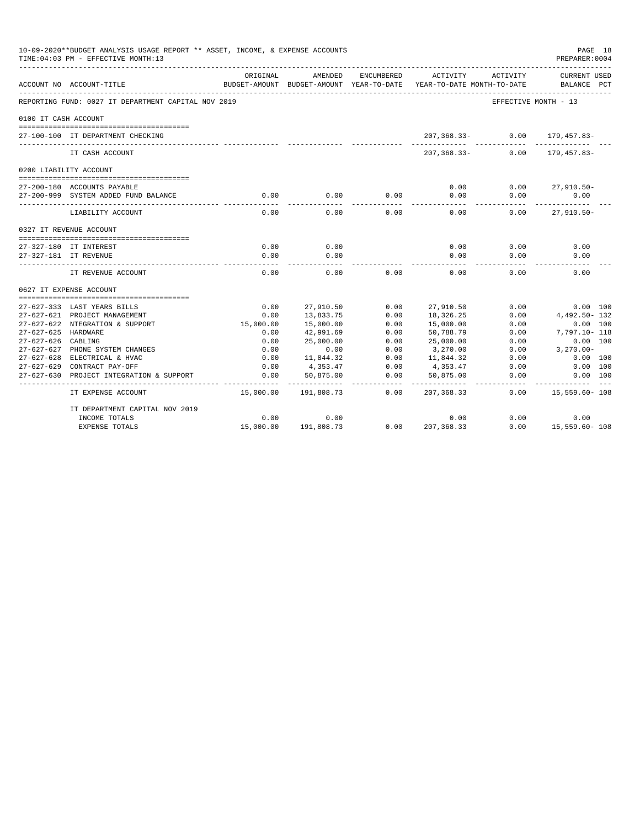|                      | 10-09-2020**BUDGET ANALYSIS USAGE REPORT ** ASSET, INCOME, & EXPENSE ACCOUNTS<br>TIME: 04:03 PM - EFFECTIVE MONTH: 13 |                           |                          |                                   |                        |                                        | PAGE 18<br>PREPARER: 0004               |
|----------------------|-----------------------------------------------------------------------------------------------------------------------|---------------------------|--------------------------|-----------------------------------|------------------------|----------------------------------------|-----------------------------------------|
|                      | ACCOUNT NO ACCOUNT-TITLE                                                                                              | ORIGINAL<br>BUDGET-AMOUNT | AMENDED<br>BUDGET-AMOUNT | <b>ENCUMBERED</b><br>YEAR-TO-DATE | ACTIVITY               | ACTIVITY<br>YEAR-TO-DATE MONTH-TO-DATE | CURRENT USED<br>BALANCE<br>$_{\rm PCT}$ |
|                      | REPORTING FUND: 0027 IT DEPARTMENT CAPITAL NOV 2019                                                                   |                           |                          |                                   |                        | EFFECTIVE MONTH - 13                   |                                         |
| 0100 IT CASH ACCOUNT |                                                                                                                       |                           |                          |                                   |                        |                                        |                                         |
|                      | 27-100-100 IT DEPARTMENT CHECKING                                                                                     |                           |                          |                                   | $207, 368.33 -$        | 0.00                                   | 179,457.83-                             |
|                      | IT CASH ACCOUNT                                                                                                       |                           |                          |                                   | $207, 368.33 -$        | 0.00                                   | 179,457.83-                             |
|                      | 0200 LIABILITY ACCOUNT                                                                                                |                           |                          |                                   |                        |                                        |                                         |
|                      |                                                                                                                       |                           |                          |                                   |                        |                                        |                                         |
|                      | 27-200-180 ACCOUNTS PAYABLE                                                                                           |                           |                          |                                   | 0.00                   | 0.00                                   | $27,910.50 -$                           |
|                      | 27-200-999 SYSTEM ADDED FUND BALANCE                                                                                  | 0.00                      | 0.00                     | 0.00                              | 0.00                   | 0.00                                   | 0.00                                    |
|                      | LIABILITY ACCOUNT                                                                                                     | 0.00                      | 0.00                     | 0.00                              | 0.00                   | 0.00                                   | $27,910.50 -$                           |
|                      | 0327 IT REVENUE ACCOUNT                                                                                               |                           |                          |                                   |                        |                                        |                                         |
|                      |                                                                                                                       |                           |                          |                                   |                        |                                        |                                         |
|                      | 27-327-180 IT INTEREST                                                                                                | 0.00                      | 0.00                     |                                   | 0.00                   | 0.00                                   | 0.00                                    |
|                      | 27-327-181 IT REVENUE                                                                                                 | 0.00                      | 0.00                     |                                   | 0.00                   | 0.00                                   | 0.00                                    |
|                      | IT REVENUE ACCOUNT                                                                                                    | 0.00                      | 0.00                     | 0.00                              | 0.00                   | 0.00                                   | 0.00                                    |
|                      | 0627 IT EXPENSE ACCOUNT                                                                                               |                           |                          |                                   |                        |                                        |                                         |
|                      |                                                                                                                       |                           |                          |                                   |                        |                                        |                                         |
|                      | 27-627-333 LAST YEARS BILLS                                                                                           | 0.00                      | 27,910.50                | 0.00                              | 27,910.50              | 0.00                                   | 0.00 100                                |
|                      | 27-627-621 PROJECT MANAGEMENT                                                                                         | 0.00                      | 13,833.75                | 0.00                              | 18,326.25              | 0.00                                   | 4,492.50- 132                           |
| 27-627-625 HARDWARE  | 27-627-622 NTEGRATION & SUPPORT                                                                                       | 15,000.00<br>0.00         | 15,000.00<br>42,991.69   | 0.00<br>0.00                      | 15,000.00<br>50,788.79 | 0.00<br>0.00                           | 0.00 100<br>7,797.10- 118               |
| $27 - 627 - 626$     | CABLING                                                                                                               | 0.00                      | 25,000.00                | 0.00                              | 25,000.00              | 0.00                                   | 0.00 100                                |
| $27 - 627 - 627$     | PHONE SYSTEM CHANGES                                                                                                  | 0.00                      | 0.00                     | 0.00                              | 3,270.00               | 0.00                                   | $3,270.00 -$                            |
| $27 - 627 - 628$     | ELECTRICAL & HVAC                                                                                                     | 0.00                      | 11,844.32                | 0.00                              | 11,844.32              | 0.00                                   | 0.00 100                                |
| 27-627-629           | CONTRACT PAY-OFF                                                                                                      | 0.00                      | 4,353.47                 | 0.00                              | 4,353.47               | 0.00                                   | 0.00 100                                |
| $27 - 627 - 630$     | PROJECT INTEGRATION & SUPPORT                                                                                         | 0.00                      | 50,875.00                | 0.00                              | 50,875.00              | 0.00                                   | 0.00 100                                |
|                      |                                                                                                                       |                           |                          |                                   |                        |                                        | -------                                 |
|                      | IT EXPENSE ACCOUNT                                                                                                    | 15,000.00                 | 191,808.73               | 0.00                              | 207,368.33             | 0.00                                   | 15,559.60- 108                          |
|                      | IT DEPARTMENT CAPITAL NOV 2019                                                                                        |                           |                          |                                   |                        |                                        |                                         |
|                      | INCOME TOTALS                                                                                                         | 0.00                      | 0.00                     |                                   | 0.00                   | 0.00                                   | 0.00                                    |
|                      | <b>EXPENSE TOTALS</b>                                                                                                 | 15,000.00                 | 191,808.73               | 0.00                              | 207, 368, 33           | 0.00                                   | 15,559.60-108                           |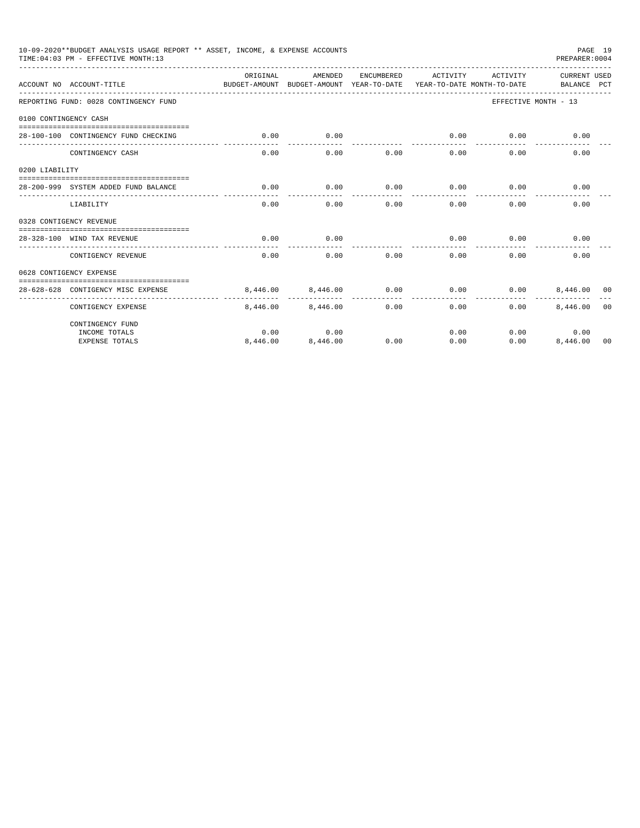|                       | 10-09-2020**BUDGET ANALYSIS USAGE REPORT ** ASSET, INCOME, & EXPENSE ACCOUNTS<br>TIME: 04:03 PM - EFFECTIVE MONTH: 13 |                                                                                  |                   |            |                     |          | PAGE 19<br>PREPARER: 0004          |                |
|-----------------------|-----------------------------------------------------------------------------------------------------------------------|----------------------------------------------------------------------------------|-------------------|------------|---------------------|----------|------------------------------------|----------------|
|                       | ACCOUNT NO ACCOUNT-TITLE                                                                                              | OR TGTNAL<br>BUDGET-AMOUNT BUDGET-AMOUNT YEAR-TO-DATE YEAR-TO-DATE MONTH-TO-DATE | AMENDED           | ENCUMBERED | ACTIVITY            | ACTIVITY | <b>CURRENT USED</b><br>BALANCE PCT |                |
|                       | REPORTING FUND: 0028 CONTINGENCY FUND                                                                                 |                                                                                  |                   |            |                     |          | EFFECTIVE MONTH - 13               |                |
| 0100 CONTINGENCY CASH |                                                                                                                       |                                                                                  |                   |            |                     |          |                                    |                |
|                       | 28-100-100 CONTINGENCY FUND CHECKING                                                                                  | 0.00                                                                             | 0.00              |            | 0.00<br>----------- | 0.00     | 0.00                               |                |
|                       | CONTINGENCY CASH                                                                                                      | 0.00                                                                             | 0.00              | 0.00       | 0.00                | 0.00     | 0.00                               |                |
| 0200 LIABILITY        |                                                                                                                       |                                                                                  |                   |            |                     |          |                                    |                |
|                       | 28-200-999 SYSTEM ADDED FUND BALANCE                                                                                  | 0.00                                                                             | 0.00              | 0.00       | 0.00                | 0.00     | 0.00                               |                |
|                       | LIABILITY                                                                                                             | 0.00                                                                             | 0.00              | 0.00       | 0.00                | 0.00     | 0.00                               |                |
|                       | 0328 CONTIGENCY REVENUE                                                                                               |                                                                                  |                   |            |                     |          |                                    |                |
|                       | 28-328-100 WIND TAX REVENUE                                                                                           | 0.00                                                                             | 0.00              |            | 0.00                | 0.00     | 0.00                               |                |
|                       | CONTIGENCY REVENUE                                                                                                    | 0.00                                                                             | 0.00              | 0.00       | 0.00                | 0.00     | 0.00                               |                |
|                       | 0628 CONTIGENCY EXPENSE                                                                                               |                                                                                  |                   |            |                     |          |                                    |                |
|                       | 28-628-628 CONTIGENCY MISC EXPENSE                                                                                    |                                                                                  | 8,446.00 8,446.00 | 0.00       | 0.00                | 0.00     | 8,446,00 00                        |                |
|                       | CONTIGENCY EXPENSE                                                                                                    |                                                                                  | 8,446,00 8,446,00 | 0.00       | 0.00                | 0.00     | 8,446.00                           | 0 <sub>0</sub> |
|                       | CONTINGENCY FUND                                                                                                      |                                                                                  |                   |            |                     |          |                                    |                |
|                       | INCOME TOTALS                                                                                                         | 0.00                                                                             | 0.00              |            | 0.00                |          | 0.00<br>0.00                       |                |
|                       | <b>EXPENSE TOTALS</b>                                                                                                 | 8,446.00                                                                         | 8,446.00          | 0.00       | 0.00                | 0.00     | 8,446.00 00                        |                |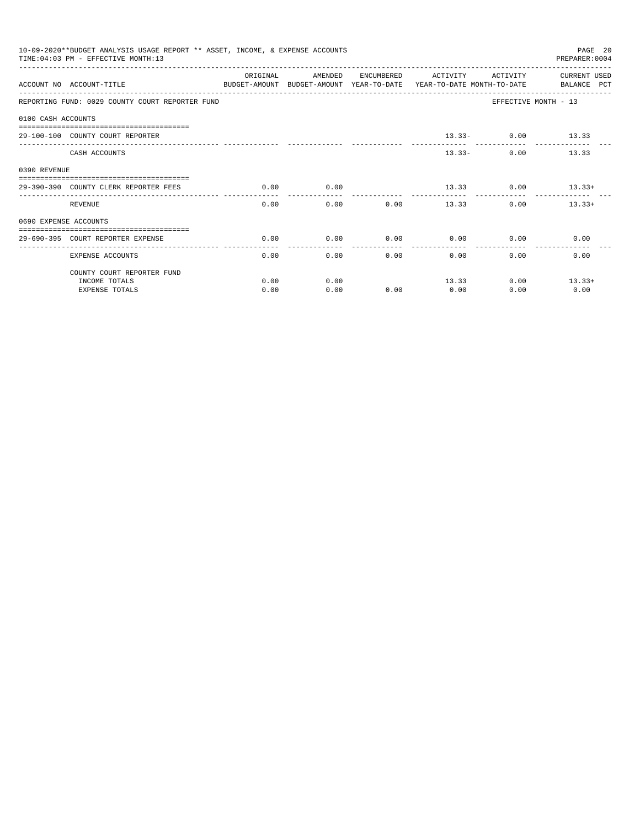|                       | 10-09-2020**BUDGET ANALYSIS USAGE REPORT ** ASSET, INCOME, & EXPENSE ACCOUNTS<br>TIME: 04:03 PM - EFFECTIVE MONTH: 13 |          |         |              |                                                                                            |                      | PAGE 20<br>PREPARER: 0004   |
|-----------------------|-----------------------------------------------------------------------------------------------------------------------|----------|---------|--------------|--------------------------------------------------------------------------------------------|----------------------|-----------------------------|
|                       | ACCOUNT NO ACCOUNT-TITLE                                                                                              | ORIGINAL | AMENDED |              | ENCUMBERED ACTIVITY<br>BUDGET-AMOUNT BUDGET-AMOUNT YEAR-TO-DATE YEAR-TO-DATE MONTH-TO-DATE | ACTIVITY             | CURRENT USED<br>BALANCE PCT |
|                       | REPORTING FUND: 0029 COUNTY COURT REPORTER FUND                                                                       |          |         |              |                                                                                            | EFFECTIVE MONTH - 13 |                             |
| 0100 CASH ACCOUNTS    |                                                                                                                       |          |         |              |                                                                                            |                      |                             |
|                       | 29-100-100 COUNTY COURT REPORTER                                                                                      |          |         |              |                                                                                            | $13.33 - 0.00$ 13.33 |                             |
|                       | CASH ACCOUNTS                                                                                                         |          |         |              | $13.33 -$                                                                                  | ------------<br>0.00 | 13.33                       |
| 0390 REVENUE          |                                                                                                                       |          |         |              |                                                                                            |                      |                             |
|                       | 29-390-390 COUNTY CLERK REPORTER FEES                                                                                 | 0.00     | 0.00    |              | 13.33                                                                                      | 0.00                 | $13.33+$                    |
|                       | REVENUE                                                                                                               | 0.00     |         | 0.00<br>0.00 | ------------ -------------<br>13.33                                                        |                      | $0.00$ 13.33+               |
| 0690 EXPENSE ACCOUNTS |                                                                                                                       |          |         |              |                                                                                            |                      |                             |
|                       | 29-690-395 COURT REPORTER EXPENSE                                                                                     | 0.00     | 0.00    | 0.00         | 0.00                                                                                       | 0.00                 | 0.00                        |
|                       | <b>EXPENSE ACCOUNTS</b>                                                                                               | 0.00     | 0.00    |              | 0.00<br>0.00                                                                               | 0.00                 | 0.00                        |
|                       | COUNTY COURT REPORTER FUND                                                                                            |          |         |              |                                                                                            |                      |                             |
|                       | INCOME TOTALS                                                                                                         | 0.00     | 0.00    |              | 13.33                                                                                      | 0.00                 | $13.33+$                    |
|                       | <b>EXPENSE TOTALS</b>                                                                                                 | 0.00     | 0.00    | 0.00         | 0.00                                                                                       | 0.00                 | 0.00                        |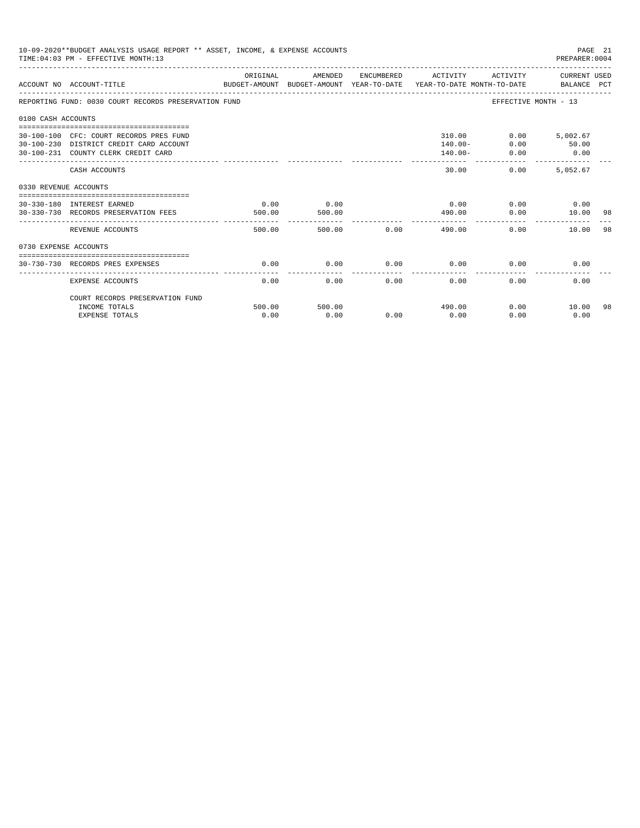|                       | 10-09-2020**BUDGET ANALYSIS USAGE REPORT ** ASSET, INCOME, & EXPENSE ACCOUNTS<br>TIME: 04:03 PM - EFFECTIVE MONTH: 13                                              |                |                |      |                                           |                                           | PREPARER: 0004                   | PAGE 21 |
|-----------------------|--------------------------------------------------------------------------------------------------------------------------------------------------------------------|----------------|----------------|------|-------------------------------------------|-------------------------------------------|----------------------------------|---------|
|                       | ACCOUNT NO ACCOUNT-TITLE<br>BUDGET-AMOUNT BUDGET-AMOUNT YEAR-TO-DATE  YEAR-TO-DATE MONTH-TO-DATE     BALANCE PCT                                                   | ORIGINAL       | AMENDED        |      | ENCUMBERED ACTIVITY ACTIVITY CURRENT USED |                                           |                                  |         |
|                       | REPORTING FUND: 0030 COURT RECORDS PRESERVATION FUND                                                                                                               |                |                |      |                                           | EFFECTIVE MONTH - 13                      |                                  |         |
| 0100 CASH ACCOUNTS    |                                                                                                                                                                    |                |                |      |                                           |                                           |                                  |         |
|                       | -------------------------------------<br>30-100-100 CFC: COURT RECORDS PRES FUND<br>30-100-230 DISTRICT CREDIT CARD ACCOUNT<br>30-100-231 COUNTY CLERK CREDIT CARD |                |                |      | 310.00<br>$140.00 -$<br>$140.00 -$        | 0.00<br>0.00                              | $0.00$ 5,002.67<br>50.00<br>0.00 |         |
|                       | CASH ACCOUNTS                                                                                                                                                      |                |                |      | -----------<br>30.00                      | _________________________________<br>0.00 | 5.052.67                         |         |
| 0330 REVENUE ACCOUNTS |                                                                                                                                                                    |                |                |      |                                           |                                           |                                  |         |
|                       | --------------------------------<br>30-330-180 INTEREST EARNED<br>30-330-730 RECORDS PRESERVATION FEES                                                             | 0.00<br>500.00 | 0.00<br>500.00 |      | 0.00<br>490.00                            | 0.00                                      | $0.00$ 0.00<br>10.00             | 98      |
|                       | REVENUE ACCOUNTS                                                                                                                                                   | 500.00         | 500.00         | 0.00 | ----------<br>490.00                      | 0.00                                      | 10.00                            | 98      |
| 0730 EXPENSE ACCOUNTS |                                                                                                                                                                    |                |                |      |                                           |                                           |                                  |         |
|                       | 30-730-730 RECORDS PRES EXPENSES                                                                                                                                   | 0.00           | 0.00           | 0.00 | 0.00                                      | 0.00                                      | 0.00                             |         |
|                       | <b>EXPENSE ACCOUNTS</b>                                                                                                                                            | 0.00           | 0.00           | 0.00 | 0.00                                      | 0.00                                      | 0.00                             |         |
|                       | COURT RECORDS PRESERVATION FUND                                                                                                                                    |                |                |      |                                           |                                           |                                  |         |
|                       | INCOME TOTALS                                                                                                                                                      | 500.00         | 500.00         |      | 490.00                                    |                                           | 0.00<br>10.00                    | -98     |
|                       | <b>EXPENSE TOTALS</b>                                                                                                                                              | 0.00           | 0.00           | 0.00 | 0.00                                      | 0.00                                      | 0.00                             |         |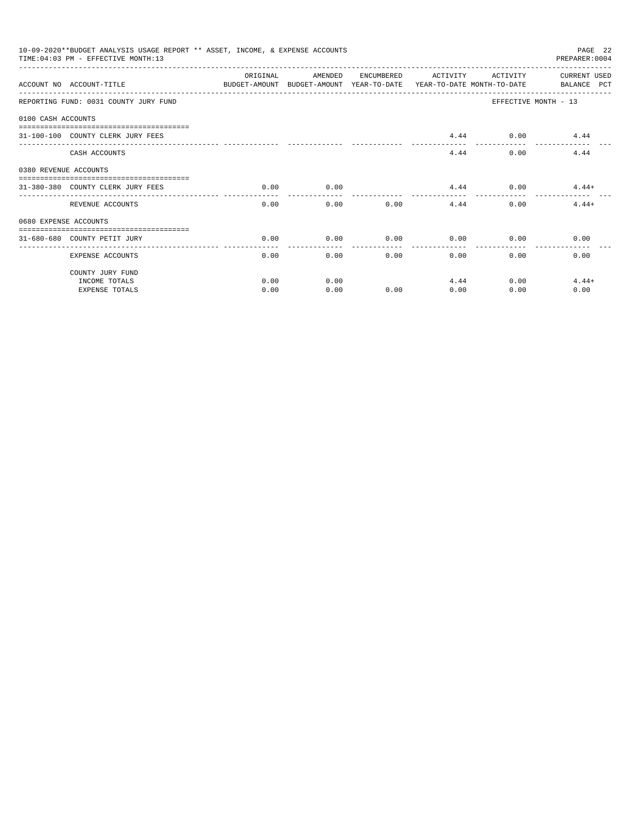|                       | 10-09-2020**BUDGET ANALYSIS USAGE REPORT ** ASSET, INCOME, & EXPENSE ACCOUNTS<br>PAGE 22<br>TIME: 04:03 PM - EFFECTIVE MONTH: 13<br>PREPARER: 0004 |          |         |      |                     |              |                                                                                                     |  |  |  |
|-----------------------|----------------------------------------------------------------------------------------------------------------------------------------------------|----------|---------|------|---------------------|--------------|-----------------------------------------------------------------------------------------------------|--|--|--|
|                       | ACCOUNT NO ACCOUNT-TITLE                                                                                                                           | ORIGINAL | AMENDED |      | ENCUMBERED ACTIVITY | ACTIVITY     | CURRENT USED<br>BUDGET-AMOUNT BUDGET-AMOUNT YEAR-TO-DATE YEAR-TO-DATE MONTH-TO-DATE     BALANCE PCT |  |  |  |
|                       | REPORTING FUND: 0031 COUNTY JURY FUND                                                                                                              |          |         |      |                     |              | EFFECTIVE MONTH - 13                                                                                |  |  |  |
| 0100 CASH ACCOUNTS    |                                                                                                                                                    |          |         |      |                     |              |                                                                                                     |  |  |  |
|                       | 31-100-100 COUNTY CLERK JURY FEES                                                                                                                  |          |         |      | 4.44                |              | $0.00$ 4.44                                                                                         |  |  |  |
|                       | CASH ACCOUNTS                                                                                                                                      |          |         |      | 4.44                | 0.00         | 4.44                                                                                                |  |  |  |
| 0380 REVENUE ACCOUNTS |                                                                                                                                                    |          |         |      |                     |              |                                                                                                     |  |  |  |
|                       | 31-380-380 COUNTY CLERK JURY FEES                                                                                                                  | 0.00     | 0.00    |      |                     |              | $4.44$ 0.00 $4.44+$                                                                                 |  |  |  |
|                       | REVENUE ACCOUNTS                                                                                                                                   | 0.00     | 0.00    | 0.00 |                     | 4.44<br>0.00 | $4.44+$                                                                                             |  |  |  |
| 0680 EXPENSE ACCOUNTS |                                                                                                                                                    |          |         |      |                     |              |                                                                                                     |  |  |  |
|                       | 31-680-680 COUNTY PETIT JURY                                                                                                                       | 0.00     | 0.00    | 0.00 | 0.00                | 0.00         | 0.00                                                                                                |  |  |  |
|                       | <b>EXPENSE ACCOUNTS</b>                                                                                                                            | 0.00     | 0.00    |      | 0.00                | 0.00<br>0.00 | 0.00                                                                                                |  |  |  |
|                       | COUNTY JURY FUND                                                                                                                                   |          |         |      |                     |              |                                                                                                     |  |  |  |
|                       | INCOME TOTALS                                                                                                                                      | 0.00     | 0.00    |      | 4.44                | 0.00         | $4.44+$                                                                                             |  |  |  |
|                       | <b>EXPENSE TOTALS</b>                                                                                                                              | 0.00     | 0.00    | 0.00 | 0.00                | 0.00         | 0.00                                                                                                |  |  |  |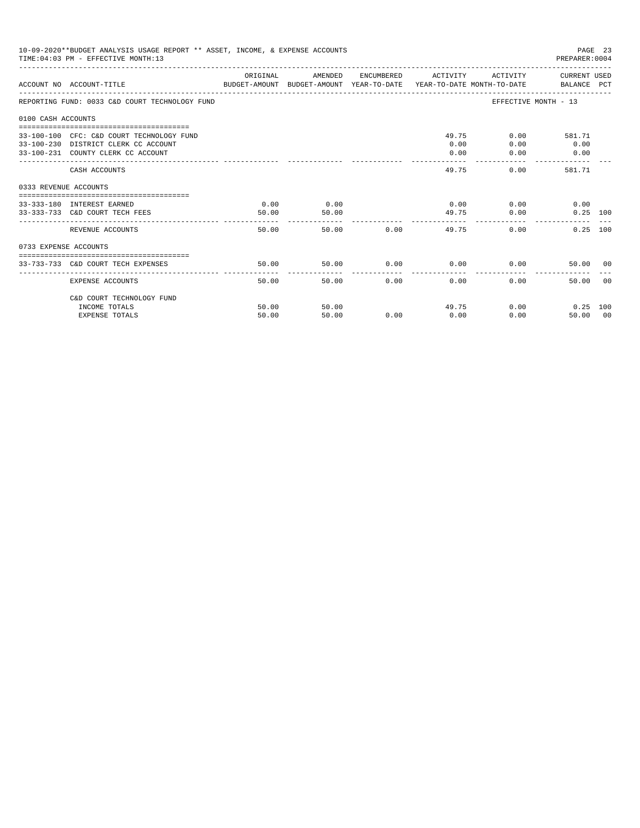|                       | 10-09-2020**BUDGET ANALYSIS USAGE REPORT ** ASSET, INCOME, & EXPENSE ACCOUNTS<br>TIME: 04:03 PM - EFFECTIVE MONTH: 13 |          |       |                             |             |             | PREPARER: 0004        | PAGE 23 |
|-----------------------|-----------------------------------------------------------------------------------------------------------------------|----------|-------|-----------------------------|-------------|-------------|-----------------------|---------|
|                       | ACCOUNT NO ACCOUNT-TITLE CONTROL TO A BUDGET-AMOUNT BUDGET-AMOUNT YEAR-TO-DATE YEAR-TO-DATE MONTH-TO-DATE BALANCE PCT | ORIGINAL |       | AMENDED ENCUMBERED ACTIVITY |             |             | ACTIVITY CURRENT USED |         |
|                       | REPORTING FUND: 0033 C&D COURT TECHNOLOGY FUND                                                                        |          |       |                             |             |             | EFFECTIVE MONTH - 13  |         |
| 0100 CASH ACCOUNTS    |                                                                                                                       |          |       |                             |             |             |                       |         |
|                       | 33-100-100 CFC: C&D COURT TECHNOLOGY FUND                                                                             |          |       |                             |             | 49.75       | $0.00$ 581.71         |         |
|                       | 33-100-230 DISTRICT CLERK CC ACCOUNT                                                                                  |          |       |                             | 0.00        | 0.00        | 0.00                  |         |
|                       | 33-100-231 COUNTY CLERK CC ACCOUNT                                                                                    |          |       |                             | 0.00        | 0.00        | 0.00                  |         |
|                       | CASH ACCOUNTS                                                                                                         |          |       |                             | 49.75       |             | 0.00<br>581.71        |         |
| 0333 REVENUE ACCOUNTS |                                                                                                                       |          |       |                             |             |             |                       |         |
|                       | 33-333-180 INTEREST EARNED                                                                                            | 0.00     | 0.00  |                             |             | $0.00$ 0.00 | 0.00                  |         |
|                       | 33-333-733 C&D COURT TECH FEES                                                                                        | 50.00    | 50.00 |                             |             | 49.75       | 0.00<br>$0.25$ 100    |         |
|                       | REVENUE ACCOUNTS                                                                                                      | 50.00    |       | 50.00 0.00                  |             | 49.75       | 0.00<br>$0.25$ 100    |         |
| 0733 EXPENSE ACCOUNTS |                                                                                                                       |          |       |                             |             |             |                       |         |
|                       |                                                                                                                       |          |       |                             |             |             |                       |         |
|                       | 33-733-733 C&D COURT TECH EXPENSES                                                                                    | 50.00    | 50.00 |                             | $0.00$ 0.00 |             | 0.00<br>50.00 00      |         |
|                       | EXPENSE ACCOUNTS                                                                                                      | 50.00    |       | 50.00                       | 0.00        | 0.00        | 0.00<br>50.00 00      |         |
|                       | C&D COURT TECHNOLOGY FUND                                                                                             |          |       |                             |             |             |                       |         |
|                       | INCOME TOTALS                                                                                                         | 50.00    | 50.00 |                             |             | 49.75       | 0.00<br>$0.25$ 100    |         |
|                       | <b>EXPENSE TOTALS</b>                                                                                                 | 50.00    | 50.00 | 0.00                        | 0.00        | 0.00        | 50.00 00              |         |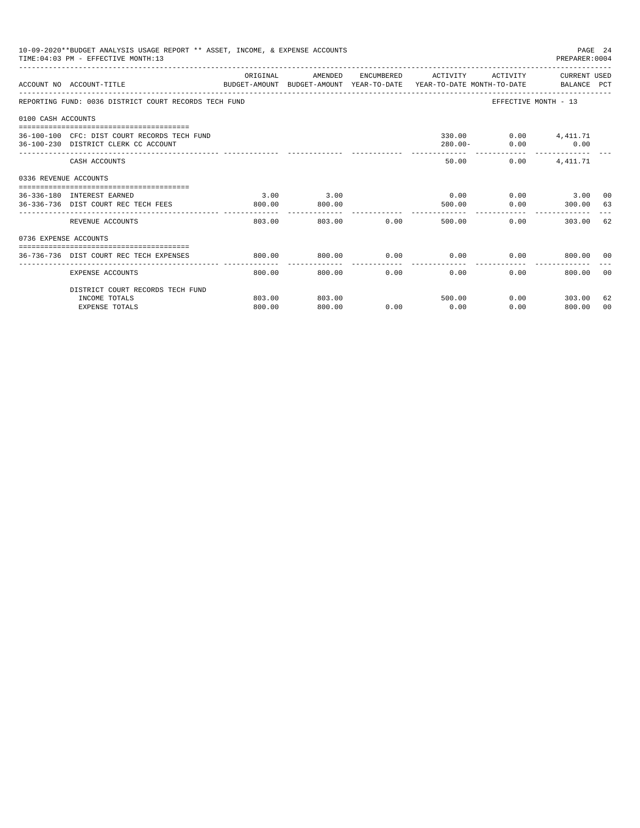|                       | 10-09-2020**BUDGET ANALYSIS USAGE REPORT ** ASSET, INCOME, & EXPENSE ACCOUNTS<br>TIME: 04:03 PM - EFFECTIVE MONTH: 13 |                         |                |                          |                                                                                                                                                                                                                                |                          | PAGE 24<br>PREPARER: 0004          |                |
|-----------------------|-----------------------------------------------------------------------------------------------------------------------|-------------------------|----------------|--------------------------|--------------------------------------------------------------------------------------------------------------------------------------------------------------------------------------------------------------------------------|--------------------------|------------------------------------|----------------|
|                       | ACCOUNT NO ACCOUNT-TITLE COMPRESS TO DUDGET-AMOUNT BUDGET-AMOUNT YEAR-TO-DATE YEAR-TO-DATE MONTH-TO-DATE BALANCE PCT  | ORIGINAL                |                |                          | AMENDED ENCUMBERED ACTIVITY ACTIVITY CURRENT USED                                                                                                                                                                              |                          |                                    |                |
|                       | REPORTING FUND: 0036 DISTRICT COURT RECORDS TECH FUND                                                                 |                         |                |                          |                                                                                                                                                                                                                                | EFFECTIVE MONTH - 13     |                                    |                |
| 0100 CASH ACCOUNTS    |                                                                                                                       |                         |                |                          |                                                                                                                                                                                                                                |                          |                                    |                |
|                       | 36-100-100 CFC: DIST COURT RECORDS TECH FUND<br>36-100-230 DISTRICT CLERK CC ACCOUNT                                  |                         |                |                          | $280.00 -$                                                                                                                                                                                                                     | 330.00   0.00   4,411.71 | $0.00$ 0.00                        |                |
|                       | CASH ACCOUNTS                                                                                                         |                         |                |                          | 50.00                                                                                                                                                                                                                          | 0.00                     | 4, 411.71                          |                |
| 0336 REVENUE ACCOUNTS |                                                                                                                       |                         |                |                          |                                                                                                                                                                                                                                |                          |                                    |                |
|                       | -----------------------------------<br>36-336-180 INTEREST EARNED<br>36-336-736 DIST COURT REC TECH FEES              | 3.00<br>800.00          | 3.00<br>800.00 |                          | 0.00<br>500.00                                                                                                                                                                                                                 |                          | $0.00$ 3.00 00<br>$0.00$ 300.00 63 |                |
|                       | REVENUE ACCOUNTS                                                                                                      | -------------<br>803.00 | ------------   | 803.00 0.00              | .<br>500.00                                                                                                                                                                                                                    | $0.00$ and $0.00$        | 303.00 62                          |                |
| 0736 EXPENSE ACCOUNTS |                                                                                                                       |                         |                |                          |                                                                                                                                                                                                                                |                          |                                    |                |
|                       | 36-736-736 DIST COURT REC TECH EXPENSES                                                                               | 800.00                  | 800.00         |                          | $0.00$ $0.00$ $0.00$ $0.00$ $0.00$ $0.00$ $0.00$ $0.00$ $0.00$ $0.00$ $0.00$ $0.00$ $0.00$ $0.00$ $0.00$ $0.00$ $0.00$ $0.00$ $0.00$ $0.00$ $0.00$ $0.00$ $0.00$ $0.00$ $0.00$ $0.00$ $0.00$ $0.00$ $0.00$ $0.00$ $0.00$ $0.0$ |                          |                                    |                |
|                       | EXPENSE ACCOUNTS                                                                                                      | 800.00                  | 800.00         | ------------<br>$0.00 -$ | .<br>0.00                                                                                                                                                                                                                      | 0.00                     | 800.00 00                          |                |
|                       | DISTRICT COURT RECORDS TECH FUND                                                                                      |                         |                |                          |                                                                                                                                                                                                                                |                          |                                    |                |
|                       | INCOME TOTALS                                                                                                         | 803.00                  | 803.00         |                          | 500.00                                                                                                                                                                                                                         |                          | $0.00$ 303.00                      | 62             |
|                       | <b>EXPENSE TOTALS</b>                                                                                                 | 800.00                  | 800.00         | 0.00                     | 0.00                                                                                                                                                                                                                           | 0.00                     | 800.00                             | 0 <sub>0</sub> |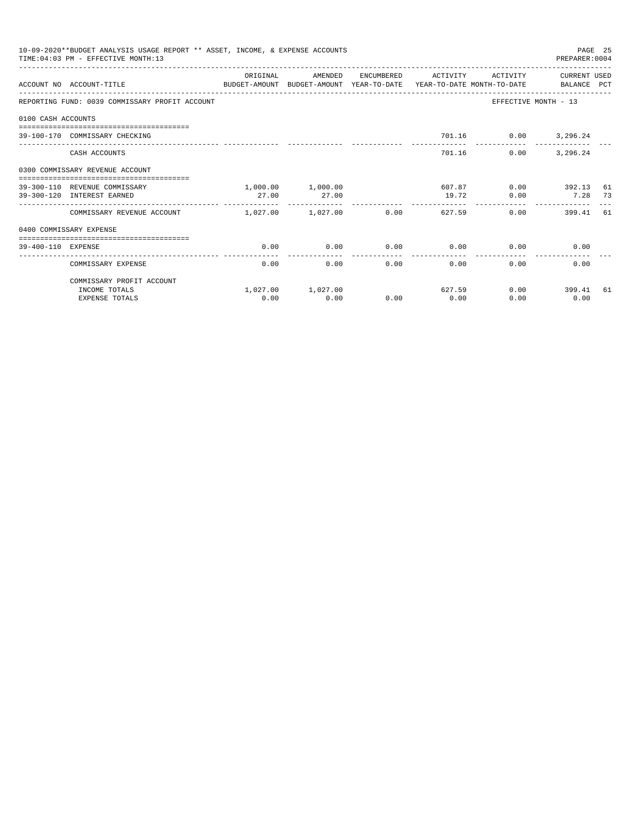|                    | 10-09-2020**BUDGET ANALYSIS USAGE REPORT ** ASSET, INCOME, & EXPENSE ACCOUNTS<br>TIME: 04:03 PM - EFFECTIVE MONTH: 13 |                            |                   |                      |                           |                          | PREPARER: 0004       | PAGE 25 |
|--------------------|-----------------------------------------------------------------------------------------------------------------------|----------------------------|-------------------|----------------------|---------------------------|--------------------------|----------------------|---------|
|                    | ACCOUNT NO ACCOUNT-TITLE<br>BUDGET-AMOUNT BUDGET-AMOUNT YEAR-TO-DATE YEAR-TO-DATE MONTH-TO-DATE BALANCE PCT           | OR TGTNAL                  | AMENDED           | ENCUMBERED           | ACTIVITY                  | ACTIVITY                 | CURRENT USED         |         |
|                    | REPORTING FUND: 0039 COMMISSARY PROFIT ACCOUNT                                                                        |                            |                   |                      |                           |                          | EFFECTIVE MONTH - 13 |         |
| 0100 CASH ACCOUNTS |                                                                                                                       |                            |                   |                      |                           |                          |                      |         |
|                    | 39-100-170 COMMISSARY CHECKING                                                                                        |                            |                   |                      |                           | 701.16   0.00   3,296.24 |                      |         |
|                    | CASH ACCOUNTS                                                                                                         |                            |                   |                      | 701.16                    | 0.00                     | 3,296.24             |         |
|                    | 0300 COMMISSARY REVENUE ACCOUNT                                                                                       |                            |                   |                      |                           |                          |                      |         |
|                    | 39-300-110 REVENUE COMMISSARY                                                                                         |                            | 1,000.00 1,000.00 |                      |                           | 607.87                   | $0.00$ 392.13        | 61      |
|                    | 39-300-120 INTEREST EARNED                                                                                            | 27.00                      | 27.00             |                      | 19.72<br>---------------- | 0.00                     | 7.28 73              |         |
|                    | COMMISSARY REVENUE ACCOUNT                                                                                            | $1.027.00$ $1.027.00$ 0.00 |                   |                      | 627.59                    |                          | 0.00<br>399.41 61    |         |
|                    | 0400 COMMISSARY EXPENSE                                                                                               |                            |                   |                      |                           |                          |                      |         |
| 39-400-110 EXPENSE |                                                                                                                       | 0.00                       | 0.00              | 0.00                 | 0.00                      |                          | 0.00<br>0.00         |         |
|                    | COMMISSARY EXPENSE                                                                                                    | 0.00                       | 0.00              | ------------<br>0.00 | -------------<br>0.00     | 0.00                     | 0.00                 |         |
|                    | COMMISSARY PROFIT ACCOUNT                                                                                             |                            |                   |                      |                           |                          |                      |         |
|                    | INCOME TOTALS                                                                                                         |                            | 1,027.00 1,027.00 |                      | 627.59                    |                          | $0.00$ 399.41        | 61      |
|                    | <b>EXPENSE TOTALS</b>                                                                                                 | 0.00                       | 0.00              | 0.00                 | 0.00                      | 0.00                     | 0.00                 |         |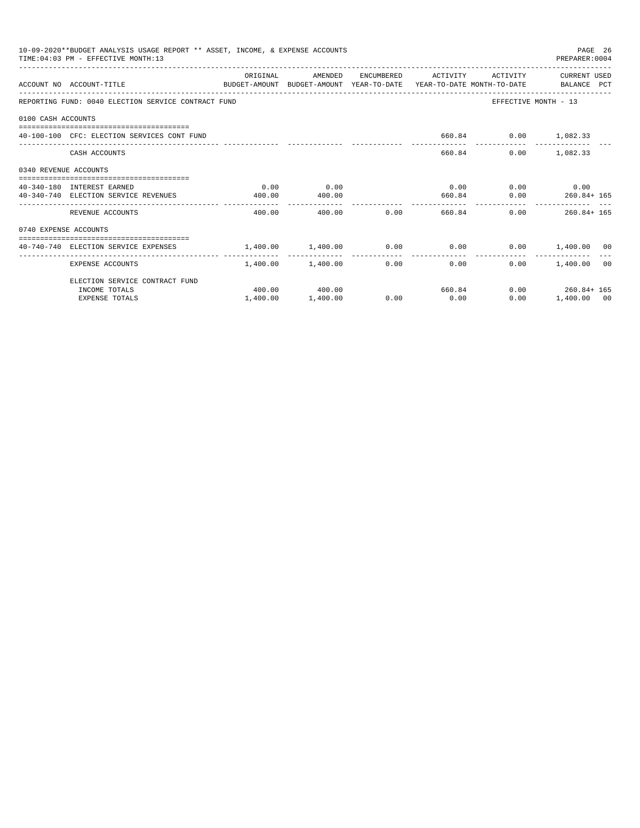|                                                                                                                                                                                                                                                                                                                                                                                                                                                                                                                                                                                                                                                                                                                                                                                                                                                                                                                                                                                                                                                                                                                                             |                       |          |          |      |  | PAGE 26<br>PREPARER: 0004 |  |
|---------------------------------------------------------------------------------------------------------------------------------------------------------------------------------------------------------------------------------------------------------------------------------------------------------------------------------------------------------------------------------------------------------------------------------------------------------------------------------------------------------------------------------------------------------------------------------------------------------------------------------------------------------------------------------------------------------------------------------------------------------------------------------------------------------------------------------------------------------------------------------------------------------------------------------------------------------------------------------------------------------------------------------------------------------------------------------------------------------------------------------------------|-----------------------|----------|----------|------|--|---------------------------|--|
|                                                                                                                                                                                                                                                                                                                                                                                                                                                                                                                                                                                                                                                                                                                                                                                                                                                                                                                                                                                                                                                                                                                                             |                       | ORIGINAL |          |      |  | CURRENT USED              |  |
| 10-09-2020**BUDGET ANALYSIS USAGE REPORT ** ASSET, INCOME, & EXPENSE ACCOUNTS<br>TIME: 04:03 PM - EFFECTIVE MONTH: 13<br>AMENDED<br>ENCUMBERED ACTIVITY ACTIVITY<br>ACCOUNT NO ACCOUNT-TITLE CONTROL PROTOCOLLY BUDGET-AMOUNT BUDGET-AMOUNT YEAR-TO-DATE YEAR-TO-DATE MONTH-TO-DATE<br>REPORTING FUND: 0040 ELECTION SERVICE CONTRACT FUND<br>EFFECTIVE MONTH - 13<br>0100 CASH ACCOUNTS<br>40-100-100 CFC: ELECTION SERVICES CONT FUND<br>660.84 0.00 1,082.33<br>660.84<br>$0.00$ 1,082.33<br>CASH ACCOUNTS<br>0340 REVENUE ACCOUNTS<br>0.00<br>0.00<br>$0.00$ $0.00$ $0.00$ $0.00$<br>40-340-180 INTEREST EARNED<br>660.84 0.00 260.84+ 165<br>40-340-740 ELECTION SERVICE REVENUES<br>400.00<br>400.00<br>400.00<br>400.00 0.00<br>$0.00$ 260.84+165<br>REVENUE ACCOUNTS<br>660.84<br>0740 EXPENSE ACCOUNTS<br>$1,400.00$ $0.00$ $0.00$ $0.00$ $0.00$ $0.00$ $0.00$ $0.00$ $0.00$ $0.00$ $0.00$ $0.00$ $0.00$ $0.00$<br>1,400.00 1,400.00<br>0.00<br>$0.00$ and $0.00$<br>$0.00$ 1.400.00 00<br>EXPENSE ACCOUNTS<br>ELECTION SERVICE CONTRACT FUND<br>$0.00$ $260.84 + 165$<br>400.00 400.00<br>660.84<br>INCOME TOTALS<br>0.00<br>0.00 |                       |          |          |      |  |                           |  |
|                                                                                                                                                                                                                                                                                                                                                                                                                                                                                                                                                                                                                                                                                                                                                                                                                                                                                                                                                                                                                                                                                                                                             |                       |          |          |      |  |                           |  |
|                                                                                                                                                                                                                                                                                                                                                                                                                                                                                                                                                                                                                                                                                                                                                                                                                                                                                                                                                                                                                                                                                                                                             |                       |          |          |      |  |                           |  |
|                                                                                                                                                                                                                                                                                                                                                                                                                                                                                                                                                                                                                                                                                                                                                                                                                                                                                                                                                                                                                                                                                                                                             |                       |          |          |      |  |                           |  |
|                                                                                                                                                                                                                                                                                                                                                                                                                                                                                                                                                                                                                                                                                                                                                                                                                                                                                                                                                                                                                                                                                                                                             |                       |          |          |      |  |                           |  |
|                                                                                                                                                                                                                                                                                                                                                                                                                                                                                                                                                                                                                                                                                                                                                                                                                                                                                                                                                                                                                                                                                                                                             |                       |          |          |      |  |                           |  |
|                                                                                                                                                                                                                                                                                                                                                                                                                                                                                                                                                                                                                                                                                                                                                                                                                                                                                                                                                                                                                                                                                                                                             |                       |          |          |      |  |                           |  |
|                                                                                                                                                                                                                                                                                                                                                                                                                                                                                                                                                                                                                                                                                                                                                                                                                                                                                                                                                                                                                                                                                                                                             |                       |          |          |      |  |                           |  |
|                                                                                                                                                                                                                                                                                                                                                                                                                                                                                                                                                                                                                                                                                                                                                                                                                                                                                                                                                                                                                                                                                                                                             |                       |          |          |      |  |                           |  |
|                                                                                                                                                                                                                                                                                                                                                                                                                                                                                                                                                                                                                                                                                                                                                                                                                                                                                                                                                                                                                                                                                                                                             |                       |          |          |      |  |                           |  |
|                                                                                                                                                                                                                                                                                                                                                                                                                                                                                                                                                                                                                                                                                                                                                                                                                                                                                                                                                                                                                                                                                                                                             |                       |          |          |      |  |                           |  |
|                                                                                                                                                                                                                                                                                                                                                                                                                                                                                                                                                                                                                                                                                                                                                                                                                                                                                                                                                                                                                                                                                                                                             |                       |          |          |      |  |                           |  |
|                                                                                                                                                                                                                                                                                                                                                                                                                                                                                                                                                                                                                                                                                                                                                                                                                                                                                                                                                                                                                                                                                                                                             |                       |          |          |      |  |                           |  |
|                                                                                                                                                                                                                                                                                                                                                                                                                                                                                                                                                                                                                                                                                                                                                                                                                                                                                                                                                                                                                                                                                                                                             |                       |          |          |      |  |                           |  |
|                                                                                                                                                                                                                                                                                                                                                                                                                                                                                                                                                                                                                                                                                                                                                                                                                                                                                                                                                                                                                                                                                                                                             | <b>EXPENSE TOTALS</b> | 1,400.00 | 1,400.00 | 0.00 |  | 1,400.00 00               |  |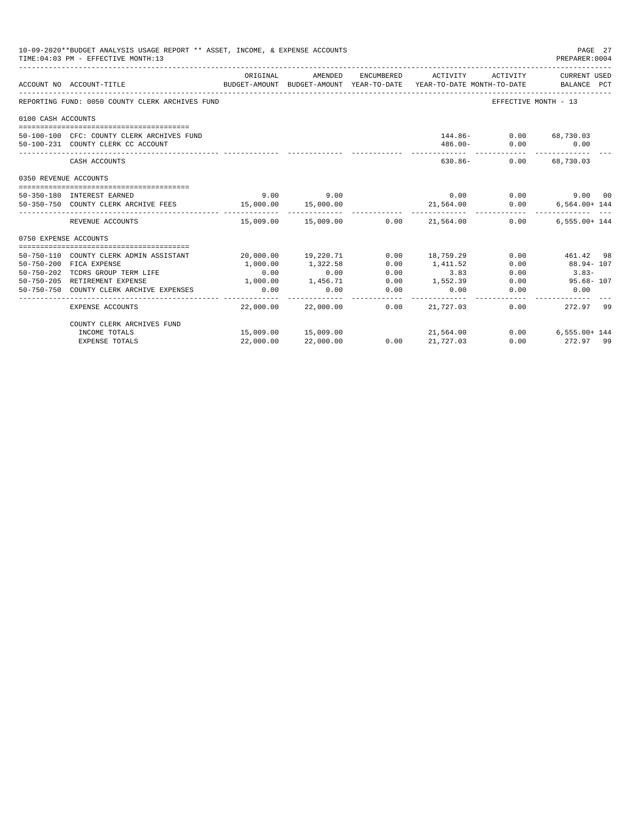|                       | 10-09-2020**BUDGET ANALYSIS USAGE REPORT ** ASSET, INCOME, & EXPENSE ACCOUNTS<br>TIME: 04:03 PM - EFFECTIVE MONTH: 13 |           |                     |                      |                                            |                                           | PAGE 27<br>PREPARER: 0004                                                                       |
|-----------------------|-----------------------------------------------------------------------------------------------------------------------|-----------|---------------------|----------------------|--------------------------------------------|-------------------------------------------|-------------------------------------------------------------------------------------------------|
|                       | ACCOUNT NO ACCOUNT-TITLE                                                                                              | ORIGINAL  | AMENDED             |                      | ENCUMBERED ACTIVITY                        | ACTIVITY                                  | CURRENT USED<br>BUDGET-AMOUNT BUDGET-AMOUNT YEAR-TO-DATE YEAR-TO-DATE MONTH-TO-DATE BALANCE PCT |
|                       | REPORTING FUND: 0050 COUNTY CLERK ARCHIVES FUND                                                                       |           |                     |                      |                                            | EFFECTIVE MONTH - 13                      |                                                                                                 |
| 0100 CASH ACCOUNTS    |                                                                                                                       |           |                     |                      |                                            |                                           |                                                                                                 |
|                       | 50-100-100 CFC: COUNTY CLERK ARCHIVES FUND<br>50-100-231 COUNTY CLERK CC ACCOUNT                                      |           |                     |                      |                                            | 144.86- 0.00 68,730.03<br>$486.00 - 0.00$ | 0.00                                                                                            |
|                       | CASH ACCOUNTS                                                                                                         |           |                     |                      | 630.86-                                    | 0.00                                      | 68,730.03                                                                                       |
| 0350 REVENUE ACCOUNTS |                                                                                                                       |           |                     |                      |                                            |                                           |                                                                                                 |
|                       | 50-350-180 INTEREST EARNED                                                                                            | 9.00      | 9.00                |                      | 0.00                                       |                                           | 0.00<br>9.00 00                                                                                 |
|                       | 50-350-750 COUNTY CLERK ARCHIVE FEES                                                                                  | 15,000.00 | 15,000.00           |                      | 21,564.00                                  | 0.00                                      | $6,564.00+144$                                                                                  |
|                       | REVENUE ACCOUNTS                                                                                                      |           |                     |                      | $15.009.00$ $15.009.00$ $0.00$ $21.564.00$ | 0.00                                      | $6.555.00 + 144$                                                                                |
| 0750 EXPENSE ACCOUNTS |                                                                                                                       |           |                     |                      |                                            |                                           |                                                                                                 |
|                       | 50-750-110 COUNTY CLERK ADMIN ASSISTANT                                                                               |           | 20,000.00 19,220.71 | 0.00                 | 18,759.29                                  | 0.00                                      | 461.42 98                                                                                       |
|                       | 50-750-200 FICA EXPENSE                                                                                               | 1,000.00  | 1,322.58            | 0.00                 | 1,411.52                                   | 0.00                                      | 88.94- 107                                                                                      |
|                       | 50-750-202 TCDRS GROUP TERM LIFE                                                                                      | 0.00      | 0.00                | 0.00                 | 3.83                                       | 0.00                                      | $3.83-$                                                                                         |
|                       | 50-750-205 RETIREMENT EXPENSE                                                                                         | 1,000.00  | 1,456.71            | 0.00                 | 1,552.39                                   | 0.00                                      | $95.68 - 107$                                                                                   |
|                       | 50-750-750 COUNTY CLERK ARCHIVE EXPENSES                                                                              | 0.00      | 0.00                | 0.00                 | 0.00                                       | 0.00                                      | 0.00                                                                                            |
|                       | EXPENSE ACCOUNTS                                                                                                      | 22,000.00 | 22,000.00           | . <u>.</u> .<br>0.00 | 21,727.03                                  | 0.00                                      | 272.97 99                                                                                       |
|                       | COUNTY CLERK ARCHIVES FUND                                                                                            |           |                     |                      |                                            |                                           |                                                                                                 |
|                       | INCOME TOTALS                                                                                                         |           | 15,009.00 15,009.00 |                      | 21,564.00                                  |                                           | $0.00$ 6,555.00+ 144                                                                            |
|                       | <b>EXPENSE TOTALS</b>                                                                                                 | 22,000.00 | 22,000.00           | 0.00                 | 21,727.03                                  | 0.00                                      | 272.97 99                                                                                       |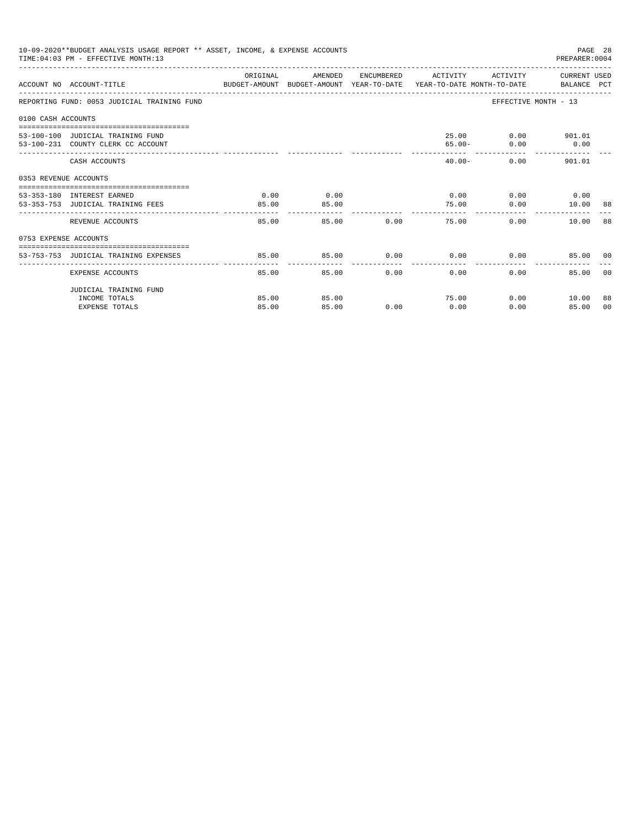|                       | 10-09-2020**BUDGET ANALYSIS USAGE REPORT ** ASSET, INCOME, & EXPENSE ACCOUNTS<br>TIME: 04:03 PM - EFFECTIVE MONTH: 13 |               |               |               |                       |                                           | PREPARER: 0004               | PAGE 28 |
|-----------------------|-----------------------------------------------------------------------------------------------------------------------|---------------|---------------|---------------|-----------------------|-------------------------------------------|------------------------------|---------|
|                       | ACCOUNT NO ACCOUNT-TITLE CONTROL PROTECT-AMOUNT BUDGET-AMOUNT YEAR-TO-DATE YEAR-TO-DATE MONTH-TO-DATE BALANCE PCT     | ORIGINAL      | AMENDED       |               |                       | ENCUMBERED ACTIVITY ACTIVITY CURRENT USED |                              |         |
|                       | REPORTING FUND: 0053 JUDICIAL TRAINING FUND                                                                           |               |               |               |                       |                                           | EFFECTIVE MONTH - 13         |         |
| 0100 CASH ACCOUNTS    |                                                                                                                       |               |               |               |                       |                                           |                              |         |
|                       | 53-100-100 JUDICIAL TRAINING FUND<br>53-100-231 COUNTY CLERK CC ACCOUNT                                               |               |               |               |                       | 25.00<br>$65.00 -$                        | $0.00$ 901.01<br>$0.00$ 0.00 |         |
|                       | CASH ACCOUNTS                                                                                                         |               |               |               |                       | $40.00 -$                                 | $0.00$ 901.01                |         |
| 0353 REVENUE ACCOUNTS |                                                                                                                       |               |               |               |                       |                                           |                              |         |
|                       | 53-353-180 INTEREST EARNED<br>53-353-753 JUDICIAL TRAINING FEES                                                       | 0.00<br>85.00 | 0.00<br>85.00 |               | 75.00                 | $0.00$ 0.00 0.00 0.00                     | $0.00$ 10.00 88              |         |
|                       | ____________________________<br>REVENUE ACCOUNTS                                                                      | .<br>85.00    |               | 0.00<br>85.00 | -------               | 75.00                                     | 0.00<br>10.00 88             |         |
| 0753 EXPENSE ACCOUNTS |                                                                                                                       |               |               |               |                       |                                           |                              |         |
|                       | 53-753-753 JUDICIAL TRAINING EXPENSES                                                                                 | 85.00         | 85.00         |               |                       | $0.00$ $0.00$ $0.00$ $0.00$               | 85.00 00                     |         |
|                       | EXPENSE ACCOUNTS                                                                                                      | 85.00         |               | 0.00<br>85.00 | -------------<br>0.00 | 0.00                                      | 85.00                        | - 0.0   |
|                       | JUDICIAL TRAINING FUND                                                                                                |               |               |               |                       |                                           |                              |         |
|                       | INCOME TOTALS                                                                                                         | 85.00         | 85.00         |               |                       | 75.00                                     | $0.00$ 10.00                 | 88      |
|                       | <b>EXPENSE TOTALS</b>                                                                                                 | 85.00         | 85.00         | 0.00          | 0.00                  | 0.00                                      | 85.00                        | 00      |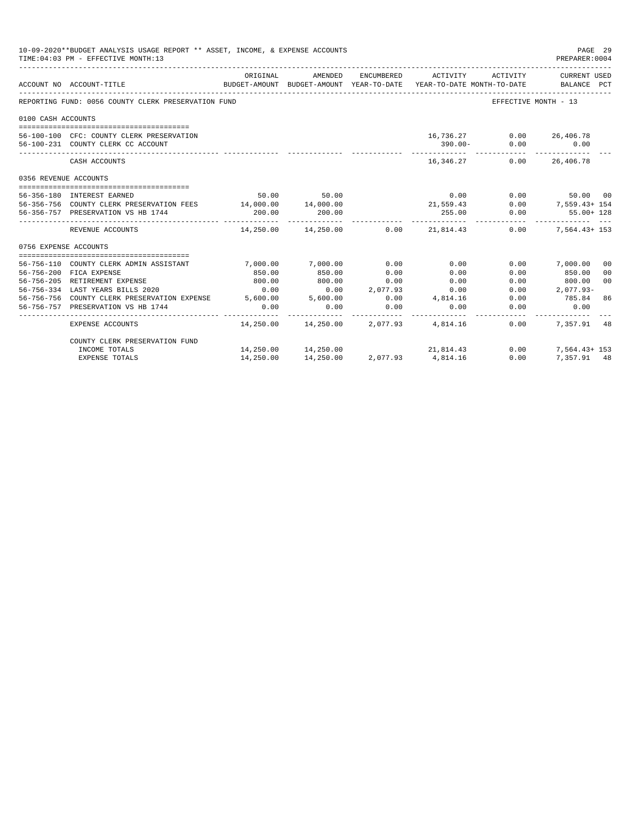|                       | 10-09-2020**BUDGET ANALYSIS USAGE REPORT ** ASSET, INCOME, & EXPENSE ACCOUNTS<br>PAGE 29<br>TIME: 04:03 PM - EFFECTIVE MONTH: 13<br>PREPARER: 0004 |           |                                            |            |                                                                                                                    |          |                             |  |  |  |
|-----------------------|----------------------------------------------------------------------------------------------------------------------------------------------------|-----------|--------------------------------------------|------------|--------------------------------------------------------------------------------------------------------------------|----------|-----------------------------|--|--|--|
|                       | ACCOUNT NO ACCOUNT-TITLE                                                                                                                           | ORIGINAL  | AMENDED<br>------------------------------- | ENCUMBERED | ACTIVITY<br>BUDGET-AMOUNT BUDGET-AMOUNT YEAR-TO-DATE YEAR-TO-DATE MONTH-TO-DATE<br>------------------------------- | ACTIVITY | CURRENT USED<br>BALANCE PCT |  |  |  |
|                       | REPORTING FUND: 0056 COUNTY CLERK PRESERVATION FUND                                                                                                |           |                                            |            |                                                                                                                    |          | EFFECTIVE MONTH - 13        |  |  |  |
| 0100 CASH ACCOUNTS    |                                                                                                                                                    |           |                                            |            |                                                                                                                    |          |                             |  |  |  |
|                       |                                                                                                                                                    |           |                                            |            |                                                                                                                    |          |                             |  |  |  |
|                       | 56-100-100 CFC: COUNTY CLERK PRESERVATION                                                                                                          |           |                                            |            | 16,736.27                                                                                                          |          | $0.00$ 26,406.78            |  |  |  |
|                       | 56-100-231 COUNTY CLERK CC ACCOUNT                                                                                                                 |           |                                            |            | $390.00 -$                                                                                                         | 0.00     | 0.00<br>-----------         |  |  |  |
|                       | CASH ACCOUNTS                                                                                                                                      |           |                                            |            | 16, 346, 27                                                                                                        |          | $0.00$ 26,406.78            |  |  |  |
| 0356 REVENUE ACCOUNTS |                                                                                                                                                    |           |                                            |            |                                                                                                                    |          |                             |  |  |  |
|                       |                                                                                                                                                    |           |                                            |            |                                                                                                                    |          |                             |  |  |  |
|                       | 56-356-180 INTEREST EARNED                                                                                                                         |           | 50.00 50.00                                |            | 0.00                                                                                                               |          | 0.00<br>50.00 00            |  |  |  |
|                       | 56-356-756 COUNTY CLERK PRESERVATION FEES 14,000.00 14,000.00                                                                                      |           |                                            |            | 21,559.43                                                                                                          |          | $0.00$ 7,559.43+ 154        |  |  |  |
|                       | 56-356-757 PRESERVATION VS HB 1744                                                                                                                 | 200.00    | 200.00                                     |            | 255.00<br>. _ _ _ _ _ _ _ _ _ _                                                                                    | 0.00     | $55.00 + 128$<br>. <u>.</u> |  |  |  |
|                       | REVENUE ACCOUNTS                                                                                                                                   |           |                                            |            | $14,250.00$ $14,250.00$ $0.00$ $21,814.43$                                                                         |          | $0.00$ 7,564.43+153         |  |  |  |
| 0756 EXPENSE ACCOUNTS |                                                                                                                                                    |           |                                            |            |                                                                                                                    |          |                             |  |  |  |
|                       |                                                                                                                                                    |           |                                            |            |                                                                                                                    |          |                             |  |  |  |
|                       | 56-756-110 COUNTY CLERK ADMIN ASSISTANT                                                                                                            | 7,000.00  | 7,000.00                                   | 0.00       | 0.00                                                                                                               | 0.00     | 7,000.00<br>0 <sup>0</sup>  |  |  |  |
|                       | 56-756-200 FICA EXPENSE                                                                                                                            | 850.00    | 850.00                                     | 0.00       | 0.00                                                                                                               | 0.00     | 850.00<br>00                |  |  |  |
|                       | 56-756-205 RETIREMENT EXPENSE                                                                                                                      | 800.00    | 800.00                                     | 0.00       | 0.00                                                                                                               | 0.00     | 0 <sup>0</sup><br>800.00    |  |  |  |
|                       | 0.00 0.00 0.00<br>56-756-756 COUNTY CLERK PRESERVATION EXPENSE 5,600.00 5,600.00<br>56-756-757 DEFORMIZATION VOLUE 1711                            |           |                                            | 2,077.93   | 0.00                                                                                                               | 0.00     | $2,077.93-$                 |  |  |  |
|                       |                                                                                                                                                    |           |                                            | 0.00       | 4,814.16                                                                                                           | 0.00     | 785.84<br>86                |  |  |  |
|                       | 56-756-757 PRESERVATION VS HB 1744                                                                                                                 | 0.00      | 0.00<br>------------                       | 0.00       | 0.00                                                                                                               | 0.00     | 0.00                        |  |  |  |
|                       | EXPENSE ACCOUNTS                                                                                                                                   |           |                                            |            | $14.250.00$ $14.250.00$ $2.077.93$ $4.814.16$                                                                      | 0.00     | 7.357.91 48                 |  |  |  |
|                       | COUNTY CLERK PRESERVATION FUND                                                                                                                     |           |                                            |            |                                                                                                                    |          |                             |  |  |  |
|                       | INCOME TOTALS                                                                                                                                      |           | 14,250.00 14,250.00                        |            | 21,814.43                                                                                                          | 0.00     | $7.564.43 + 153$            |  |  |  |
|                       | <b>EXPENSE TOTALS</b>                                                                                                                              | 14,250.00 | 14,250.00                                  | 2,077.93   | 4,814.16                                                                                                           | 0.00     | 7.357.91 48                 |  |  |  |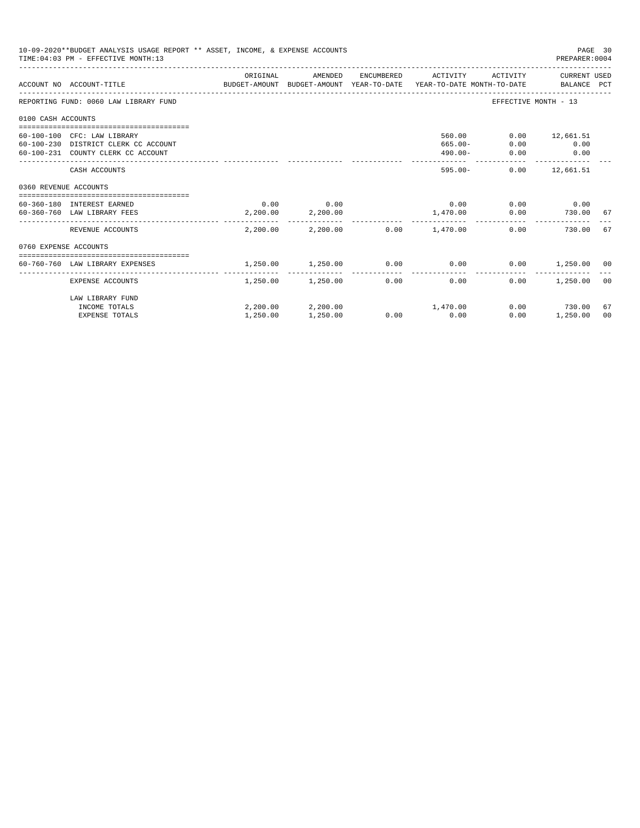|                       | 10-09-2020**BUDGET ANALYSIS USAGE REPORT ** ASSET, INCOME, & EXPENSE ACCOUNTS<br>TIME: 04:03 PM - EFFECTIVE MONTH: 13 |                   |                            |                                         |                      | PAGE 30<br>PREPARER: 0004 |    |
|-----------------------|-----------------------------------------------------------------------------------------------------------------------|-------------------|----------------------------|-----------------------------------------|----------------------|---------------------------|----|
|                       | ACCOUNT NO ACCOUNT-TITLE THE BUDGET-AMOUNT BUDGET-AMOUNT VEAR-TO-DATE YEAR-TO-DATE MONTH-TO-DATE BALANCE PCT          | ORIGINAL          | AMENDED                    | ENCUMBERED ACTIVITY                     |                      | ACTIVITY CURRENT USED     |    |
|                       | REPORTING FUND: 0060 LAW LIBRARY FUND                                                                                 |                   |                            |                                         | EFFECTIVE MONTH - 13 |                           |    |
| 0100 CASH ACCOUNTS    |                                                                                                                       |                   |                            |                                         |                      |                           |    |
|                       |                                                                                                                       |                   |                            |                                         |                      |                           |    |
|                       | 60-100-100 CFC: LAW LIBRARY                                                                                           |                   |                            | 560.00                                  |                      | $0.00$ 12,661.51          |    |
|                       | 60-100-230 DISTRICT CLERK CC ACCOUNT                                                                                  |                   |                            | $665.00 -$                              | 0.00                 | 0.00                      |    |
|                       | 60-100-231 COUNTY CLERK CC ACCOUNT                                                                                    |                   |                            | $490.00 -$                              | 0.00                 | 0.00                      |    |
|                       | CASH ACCOUNTS                                                                                                         |                   |                            | $595.00 -$                              |                      | $0.00$ 12,661.51          |    |
| 0360 REVENUE ACCOUNTS |                                                                                                                       |                   |                            |                                         |                      |                           |    |
|                       | 60-360-180 INTEREST EARNED                                                                                            |                   | $0.00$ $0.00$              | 0.00                                    |                      | $0.00$ 0.00               |    |
|                       | 60-360-760 LAW LIBRARY FEES                                                                                           |                   | 2,200.00 2,200.00          | 1,470.00 0.00                           |                      | 730.00 67                 |    |
|                       | REVENUE ACCOUNTS                                                                                                      |                   |                            | $2,200.00$ $2,200.00$ $0.00$ $1,470.00$ | 0.00                 | 730.00                    | 67 |
| 0760 EXPENSE ACCOUNTS |                                                                                                                       |                   |                            |                                         |                      |                           |    |
|                       |                                                                                                                       |                   |                            |                                         |                      |                           |    |
|                       | 60-760-760 LAW LIBRARY EXPENSES                                                                                       | 1,250.00 1,250.00 |                            | $0.00$ 0.00                             |                      | $0.00$ 1,250.00 00        |    |
|                       | EXPENSE ACCOUNTS                                                                                                      |                   | $1.250.00$ $1.250.00$ 0.00 | 0.00                                    | 0.00                 | 1,250.00                  | 00 |
|                       | LAW LIBRARY FUND                                                                                                      |                   |                            |                                         |                      |                           |    |
|                       | INCOME TOTALS                                                                                                         |                   |                            | $2,200.00$ $2,200.00$ $1,470.00$        |                      | $0.00$ 730.00             | 67 |
|                       | <b>EXPENSE TOTALS</b>                                                                                                 | 1,250.00          | 1,250.00                   | $0.00$ 0.00                             | 0.00                 | 1,250.00                  | 00 |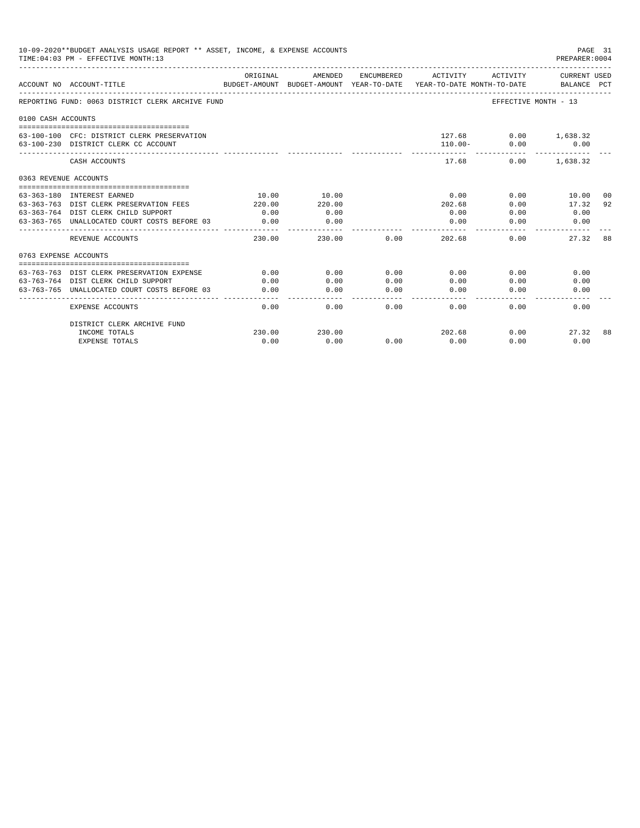|                       | 10-09-2020**BUDGET ANALYSIS USAGE REPORT ** ASSET, INCOME, & EXPENSE ACCOUNTS<br>TIME: 04:03 PM - EFFECTIVE MONTH: 13 |          |         |            |                                                                                 |                              | PAGE 31<br>PREPARER: 0004          |    |
|-----------------------|-----------------------------------------------------------------------------------------------------------------------|----------|---------|------------|---------------------------------------------------------------------------------|------------------------------|------------------------------------|----|
|                       | ACCOUNT NO ACCOUNT-TITLE                                                                                              | ORIGINAL | AMENDED | ENCUMBERED | ACTIVITY<br>BUDGET-AMOUNT BUDGET-AMOUNT YEAR-TO-DATE YEAR-TO-DATE_MONTH-TO-DATE | ACTIVITY                     | <b>CURRENT USED</b><br>BALANCE PCT |    |
|                       | REPORTING FUND: 0063 DISTRICT CLERK ARCHIVE FUND                                                                      |          |         |            |                                                                                 | EFFECTIVE MONTH - 13         |                                    |    |
| 0100 CASH ACCOUNTS    |                                                                                                                       |          |         |            |                                                                                 |                              |                                    |    |
|                       | 63-100-100 CFC: DISTRICT CLERK PRESERVATION<br>63-100-230 DISTRICT CLERK CC ACCOUNT                                   |          |         |            | $110.00 -$                                                                      | 127.68 0.00 1,638.32<br>0.00 | 0.00                               |    |
|                       | CASH ACCOUNTS                                                                                                         |          |         |            | 17.68                                                                           | 0.00                         | 1,638.32                           |    |
| 0363 REVENUE ACCOUNTS |                                                                                                                       |          |         |            |                                                                                 |                              |                                    |    |
|                       |                                                                                                                       |          |         |            |                                                                                 |                              |                                    |    |
|                       | 63-363-180 INTEREST EARNED                                                                                            | 10.00    | 10.00   |            | 0.00                                                                            | 0.00                         | 10.00                              | 00 |
|                       | 63-363-763 DIST CLERK PRESERVATION FEES                                                                               | 220.00   | 220.00  |            | 202.68                                                                          | 0.00                         | 17.32                              | 92 |
|                       | 63-363-764 DIST CLERK CHILD SUPPORT                                                                                   | 0.00     | 0.00    |            | 0.00                                                                            | 0.00                         | 0.00                               |    |
|                       | 63-363-765 UNALLOCATED COURT COSTS BEFORE 03                                                                          | 0.00     | 0.00    |            | 0.00                                                                            | 0.00                         | 0.00                               |    |
|                       | REVENUE ACCOUNTS                                                                                                      | 230.00   | 230.00  | 0.00       | 202.68                                                                          | 0.00                         | 27.32                              | 88 |
| 0763 EXPENSE ACCOUNTS |                                                                                                                       |          |         |            |                                                                                 |                              |                                    |    |
|                       |                                                                                                                       |          |         |            |                                                                                 |                              |                                    |    |
|                       | 63-763-763 DIST CLERK PRESERVATION EXPENSE                                                                            | 0.00     | 0.00    | 0.00       | 0.00                                                                            | 0.00                         | 0.00                               |    |
|                       | 63-763-764 DIST CLERK CHILD SUPPORT                                                                                   | 0.00     | 0.00    | 0.00       | 0.00                                                                            | 0.00                         | 0.00                               |    |
| 63-763-765            | UNALLOCATED COURT COSTS BEFORE 03                                                                                     | 0.00     | 0.00    | 0.00       | 0.00                                                                            | 0.00                         | 0.00                               |    |
|                       | <b>EXPENSE ACCOUNTS</b>                                                                                               | 0.00     | 0.00    | 0.00       | 0.00                                                                            | 0.00                         | 0.00                               |    |
|                       | DISTRICT CLERK ARCHIVE FUND                                                                                           |          |         |            |                                                                                 |                              |                                    |    |
|                       | INCOME TOTALS                                                                                                         | 230.00   | 230.00  |            | 202.68                                                                          | 0.00                         | 27.32                              | 88 |
|                       | <b>EXPENSE TOTALS</b>                                                                                                 | 0.00     | 0.00    | 0.00       | 0.00                                                                            | 0.00                         | 0.00                               |    |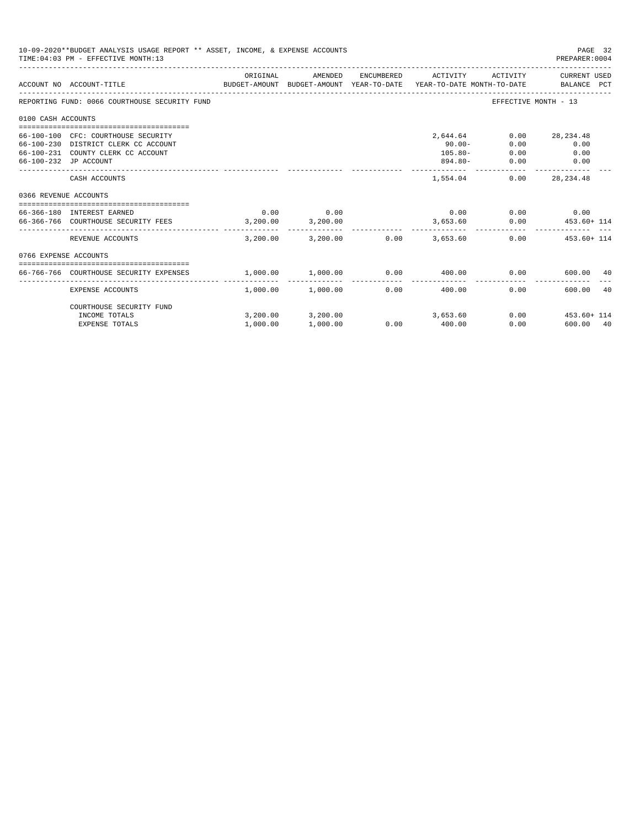|                       | 10-09-2020**BUDGET ANALYSIS USAGE REPORT ** ASSET, INCOME, & EXPENSE ACCOUNTS<br>TIME: 04:03 PM - EFFECTIVE MONTH: 13 |          |                               |              |                                |          | PAGE 32<br>PREPARER: 0004 |
|-----------------------|-----------------------------------------------------------------------------------------------------------------------|----------|-------------------------------|--------------|--------------------------------|----------|---------------------------|
|                       | BUDGET-AMOUNT BUDGET-AMOUNT YEAR-TO-DATE  YEAR-TO-DATE MONTH-TO-DATE     BALANCE PCT<br>ACCOUNT NO ACCOUNT-TITLE      | ORIGINAL | AMENDED                       |              | ENCUMBERED ACTIVITY            | ACTIVITY | CURRENT USED              |
|                       | REPORTING FUND: 0066 COURTHOUSE SECURITY FUND                                                                         |          |                               |              |                                |          | EFFECTIVE MONTH - 13      |
| 0100 CASH ACCOUNTS    |                                                                                                                       |          |                               |              |                                |          |                           |
|                       |                                                                                                                       |          |                               |              |                                |          |                           |
|                       | 66-100-100 CFC: COURTHOUSE SECURITY                                                                                   |          |                               |              | 2,644.64                       | 0.00     | 28, 234.48                |
|                       | 66-100-230 DISTRICT CLERK CC ACCOUNT                                                                                  |          |                               |              | $90.00 -$                      | 0.00     | 0.00                      |
|                       | 66-100-231 COUNTY CLERK CC ACCOUNT                                                                                    |          |                               |              | $105.80 -$                     | 0.00     | 0.00                      |
|                       | 66-100-232 JP ACCOUNT                                                                                                 |          |                               |              | $894.80 -$                     | 0.00     | 0.00                      |
|                       | CASH ACCOUNTS                                                                                                         |          |                               |              | 1,554.04                       | 0.00     | 28, 234.48                |
| 0366 REVENUE ACCOUNTS |                                                                                                                       |          |                               |              |                                |          |                           |
|                       | =================================                                                                                     |          |                               |              |                                |          |                           |
|                       | 66-366-180 INTEREST EARNED                                                                                            | 0.00     | 0.00                          |              | 0.00                           |          | $0.00$ 0.00               |
|                       | 66-366-766 COURTHOUSE SECURITY FEES 3,200.00                                                                          |          | 3,200.00                      |              | 3,653.60                       |          | $0.00$ $453.60 + 114$     |
|                       | REVENUE ACCOUNTS                                                                                                      | 3,200.00 | 3,200.00                      |              | $0.00$ 3,653.60                |          | $0.00$ $453.60 + 114$     |
| 0766 EXPENSE ACCOUNTS |                                                                                                                       |          |                               |              |                                |          |                           |
|                       |                                                                                                                       |          |                               |              |                                |          |                           |
|                       | 66-766-766 COURTHOUSE SECURITY EXPENSES                                                                               | 1,000.00 | 1,000.00                      | ------------ | $0.00$ 400.00<br>------------- | 0.00     | 600.00<br>40              |
|                       | EXPENSE ACCOUNTS                                                                                                      |          | $1.000.00$ $1.000.00$         | 0.00         | 400.00                         | 0.00     | 600.00<br>40              |
|                       | COURTHOUSE SECURITY FUND                                                                                              |          |                               |              |                                |          |                           |
|                       | INCOME TOTALS                                                                                                         |          | 3, 200.00 3, 200.00 3, 653.60 |              |                                |          | $0.00$ $453.60 + 114$     |
|                       | <b>EXPENSE TOTALS</b>                                                                                                 | 1,000.00 | 1,000.00                      | 0.00         | 400.00                         | 0.00     | 600.00 40                 |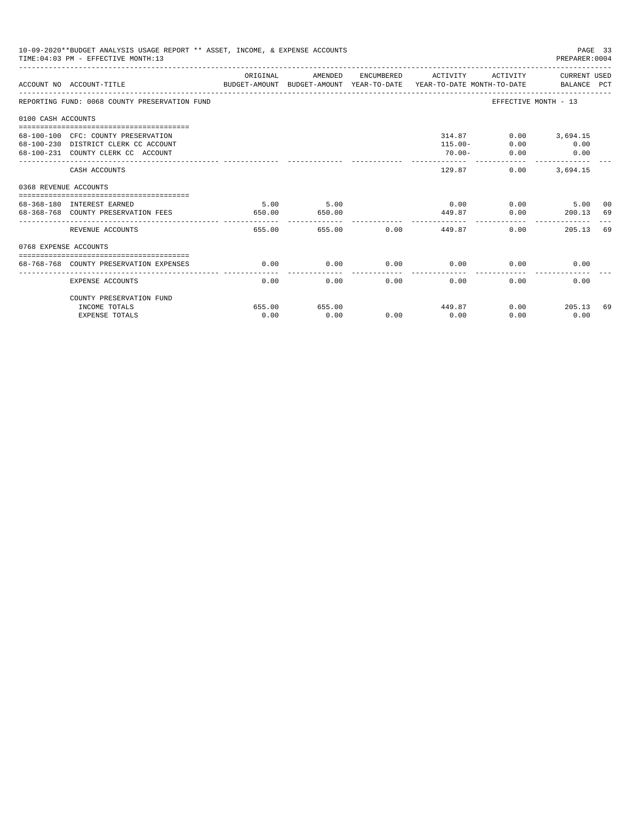|                       | 10-09-2020**BUDGET ANALYSIS USAGE REPORT ** ASSET, INCOME, & EXPENSE ACCOUNTS<br>TIME: 04:03 PM - EFFECTIVE MONTH: 13 |                |                |             |                                   |                      | PAGE 33<br>PREPARER: 0004                        |          |
|-----------------------|-----------------------------------------------------------------------------------------------------------------------|----------------|----------------|-------------|-----------------------------------|----------------------|--------------------------------------------------|----------|
|                       | BUDGET-AMOUNT BUDGET-AMOUNT YEAR-TO-DATE  YEAR-TO-DATE MONTH-TO-DATE     BALANCE PCT<br>ACCOUNT NO ACCOUNT-TITLE      | ORIGINAL       | AMENDED        |             | ENCUMBERED ACTIVITY               |                      | ACTIVITY CURRENT USED                            |          |
|                       | REPORTING FUND: 0068 COUNTY PRESERVATION FUND                                                                         |                |                |             |                                   | EFFECTIVE MONTH - 13 |                                                  |          |
| 0100 CASH ACCOUNTS    |                                                                                                                       |                |                |             |                                   |                      |                                                  |          |
|                       | 68-100-100 CFC: COUNTY PRESERVATION<br>68-100-230 DISTRICT CLERK CC ACCOUNT<br>68-100-231 COUNTY CLERK CC ACCOUNT     |                |                |             | 314.87<br>$115.00 -$<br>$70.00 -$ | 0.00<br>0.00         | $0.00$ 3,694.15<br>0.00<br>0.00<br>------------- |          |
|                       | CASH ACCOUNTS                                                                                                         |                |                |             | 129.87                            | 0.00                 | 3,694.15                                         |          |
| 0368 REVENUE ACCOUNTS |                                                                                                                       |                |                |             |                                   |                      |                                                  |          |
|                       | 68-368-180 INTEREST EARNED<br>68-368-768 COUNTY PRESERVATION FEES                                                     | 5.00<br>650.00 | 5.00<br>650.00 |             | 449.87                            | $0.00$ 0.00<br>0.00  | 5.00<br>200.13                                   | 00<br>69 |
|                       | REVENUE ACCOUNTS                                                                                                      | 655.00         |                | 655.00 0.00 | ------------<br>449.87            | 0.00                 | 205.13                                           | 69       |
| 0768 EXPENSE ACCOUNTS |                                                                                                                       |                |                |             |                                   |                      |                                                  |          |
|                       | 68-768-768 COUNTY PRESERVATION EXPENSES                                                                               | 0.00           | 0.00           |             | $0.00$ 0.00                       | 0.00                 | 0.00                                             |          |
|                       | EXPENSE ACCOUNTS                                                                                                      | 0.00           | 0.00           |             | 0.00<br>0.00                      | 0.00                 | 0.00                                             |          |
|                       | COUNTY PRESERVATION FUND                                                                                              |                |                |             |                                   |                      |                                                  |          |
|                       | INCOME TOTALS                                                                                                         | 655.00         | 655.00         |             | 449.87                            |                      | $0.00$ 205.13                                    | 69       |
|                       | <b>EXPENSE TOTALS</b>                                                                                                 | 0.00           | 0.00           | 0.00        | 0.00                              | 0.00                 | 0.00                                             |          |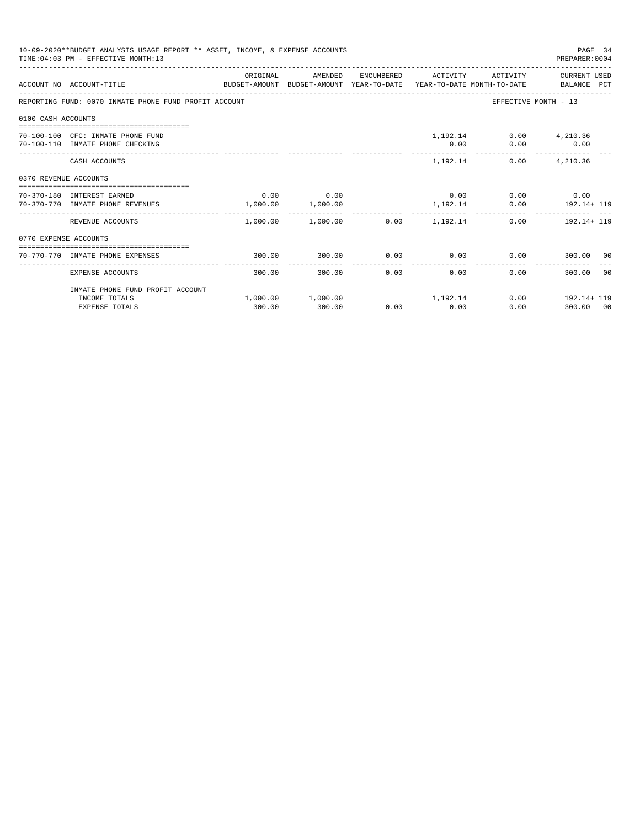|                       | 10-09-2020**BUDGET ANALYSIS USAGE REPORT ** ASSET, INCOME, & EXPENSE ACCOUNTS<br>TIME: 04:03 PM - EFFECTIVE MONTH: 13 |          |                                                                     |      |                     |                                       | PAGE 34<br>PREPARER: 0004          |
|-----------------------|-----------------------------------------------------------------------------------------------------------------------|----------|---------------------------------------------------------------------|------|---------------------|---------------------------------------|------------------------------------|
|                       | BUDGET-AMOUNT BUDGET-AMOUNT YEAR-TO-DATE YEAR-TO-DATE MONTH-TO-DATE BALANCE PCT<br>ACCOUNT NO ACCOUNT-TITLE           | ORIGINAL | AMENDED                                                             |      | ENCUMBERED ACTIVITY |                                       | ACTIVITY CURRENT USED              |
|                       | REPORTING FUND: 0070 INMATE PHONE FUND PROFIT ACCOUNT                                                                 |          |                                                                     |      |                     |                                       | EFFECTIVE MONTH - 13               |
| 0100 CASH ACCOUNTS    |                                                                                                                       |          |                                                                     |      |                     |                                       |                                    |
|                       | 70-100-100 CFC: INMATE PHONE FUND<br>70-100-110 INMATE PHONE CHECKING                                                 |          |                                                                     |      | 0.00                | 1,192.14 0.00 4,210.36<br>$0.00$ 0.00 |                                    |
|                       | CASH ACCOUNTS                                                                                                         |          |                                                                     |      |                     | 1,192.14<br>0.00                      | 4,210.36                           |
| 0370 REVENUE ACCOUNTS |                                                                                                                       |          |                                                                     |      |                     |                                       |                                    |
|                       | 70-370-180 INTEREST EARNED<br>70-370-770 INMATE PHONE REVENUES                                                        |          | $0.00$ 0.00<br>1,000.00 1,000.00                                    |      |                     | $0.00$ $0.00$ $0.00$ $0.00$           | 1, 192.14 0.00 192.14+ 119         |
|                       | REVENUE ACCOUNTS                                                                                                      |          | ------------------------<br>$1,000.00$ $1,000.00$ $0.00$ $1,192.14$ |      |                     |                                       | $0.00$ 192.14+119                  |
| 0770 EXPENSE ACCOUNTS |                                                                                                                       |          |                                                                     |      |                     |                                       |                                    |
|                       | 70-770-770 INMATE PHONE EXPENSES                                                                                      | 300.00   | 300.00                                                              | 0.00 |                     |                                       | $0.00$ $0.00$ $0.00$ $300.00$ $00$ |
|                       | EXPENSE ACCOUNTS                                                                                                      | 300.00   | 300.00                                                              | 0.00 | 0.00                | 0.00                                  | 300.00 00                          |
|                       | INMATE PHONE FUND PROFIT ACCOUNT                                                                                      |          |                                                                     |      |                     |                                       |                                    |
|                       | INCOME TOTALS<br><b>EXPENSE TOTALS</b>                                                                                | 300.00   | $1,000.00$ $1,000.00$ $1,192.14$<br>300.00                          | 0.00 | 0.00                | 0.00                                  | $0.00$ 192.14+ 119<br>300.00 00    |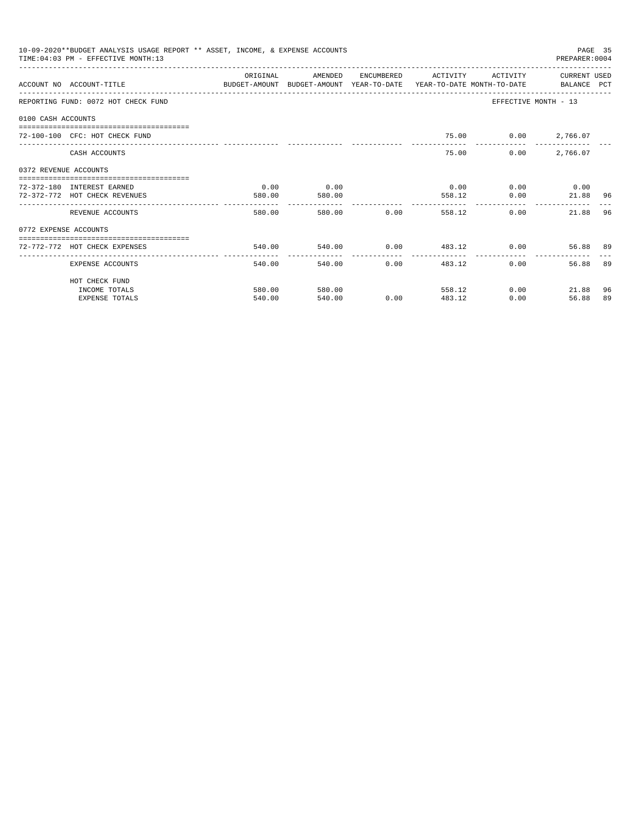|                       | 10-09-2020**BUDGET ANALYSIS USAGE REPORT ** ASSET, INCOME, & EXPENSE ACCOUNTS<br>TIME: 04:03 PM - EFFECTIVE MONTH: 13  |          |              |                               |                             |                      | PREPARER: 0004             | PAGE 35 |
|-----------------------|------------------------------------------------------------------------------------------------------------------------|----------|--------------|-------------------------------|-----------------------------|----------------------|----------------------------|---------|
|                       |                                                                                                                        | ORIGINAL | AMENDED      |                               | ENCUMBERED ACTIVITY         | ACTIVITY             | CURRENT USED               |         |
|                       | ACCOUNT NO ACCOUNT-TITLE COMMONICATION BUDGET-AMOUNT BUDGET-AMOUNT YEAR-TO-DATE YEAR-TO-DATE MONTH-TO-DATE BALANCE PCT |          |              |                               |                             |                      |                            |         |
|                       | REPORTING FUND: 0072 HOT CHECK FUND                                                                                    |          |              |                               |                             | EFFECTIVE MONTH - 13 |                            |         |
| 0100 CASH ACCOUNTS    |                                                                                                                        |          |              |                               |                             |                      |                            |         |
|                       | 72-100-100 CFC: HOT CHECK FUND                                                                                         |          |              |                               |                             | 75.00 0.00 2,766.07  |                            |         |
|                       | CASH ACCOUNTS                                                                                                          |          |              |                               | 75.00                       | 0.00                 | 2,766.07                   |         |
| 0372 REVENUE ACCOUNTS |                                                                                                                        |          |              |                               |                             |                      |                            |         |
|                       | 72-372-180 INTEREST EARNED                                                                                             | 0.00     | 0.00         |                               | 0.00                        |                      | $0.00$ 0.00                |         |
|                       | 72-372-772 HOT CHECK REVENUES                                                                                          | 580.00   | 580.00       |                               | 558.12                      | 0.00                 | 21.88 96                   |         |
|                       | REVENUE ACCOUNTS                                                                                                       | 580.00   |              | 580.00 0.00                   | 558.12                      | 0.00                 | 21.88                      | 96      |
| 0772 EXPENSE ACCOUNTS |                                                                                                                        |          |              |                               |                             |                      |                            |         |
|                       | ------------------------------------<br>72-772-772 HOT CHECK EXPENSES                                                  | 540.00   |              |                               | $540.00$ 0.00 $483.12$ 0.00 |                      | 56.88 89                   |         |
|                       | EXPENSE ACCOUNTS                                                                                                       | 540.00   | ------------ | -----------<br>540.00<br>0.00 | ---------------<br>483.12   | 0.00                 | 56.88                      | 89      |
|                       | HOT CHECK FUND                                                                                                         |          |              |                               |                             |                      |                            |         |
|                       | INCOME TOTALS                                                                                                          | 580.00   | 580.00       |                               | 558.12                      |                      | $0.00$ and $0.00$<br>21.88 | 96      |
|                       | <b>EXPENSE TOTALS</b>                                                                                                  | 540.00   | 540.00       | 0.00                          | 483.12                      | 0.00                 | 56.88                      | 89      |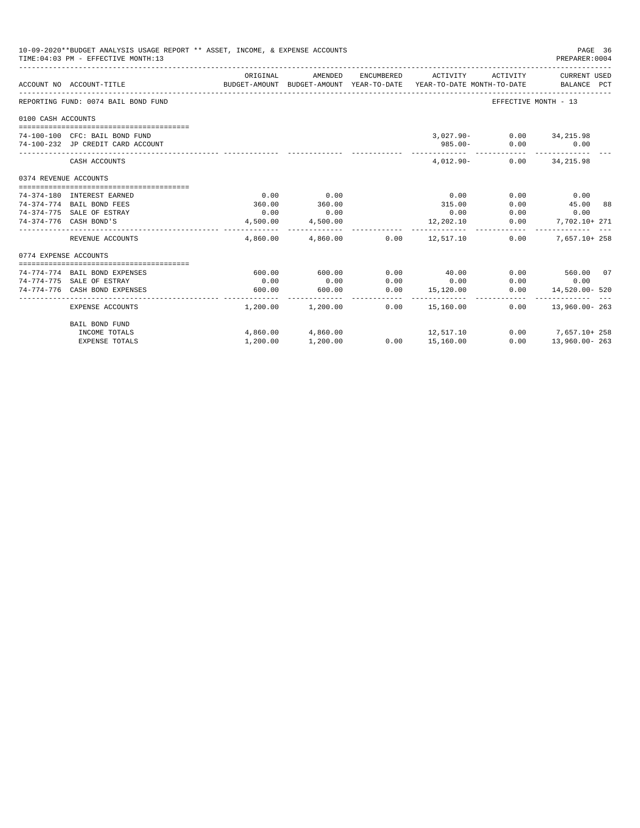|                       | 10-09-2020**BUDGET ANALYSIS USAGE REPORT ** ASSET, INCOME, & EXPENSE ACCOUNTS<br>TIME: 04:03 PM - EFFECTIVE MONTH: 13 |                |                         |            |                                                                                 |                                  | PAGE 36<br>PREPARER: 0004                      |  |
|-----------------------|-----------------------------------------------------------------------------------------------------------------------|----------------|-------------------------|------------|---------------------------------------------------------------------------------|----------------------------------|------------------------------------------------|--|
|                       | ACCOUNT NO ACCOUNT-TITLE                                                                                              | ORIGINAL       | AMENDED                 | ENCUMBERED | ACTIVITY<br>BUDGET-AMOUNT BUDGET-AMOUNT YEAR-TO-DATE YEAR-TO-DATE MONTH-TO-DATE | ACTIVITY                         | CURRENT USED<br>BALANCE PCT                    |  |
|                       | REPORTING FUND: 0074 BAIL BOND FUND                                                                                   |                |                         |            |                                                                                 | EFFECTIVE MONTH - 13             |                                                |  |
| 0100 CASH ACCOUNTS    |                                                                                                                       |                |                         |            |                                                                                 |                                  |                                                |  |
|                       | 74-100-100 CFC: BAIL BOND FUND<br>74-100-232 JP CREDIT CARD ACCOUNT                                                   |                |                         |            | $985.00 -$                                                                      | 3,027.90- 0.00 34,215.98<br>0.00 | 0.00                                           |  |
|                       | CASH ACCOUNTS                                                                                                         |                |                         |            | $4.012.90 -$                                                                    |                                  | $0.00$ $34,215.98$                             |  |
| 0374 REVENUE ACCOUNTS |                                                                                                                       |                |                         |            |                                                                                 |                                  |                                                |  |
|                       |                                                                                                                       |                |                         |            |                                                                                 |                                  |                                                |  |
|                       | 74-374-180 INTEREST EARNED                                                                                            | 0.00           | 0.00<br>360.00          |            | 0.00                                                                            | 0.00                             | 0.00                                           |  |
|                       | 74-374-774 BAIL BOND FEES<br>74-374-775 SALE OF ESTRAY                                                                | 360.00<br>0.00 | 0.00                    |            | 315.00<br>0.00                                                                  | 0.00<br>0.00                     | 45.00 88<br>0.00                               |  |
|                       | 74-374-776 CASH BOND'S                                                                                                | 4,500.00       | 4,500.00                |            |                                                                                 |                                  | 7.702.10+ 271                                  |  |
|                       |                                                                                                                       |                | -------------           |            | 12,202.10                                                                       | 0.00                             |                                                |  |
|                       | REVENUE ACCOUNTS                                                                                                      |                |                         |            | $4,860.00$ $4,860.00$ $0.00$ $12,517.10$                                        | 0.00                             | 7,657.10+ 258                                  |  |
| 0774 EXPENSE ACCOUNTS |                                                                                                                       |                |                         |            |                                                                                 |                                  |                                                |  |
|                       |                                                                                                                       |                |                         |            |                                                                                 |                                  |                                                |  |
|                       | 74-774-774 BAIL BOND EXPENSES                                                                                         | 600.00         | 600.00                  | 0.00       | 40.00                                                                           |                                  | $0.00$ 560.00 07                               |  |
|                       | 74-774-775 SALE OF ESTRAY                                                                                             | 0.00           | 0.00                    | 0.00       | 0.00                                                                            | 0.00                             | 0.00                                           |  |
|                       | 74-774-776 CASH BOND EXPENSES                                                                                         | 600.00         | 600.00<br>------------- | 0.00       | 15,120.00<br>------ -------------                                               | 0.00                             | 14,520.00- 520<br>____________________________ |  |
|                       | <b>EXPENSE ACCOUNTS</b>                                                                                               |                | 1,200.00 1,200.00       | 0.00       | 15,160.00                                                                       | 0.00                             | 13,960.00-263                                  |  |
|                       | BAIL BOND FUND                                                                                                        |                |                         |            |                                                                                 |                                  |                                                |  |
|                       | INCOME TOTALS                                                                                                         |                | 4,860.00 4,860.00       |            | 12, 517.10                                                                      |                                  | $0.00$ 7,657.10+258                            |  |
|                       | <b>EXPENSE TOTALS</b>                                                                                                 | 1,200.00       | 1,200.00                |            | 0.00 15,160.00                                                                  | 0.00                             | 13,960.00-263                                  |  |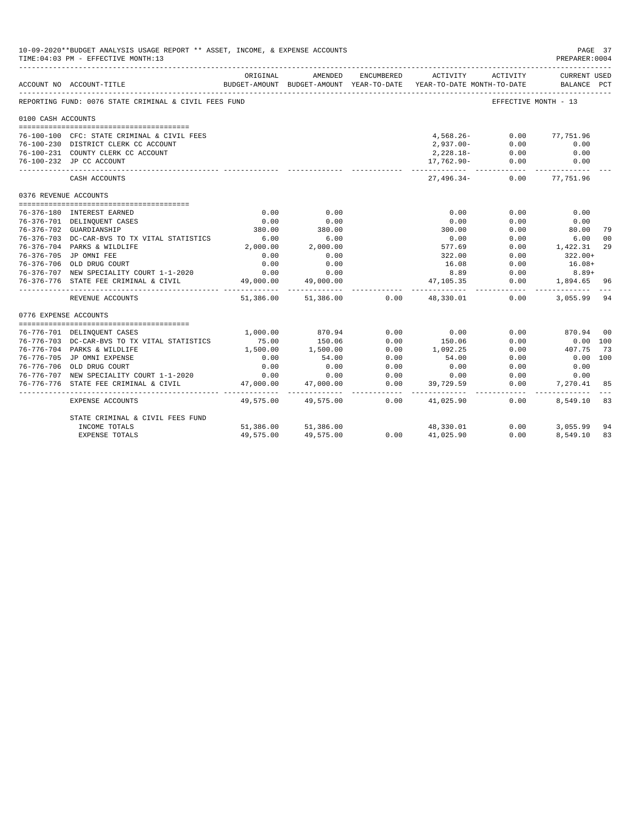|                       | 10-09-2020**BUDGET ANALYSIS USAGE REPORT ** ASSET, INCOME, & EXPENSE ACCOUNTS<br>TIME: 04:03 PM - EFFECTIVE MONTH: 13 |           |                                                     |                 |                                        |                      | PAGE 37<br>PREPARER: 0004          |                |
|-----------------------|-----------------------------------------------------------------------------------------------------------------------|-----------|-----------------------------------------------------|-----------------|----------------------------------------|----------------------|------------------------------------|----------------|
|                       | ACCOUNT NO ACCOUNT-TITLE                                                                                              | ORIGINAL  | AMENDED<br>BUDGET-AMOUNT BUDGET-AMOUNT YEAR-TO-DATE | ENCUMBERED      | ACTIVITY<br>YEAR-TO-DATE MONTH-TO-DATE | ACTIVITY             | <b>CURRENT USED</b><br>BALANCE PCT |                |
|                       | REPORTING FUND: 0076 STATE CRIMINAL & CIVIL FEES FUND                                                                 |           |                                                     |                 |                                        | EFFECTIVE MONTH - 13 |                                    |                |
| 0100 CASH ACCOUNTS    |                                                                                                                       |           |                                                     |                 |                                        |                      |                                    |                |
|                       | 76-100-100 CFC: STATE CRIMINAL & CIVIL FEES                                                                           |           |                                                     |                 | 4,568.26-                              | 0.00                 | 77,751.96                          |                |
|                       | 76-100-230 DISTRICT CLERK CC ACCOUNT                                                                                  |           |                                                     |                 | $2,937.00 - 0.00$                      |                      | 0.00                               |                |
|                       | 76-100-231 COUNTY CLERK CC ACCOUNT                                                                                    |           |                                                     |                 | $2,228.18 - 0.00$                      |                      | 0.00                               |                |
|                       | 76-100-232 JP CC ACCOUNT                                                                                              |           |                                                     |                 | 17,762.90-                             | 0.00                 | 0.00                               |                |
|                       | CASH ACCOUNTS                                                                                                         |           |                                                     |                 | $27,496.34-$                           | 0.00                 | 77,751.96                          |                |
| 0376 REVENUE ACCOUNTS |                                                                                                                       |           |                                                     |                 |                                        |                      |                                    |                |
|                       | 76-376-180 INTEREST EARNED                                                                                            | 0.00      | 0.00                                                |                 | 0.00                                   | 0.00                 | 0.00                               |                |
|                       | 76-376-701 DELINQUENT CASES                                                                                           | 0.00      | 0.00                                                |                 | 0.00                                   | 0.00                 | 0.00                               |                |
|                       | 76-376-702 GUARDIANSHIP                                                                                               | 380.00    | 380.00                                              |                 | 300.00                                 | 0.00                 | 80.00                              | 79             |
|                       | 76-376-703 DC-CAR-BVS TO TX VITAL STATISTICS                                                                          | 6.00      | 6.00                                                |                 | 0.00                                   | 0.00                 | 6.00                               | 0 <sup>0</sup> |
|                       | 76-376-704 PARKS & WILDLIFE                                                                                           | 2,000.00  | 2,000.00                                            |                 | 577.69                                 | 0.00                 | 1,422.31                           | 29             |
|                       | 76-376-705 JP OMNI FEE                                                                                                | 0.00      | 0.00                                                |                 | 322.00                                 | 0.00                 | $322.00+$                          |                |
|                       | 76-376-706 OLD DRUG COURT                                                                                             | 0.00      | 0.00                                                |                 | 16.08                                  | 0.00                 | $16.08+$                           |                |
|                       | 76-376-707 NEW SPECIALITY COURT 1-1-2020                                                                              | 0.00      | 0.00                                                |                 | 8.89                                   | 0.00                 | $8.89+$                            |                |
| 76-376-776            | STATE FEE CRIMINAL & CIVIL                                                                                            | 49,000.00 | 49,000.00                                           |                 | 47, 105, 35                            | 0.00                 | 1,894.65                           | 96             |
|                       | REVENUE ACCOUNTS                                                                                                      | 51,386.00 |                                                     | 51,386.00 0.00  | 48,330.01                              | 0.00                 | 3,055.99                           | 94             |
| 0776 EXPENSE ACCOUNTS |                                                                                                                       |           |                                                     |                 |                                        |                      |                                    |                |
|                       |                                                                                                                       |           |                                                     |                 |                                        |                      |                                    |                |
|                       | 76-776-701 DELINQUENT CASES                                                                                           | 1,000.00  | 870.94                                              | 0.00            | 0.00                                   | 0.00                 | 870.94 00                          |                |
|                       | 76-776-703 DC-CAR-BVS TO TX VITAL STATISTICS                                                                          | 75.00     | 150.06                                              | 0.00            | 150.06                                 | 0.00                 | $0.00$ 100                         |                |
|                       | 76-776-704 PARKS & WILDLIFE                                                                                           | 1,500.00  | 1,500.00                                            | 0.00            | 1,092.25                               | 0.00                 | 407.75                             | 73             |
|                       | 76-776-705 JP OMNI EXPENSE                                                                                            | 0.00      | 54.00                                               | 0.00            | 54.00                                  | 0.00                 | $0.00$ 100                         |                |
|                       | 76-776-706 OLD DRUG COURT                                                                                             | 0.00      | 0.00                                                | 0.00            | 0.00                                   | 0.00                 | 0.00                               |                |
|                       | 76-776-707 NEW SPECIALITY COURT 1-1-2020                                                                              | 0.00      | 0.00                                                | 0.00            | 0.00                                   | 0.00                 | 0.00                               |                |
|                       | 76-776-776 STATE FEE CRIMINAL & CIVIL                                                                                 | 47,000.00 | 47,000.00<br>-----------                            | 0.00<br>------- | 39,729.59                              | 0.00<br>-------      | 7,270.41                           | 85             |
|                       | EXPENSE ACCOUNTS                                                                                                      | 49,575.00 | 49,575.00                                           | 0.00            | 41,025.90                              | 0.00                 | 8,549.10                           | 83             |
|                       | STATE CRIMINAL & CIVIL FEES FUND                                                                                      |           |                                                     |                 |                                        |                      |                                    |                |
|                       | INCOME TOTALS                                                                                                         |           | 51,386.00 51,386.00                                 |                 | 48,330.01                              | 0.00                 | 3,055.99                           | 94             |
|                       | <b>EXPENSE TOTALS</b>                                                                                                 | 49,575.00 | 49,575,00                                           | 0.00            | 41,025.90                              | 0.00                 | 8,549.10                           | 83             |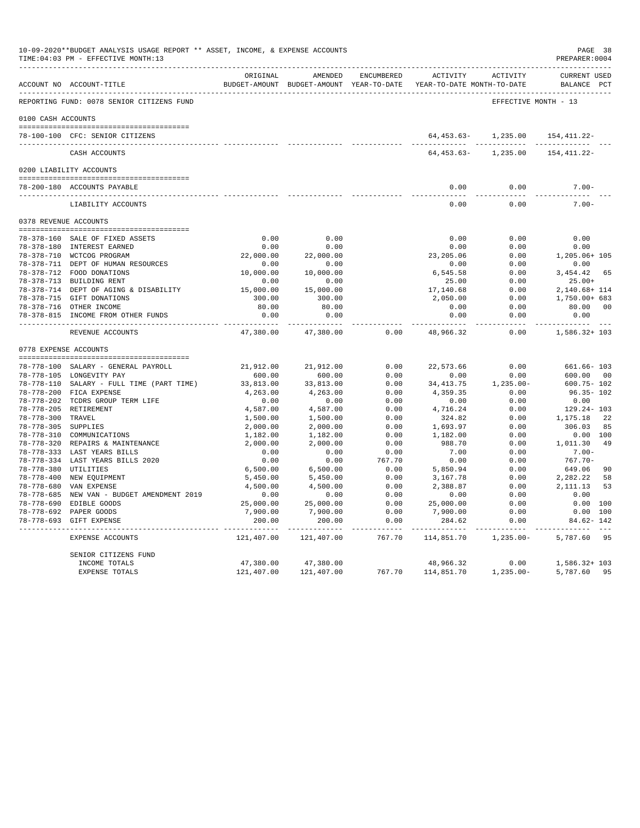|                       | 10-09-2020**BUDGET ANALYSIS USAGE REPORT ** ASSET, INCOME, & EXPENSE ACCOUNTS<br>TIME: 04:03 PM - EFFECTIVE MONTH: 13 |                       |                   |                    |                                                                                          |                      | PAGE 38<br>PREPARER: 0004          |    |
|-----------------------|-----------------------------------------------------------------------------------------------------------------------|-----------------------|-------------------|--------------------|------------------------------------------------------------------------------------------|----------------------|------------------------------------|----|
|                       | ACCOUNT NO ACCOUNT-TITLE                                                                                              | ORIGINAL              | AMENDED           | ENCUMBERED         | ACTIVITY ACTIVITY<br>BUDGET-AMOUNT BUDGET-AMOUNT YEAR-TO-DATE YEAR-TO-DATE MONTH-TO-DATE |                      | <b>CURRENT USED</b><br>BALANCE PCT |    |
|                       | REPORTING FUND: 0078 SENIOR CITIZENS FUND                                                                             |                       |                   |                    |                                                                                          | EFFECTIVE MONTH - 13 |                                    |    |
| 0100 CASH ACCOUNTS    |                                                                                                                       |                       |                   |                    |                                                                                          |                      |                                    |    |
|                       | 78-100-100 CFC: SENIOR CITIZENS                                                                                       |                       |                   |                    |                                                                                          | 64,453.63-1,235.00   | 154, 411.22-                       |    |
|                       |                                                                                                                       |                       |                   |                    |                                                                                          |                      |                                    |    |
|                       | CASH ACCOUNTS                                                                                                         |                       |                   |                    | 64,453.63-                                                                               | 1,235.00             | 154, 411.22-                       |    |
|                       | 0200 LIABILITY ACCOUNTS                                                                                               |                       |                   |                    |                                                                                          |                      |                                    |    |
|                       | 78-200-180 ACCOUNTS PAYABLE                                                                                           |                       |                   |                    | 0.00                                                                                     | 0.00                 | $7.00 -$                           |    |
|                       | LIABILITY ACCOUNTS                                                                                                    |                       |                   |                    | -------<br>0.00                                                                          | -----------<br>0.00  | -----------<br>$7.00 -$            |    |
|                       | 0378 REVENUE ACCOUNTS                                                                                                 |                       |                   |                    |                                                                                          |                      |                                    |    |
|                       |                                                                                                                       |                       |                   |                    |                                                                                          |                      |                                    |    |
|                       | 78-378-160 SALE OF FIXED ASSETS                                                                                       | 0.00                  | 0.00              |                    | 0.00                                                                                     | 0.00                 | 0.00                               |    |
|                       | 78-378-180 INTEREST EARNED                                                                                            | 0.00                  | 0.00              |                    | 0.00                                                                                     | 0.00                 | 0.00                               |    |
|                       | 78-378-710 WCTCOG PROGRAM<br>78-378-711 DEPT OF HUMAN RESOURCES                                                       | 22,000.00<br>0.00     | 22,000.00<br>0.00 |                    | 23, 205.06<br>0.00                                                                       | 0.00<br>0.00         | 1,205.06+ 105<br>0.00              |    |
|                       | 78-378-712 FOOD DONATIONS                                                                                             | 10,000.00             | 10,000.00         |                    | 6,545.58                                                                                 | 0.00                 | 3,454.42                           | 65 |
|                       | 78-378-713 BUILDING RENT                                                                                              | 0.00                  | 0.00              |                    | 25.00                                                                                    | 0.00                 | $25.00+$                           |    |
|                       | 78-378-714 DEPT OF AGING & DISABILITY                                                                                 | 15,000.00             | 15,000.00         |                    | 17,140.68                                                                                | 0.00                 | 2,140.68+ 114                      |    |
|                       | 78-378-715 GIFT DONATIONS                                                                                             | 300.00                | 300.00            |                    | 2,050.00                                                                                 | 0.00                 | 1,750.00+ 683                      |    |
|                       | 78-378-716 OTHER INCOME                                                                                               | 80.00                 | 80.00             |                    | 0.00                                                                                     | 0.00                 | 80.00 00                           |    |
|                       | 78-378-815 INCOME FROM OTHER FUNDS                                                                                    | 0.00                  | 0.00              |                    | 0.00                                                                                     | 0.00                 | 0.00                               |    |
|                       | REVENUE ACCOUNTS                                                                                                      | 47,380.00             | 47,380.00         | 0.00               | -----<br>48,966.32                                                                       | 0.00                 | 1,586.32+ 103                      |    |
| 0778 EXPENSE ACCOUNTS |                                                                                                                       |                       |                   |                    |                                                                                          |                      |                                    |    |
|                       |                                                                                                                       |                       |                   |                    |                                                                                          |                      |                                    |    |
|                       | 78-778-100 SALARY - GENERAL PAYROLL                                                                                   | 21,912.00             | 21,912.00         | 0.00               | 22,573.66                                                                                | 0.00                 | 661.66- 103                        |    |
|                       | 78-778-105 LONGEVITY PAY                                                                                              | 600.00                | 600.00            | 0.00               | 0.00                                                                                     | 0.00                 | 600.00 00                          |    |
|                       | 78-778-110 SALARY - FULL TIME (PART TIME)                                                                             | 33,813.00             | 33,813.00         | 0.00               | 34, 413.75                                                                               | 1,235.00-            | $600.75 - 102$                     |    |
|                       | 78-778-200 FICA EXPENSE                                                                                               | 4,263.00              | 4,263.00          | 0.00               | 4,359.35                                                                                 | 0.00                 | $96.35 - 102$                      |    |
|                       | 78-778-202 TCDRS GROUP TERM LIFE                                                                                      | 0.00                  | 0.00              | 0.00               | 0.00                                                                                     | 0.00                 | 0.00                               |    |
|                       | 78-778-205 RETIREMENT                                                                                                 | 4,587.00              | 4,587.00          | 0.00               | 4,716.24                                                                                 | 0.00                 | 129.24-103                         |    |
| 78-778-300 TRAVEL     |                                                                                                                       | 1,500.00              | 1,500.00          | 0.00               | 324.82                                                                                   | 0.00                 | 1,175.18                           | 22 |
| 78-778-305 SUPPLIES   |                                                                                                                       | 2,000.00              | 2,000.00          | 0.00               | 1,693.97                                                                                 | 0.00                 | 306.03                             | 85 |
|                       | 78-778-310 COMMUNICATIONS                                                                                             | 1,182.00              | 1,182.00          | 0.00               | 1,182.00                                                                                 | 0.00                 | 0.00 100                           |    |
|                       | 78-778-320 REPAIRS & MAINTENANCE                                                                                      | 2,000.00              | 2,000.00          | 0.00               | 988.70                                                                                   | 0.00                 | 1,011.30                           | 49 |
|                       | 78-778-333 LAST YEARS BILLS                                                                                           | 0.00                  | 0.00              | 0.00               | 7.00                                                                                     | 0.00                 | $7.00 -$                           |    |
|                       | 78-778-334 LAST YEARS BILLS 2020                                                                                      | 0.00                  | 0.00              | 767.70             | 0.00                                                                                     | 0.00                 | $767.70 -$                         |    |
| 78-778-380 UTILITIES  |                                                                                                                       | 6,500.00              | 6,500.00          | 0.00               | 5,850.94                                                                                 | 0.00                 | 649.06                             | 90 |
|                       | 78-778-400 NEW EQUIPMENT                                                                                              | 5,450.00              | 5,450.00          | 0.00               | 3,167.78                                                                                 | 0.00                 | 2,282.22                           | 58 |
|                       | 78-778-680 VAN EXPENSE                                                                                                | 4,500.00              | 4,500.00          | 0.00               | 2,388.87                                                                                 | 0.00                 | 2, 111.13                          | 53 |
|                       | 78-778-685 NEW VAN - BUDGET AMENDMENT 2019                                                                            | 0.00                  | 0.00              | 0.00               | 0.00                                                                                     | 0.00                 | 0.00                               |    |
|                       | 78-778-690 EDIBLE GOODS                                                                                               | 25,000.00             | 25,000.00         | 0.00               | 25,000.00                                                                                | 0.00                 | 0.00 100                           |    |
|                       | 78-778-692 PAPER GOODS                                                                                                | 7,900.00              | 7,900.00          | 0.00               | 7,900.00                                                                                 | 0.00                 | $0.00$ 100                         |    |
|                       | 78-778-693 GIFT EXPENSE                                                                                               | 200.00<br>----------- | 200.00            | 0.00<br>المستسلسات | 284.62                                                                                   | 0.00<br>------       | 84.62- 142                         |    |
|                       | EXPENSE ACCOUNTS                                                                                                      | 121,407.00            | 121,407.00        | 767.70             | 114,851.70                                                                               | $1,235.00-$          | 5,787.60                           | 95 |
|                       | SENIOR CITIZENS FUND                                                                                                  |                       |                   |                    |                                                                                          |                      |                                    |    |
|                       | INCOME TOTALS                                                                                                         | 47,380.00             | 47,380.00         |                    | 48,966.32                                                                                | 0.00                 | 1,586.32+ 103                      |    |
|                       | EXPENSE TOTALS                                                                                                        | 121,407.00            | 121,407.00        | 767.70             | 114,851.70                                                                               | $1,235.00-$          | 5,787.60                           | 95 |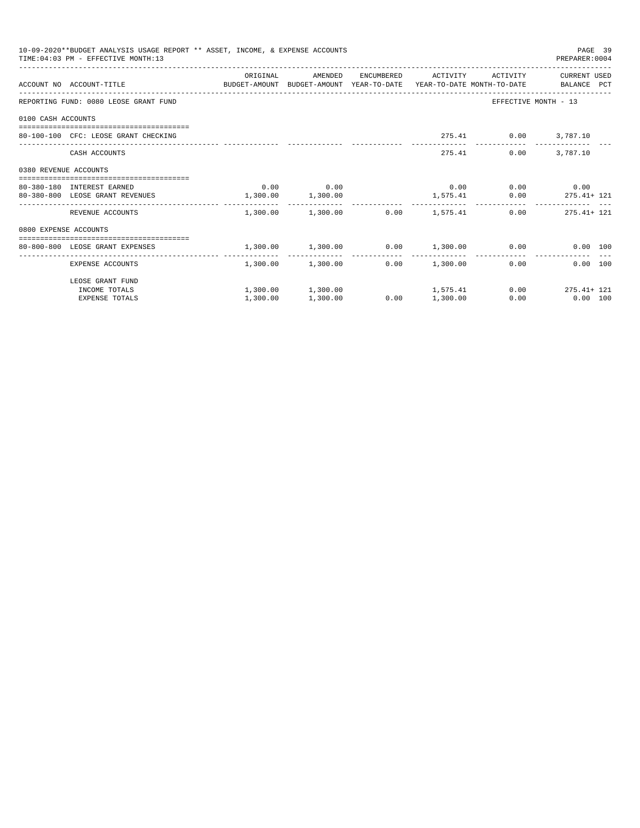|                       | 10-09-2020**BUDGET ANALYSIS USAGE REPORT ** ASSET, INCOME, & EXPENSE ACCOUNTS<br>TIME: 04:03 PM - EFFECTIVE MONTH: 13 |                       |                                                |      |          |                              | PAGE 39<br>PREPARER: 0004   |  |
|-----------------------|-----------------------------------------------------------------------------------------------------------------------|-----------------------|------------------------------------------------|------|----------|------------------------------|-----------------------------|--|
|                       | ACCOUNT NO ACCOUNT-TITLE COMPUTE BUDGET-AMOUNT BUDGET-AMOUNT YEAR-TO-DATE YEAR-TO-DATE MONTH-TO-DATE BALANCE PCT      | ORIGINAL              | AMENDED                                        |      |          | ENCUMBERED ACTIVITY ACTIVITY | CURRENT USED                |  |
|                       | REPORTING FUND: 0080 LEOSE GRANT FUND                                                                                 |                       |                                                |      |          |                              | EFFECTIVE MONTH - 13        |  |
| 0100 CASH ACCOUNTS    |                                                                                                                       |                       |                                                |      |          |                              |                             |  |
|                       | 80-100-100 CFC: LEOSE GRANT CHECKING                                                                                  |                       |                                                |      |          | 275.41 0.00 3,787.10         |                             |  |
|                       | CASH ACCOUNTS                                                                                                         |                       |                                                |      |          | 275.41<br>0.00               | 3,787.10                    |  |
| 0380 REVENUE ACCOUNTS |                                                                                                                       |                       |                                                |      |          |                              |                             |  |
|                       | 80-380-180 INTEREST EARNED                                                                                            |                       | $0.00$ 0.00                                    |      |          | $0.00$ $0.00$ $0.00$ $0.00$  |                             |  |
|                       | 80-380-800 LEOSE GRANT REVENUES                                                                                       | $1,300.00$ $1,300.00$ |                                                |      |          |                              | $1,575.41$ 0.00 275.41+ 121 |  |
|                       | REVENUE ACCOUNTS                                                                                                      |                       | $1.300.00$ $1.300.00$ $0.00$ $1.575.41$        |      |          |                              | $0.00$ 275.41+ 121          |  |
| 0800 EXPENSE ACCOUNTS |                                                                                                                       |                       |                                                |      |          |                              |                             |  |
|                       | --------------------------------------<br>80-800-800 LEOSE GRANT EXPENSES                                             |                       | $1,300.00$ $1,300.00$ $0.00$ $1,300.00$ $0.00$ |      |          |                              | 0.00 100                    |  |
|                       |                                                                                                                       |                       |                                                |      |          |                              |                             |  |
|                       | EXPENSE ACCOUNTS                                                                                                      |                       | $1.300.00$ $1.300.00$ $0.00$ $1.300.00$        |      |          |                              | 0.00<br>0.00 100            |  |
|                       | LEOSE GRANT FUND                                                                                                      |                       |                                                |      |          |                              |                             |  |
|                       | INCOME TOTALS                                                                                                         |                       | $1,300.00$ $1,300.00$ $1,575.41$               |      |          |                              | $0.00$ $275.41 + 121$       |  |
|                       | <b>EXPENSE TOTALS</b>                                                                                                 | 1,300.00              | 1,300.00                                       | 0.00 | 1,300.00 |                              | $0.00$ 0.00 100             |  |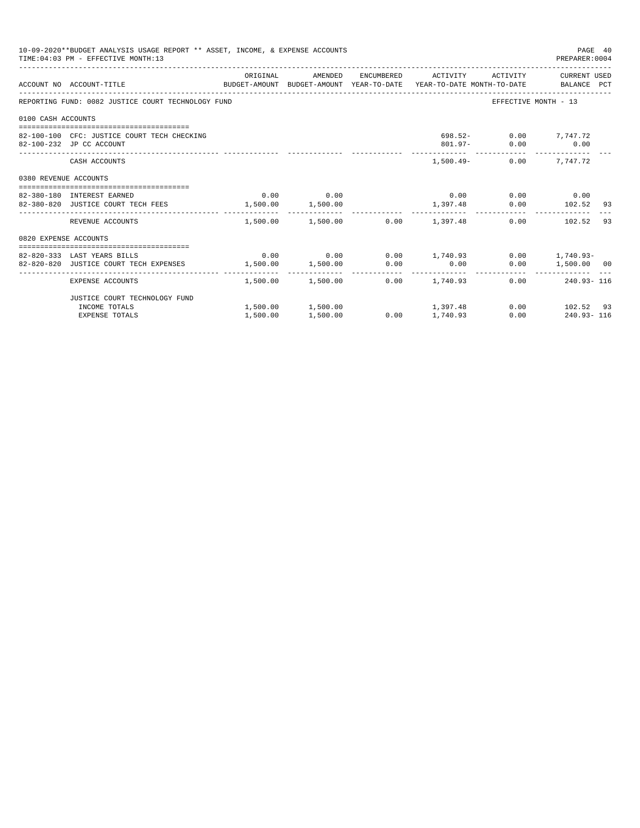|                       | 10-09-2020**BUDGET ANALYSIS USAGE REPORT ** ASSET, INCOME, & EXPENSE ACCOUNTS<br>TIME: 04:03 PM - EFFECTIVE MONTH: 13 |          |             |                                         |                                            | PAGE 40<br>PREPARER: 0004 |    |
|-----------------------|-----------------------------------------------------------------------------------------------------------------------|----------|-------------|-----------------------------------------|--------------------------------------------|---------------------------|----|
|                       | ACCOUNT NO ACCOUNT-TITLE CONTROL SUDGET-AMOUNT BUDGET-AMOUNT YEAR-TO-DATE YEAR-TO-DATE MONTH-TO-DATE BALANCE PCT      |          |             |                                         |                                            |                           |    |
|                       | REPORTING FUND: 0082 JUSTICE COURT TECHNOLOGY FUND                                                                    |          |             |                                         | EFFECTIVE MONTH - 13                       |                           |    |
| 0100 CASH ACCOUNTS    |                                                                                                                       |          |             |                                         |                                            |                           |    |
|                       | 82-100-100 CFC: JUSTICE COURT TECH CHECKING<br>82-100-232 JP CC ACCOUNT                                               |          |             |                                         | 698.52- 0.00 7,747.72<br>801.97- 0.00 0.00 |                           |    |
|                       | CASH ACCOUNTS                                                                                                         |          |             |                                         | $1.500.49 - 0.00$ 7.747.72                 |                           |    |
| 0380 REVENUE ACCOUNTS |                                                                                                                       |          |             |                                         |                                            |                           |    |
|                       | 82-380-180 INTEREST EARNED                                                                                            |          | $0.00$ 0.00 |                                         | $0.00$ $0.00$ $0.00$ $0.00$                |                           |    |
|                       | 82-380-820 JUSTICE COURT TECH FEES 1,500.00 1,500.00                                                                  |          |             | 1,397.48 0.00 102.52 93                 |                                            |                           |    |
|                       | REVENUE ACCOUNTS                                                                                                      |          |             | $1.500.00$ $1.500.00$ $0.00$ $1.397.48$ |                                            | $0.00$ 102.52             | 93 |
| 0820 EXPENSE ACCOUNTS |                                                                                                                       |          |             |                                         |                                            |                           |    |
|                       |                                                                                                                       |          |             |                                         |                                            |                           |    |
|                       | 82-820-333 LAST YEARS BILLS                                                                                           |          |             | $0.00$ $0.00$ $0.00$ $1,740.93$         |                                            | $0.00$ 1,740.93-          |    |
|                       | 82-820-820 JUSTICE COURT TECH EXPENSES                                                                                |          |             | $1,500.00$ $1,500.00$ $0.00$ $0.00$     |                                            | $0.00$ 1,500.00 00        |    |
|                       | EXPENSE ACCOUNTS                                                                                                      |          |             | $1.500.00$ $1.500.00$ $0.00$ $1.740.93$ |                                            | $0.00$ 240.93-116         |    |
|                       | JUSTICE COURT TECHNOLOGY FUND                                                                                         |          |             |                                         |                                            |                           |    |
|                       | INCOME TOTALS                                                                                                         |          |             | $1,500.00$ $1,500.00$ $1,397.48$        |                                            | $0.00$ 102.52 93          |    |
|                       | <b>EXPENSE TOTALS</b>                                                                                                 | 1,500.00 | 1,500.00    | $0.00$ 1,740.93                         |                                            | $0.00$ 240.93-116         |    |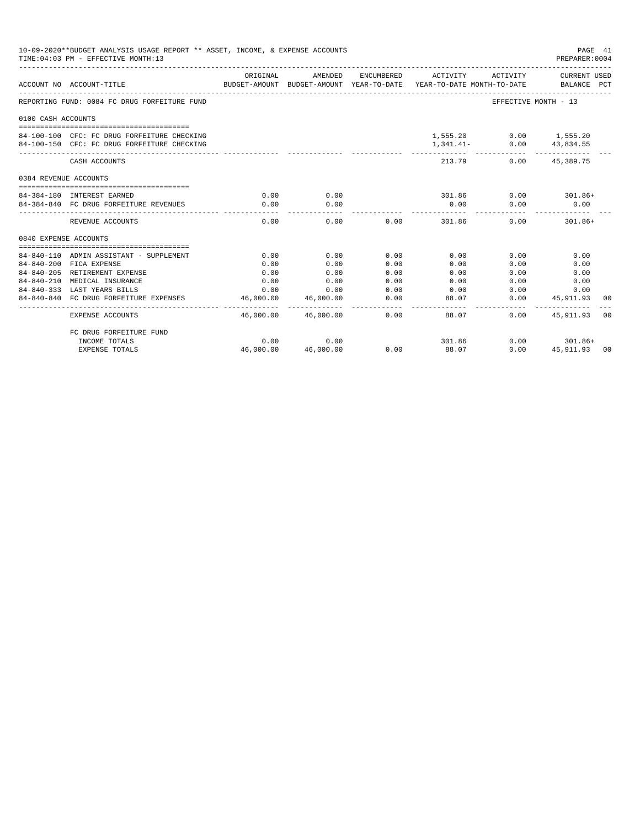|                       | 10-09-2020**BUDGET ANALYSIS USAGE REPORT ** ASSET, INCOME, & EXPENSE ACCOUNTS<br>TIME: 04:03 PM - EFFECTIVE MONTH: 13 |                        |                                    |                 |                                                                                                     |                             | PAGE 41<br>PREPARER: 0004   |  |
|-----------------------|-----------------------------------------------------------------------------------------------------------------------|------------------------|------------------------------------|-----------------|-----------------------------------------------------------------------------------------------------|-----------------------------|-----------------------------|--|
|                       | ACCOUNT NO ACCOUNT-TITLE                                                                                              | ORIGINAL               | AMENDED                            |                 | ENCUMBERED ACTIVITY ACTIVITY<br>BUDGET-AMOUNT BUDGET-AMOUNT YEAR-TO-DATE YEAR-TO-DATE MONTH-TO-DATE |                             | CURRENT USED<br>BALANCE PCT |  |
|                       | REPORTING FUND: 0084 FC DRUG FORFEITURE FUND                                                                          |                        |                                    |                 |                                                                                                     | EFFECTIVE MONTH - 13        |                             |  |
| 0100 CASH ACCOUNTS    |                                                                                                                       |                        |                                    |                 |                                                                                                     |                             |                             |  |
|                       |                                                                                                                       |                        |                                    |                 |                                                                                                     |                             |                             |  |
|                       | 84-100-100 CFC: FC DRUG FORFEITURE CHECKING                                                                           |                        |                                    |                 |                                                                                                     | 1,555.20 0.00 1,555.20      |                             |  |
|                       | 84-100-150 CFC: FC DRUG FORFEITURE CHECKING                                                                           |                        |                                    |                 |                                                                                                     | 1, 341.41 - 0.00 43, 834.55 |                             |  |
|                       | CASH ACCOUNTS                                                                                                         |                        |                                    |                 | 213.79                                                                                              |                             | $0.00$ 45.389.75            |  |
| 0384 REVENUE ACCOUNTS |                                                                                                                       |                        |                                    |                 |                                                                                                     |                             |                             |  |
|                       | 84-384-180 INTEREST EARNED                                                                                            | 0.00                   | 0.00                               |                 | 301.86                                                                                              |                             | $0.00$ 301.86+              |  |
|                       | 84-384-840 FC DRUG FORFEITURE REVENUES                                                                                | 0.00                   | 0.00                               |                 | 0.00                                                                                                | 0.00                        | 0.00                        |  |
|                       | REVENUE ACCOUNTS                                                                                                      | 0.00                   | 0.00                               |                 | $0.00$ 301.86                                                                                       | 0.00                        | $301.86+$                   |  |
| 0840 EXPENSE ACCOUNTS |                                                                                                                       |                        |                                    |                 |                                                                                                     |                             |                             |  |
|                       | 84-840-110 ADMIN ASSISTANT - SUPPLEMENT                                                                               | 0.00                   | 0.00                               | 0.00            | 0.00                                                                                                | 0.00                        | 0.00                        |  |
|                       | 84-840-200 FICA EXPENSE                                                                                               | 0.00                   | 0.00                               | 0.00            | 0.00                                                                                                | 0.00                        | 0.00                        |  |
|                       | 84-840-205 RETIREMENT EXPENSE                                                                                         | 0.00                   | 0.00                               | 0.00            | 0.00                                                                                                | 0.00                        | 0.00                        |  |
| $84 - 840 - 210$      | MEDICAL INSURANCE                                                                                                     | 0.00                   | 0.00                               | 0.00            | 0.00                                                                                                | 0.00                        | 0.00                        |  |
|                       | 84-840-333 LAST YEARS BILLS                                                                                           | 0.00                   | 0.00                               | 0.00            | 0.00                                                                                                | 0.00                        | 0.00                        |  |
|                       | 84-840-840 FC DRUG FORFEITURE EXPENSES                                                                                | 46,000.00<br>--------- | 46,000.00                          | 0.00<br>------- | 88.07                                                                                               |                             | $0.00$ 45,911.93 00         |  |
|                       | EXPENSE ACCOUNTS                                                                                                      |                        | -----------<br>46.000.00 46.000.00 |                 | $- - - - - -$<br>0.00<br>88.07                                                                      | -----------<br>0.00         | 45, 911, 93 00              |  |
|                       | FC DRUG FORFEITURE FUND                                                                                               |                        |                                    |                 |                                                                                                     |                             |                             |  |
|                       | INCOME TOTALS                                                                                                         | 0.00                   | 0.00                               |                 | 301.86                                                                                              |                             | $0.00$ 301.86+              |  |
|                       | <b>EXPENSE TOTALS</b>                                                                                                 | 46,000.00              | 46,000.00                          | 0.00            | 88.07                                                                                               | 0.00                        | 45, 911, 93 00              |  |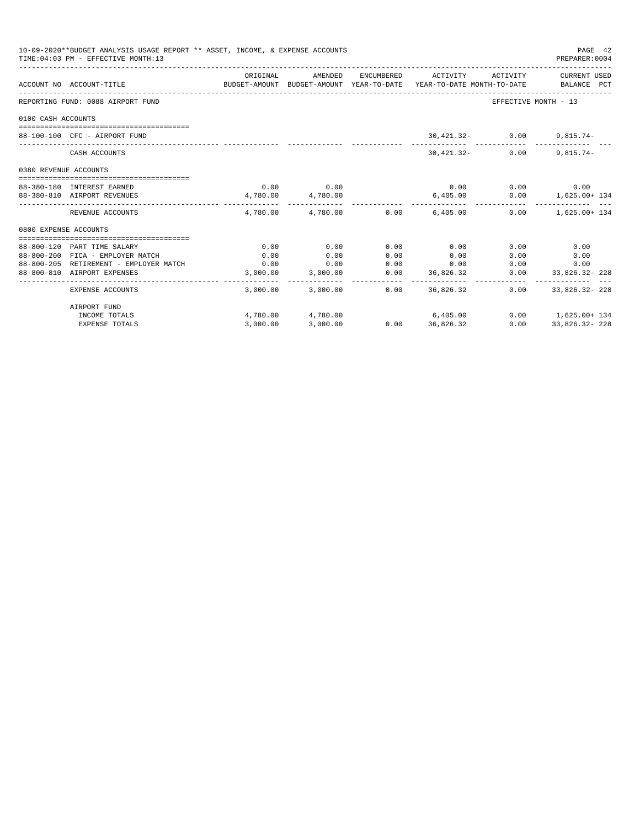|                            | 10-09-2020**BUDGET ANALYSIS USAGE REPORT ** ASSET, INCOME, & EXPENSE ACCOUNTS<br>TIME: 04:03 PM - EFFECTIVE MONTH: 13 |          |                                         |      |                     |                    | PAGE 42<br>PREPARER: 0004        |
|----------------------------|-----------------------------------------------------------------------------------------------------------------------|----------|-----------------------------------------|------|---------------------|--------------------|----------------------------------|
|                            | ACCOUNT NO ACCOUNT-TITLE COMPUTE SUDGET-AMOUNT BUDGET-AMOUNT YEAR-TO-DATE YEAR-TO-DATE MONTH-TO-DATE BALANCE PCT      | ORIGINAL | AMENDED                                 |      | ENCUMBERED ACTIVITY |                    | ACTIVITY CURRENT USED            |
|                            | REPORTING FUND: 0088 AIRPORT FUND                                                                                     |          |                                         |      |                     |                    | EFFECTIVE MONTH - 13             |
| 0100 CASH ACCOUNTS         |                                                                                                                       |          |                                         |      |                     |                    |                                  |
|                            |                                                                                                                       |          |                                         |      |                     |                    |                                  |
|                            | 88-100-100 CFC - AIRPORT FUND                                                                                         |          |                                         |      |                     | $30,421.32 - 0.00$ | $9,815.74-$                      |
|                            | CASH ACCOUNTS                                                                                                         |          |                                         |      | $30,421.32-$        | 0.00               | $9.815.74-$                      |
| 0380 REVENUE ACCOUNTS      |                                                                                                                       |          |                                         |      |                     |                    |                                  |
|                            |                                                                                                                       |          |                                         |      |                     |                    |                                  |
| 88-380-180 INTEREST EARNED | 88-380-810 AIRPORT REVENUES                                                                                           |          | $0.00$ 0.00<br>$4,780.00$ $4,780.00$    |      |                     | $0.00$ 0.00 0.00   | $6,405.00$ $0.00$ $1,625.00+134$ |
|                            | REVENUE ACCOUNTS                                                                                                      |          | $4.780.00$ $4.780.00$ $0.00$ $6.405.00$ |      |                     |                    | $0.00$ 1.625.00+ 134             |
| 0800 EXPENSE ACCOUNTS      |                                                                                                                       |          |                                         |      |                     |                    |                                  |
|                            |                                                                                                                       |          |                                         |      |                     |                    |                                  |
|                            | 88-800-120 PART TIME SALARY                                                                                           | 0.00     | 0.00                                    | 0.00 | 0.00                | 0.00               | 0.00                             |
|                            | 88-800-200 FICA - EMPLOYER MATCH                                                                                      | 0.00     | 0.00                                    | 0.00 | 0.00                | 0.00               | 0.00                             |
|                            | 88-800-205 RETIREMENT - EMPLOYER MATCH                                                                                | 0.00     | 0.00                                    | 0.00 | 0.00                |                    | 0.00<br>0.00                     |
|                            | 88-800-810 AIRPORT EXPENSES                                                                                           |          | 3,000.00 3,000.00                       |      | $0.00$ 36,826.32    |                    | $0.00$ 33,826.32-228             |
|                            | EXPENSE ACCOUNTS                                                                                                      |          | 3,000.00 3,000.00                       |      | $0.00$ 36,826,32    |                    | $0.00$ 33,826.32-228             |
|                            | AIRPORT FUND                                                                                                          |          |                                         |      |                     |                    |                                  |
|                            | INCOME TOTALS                                                                                                         |          | $4,780.00$ $4,780.00$ $6,405.00$        |      |                     |                    | $0.00$ 1,625.00+ 134             |
|                            | <b>EXPENSE TOTALS</b>                                                                                                 | 3,000.00 | 3,000.00                                |      | $0.00$ 36.826.32    | 0.00               | 33,826.32-228                    |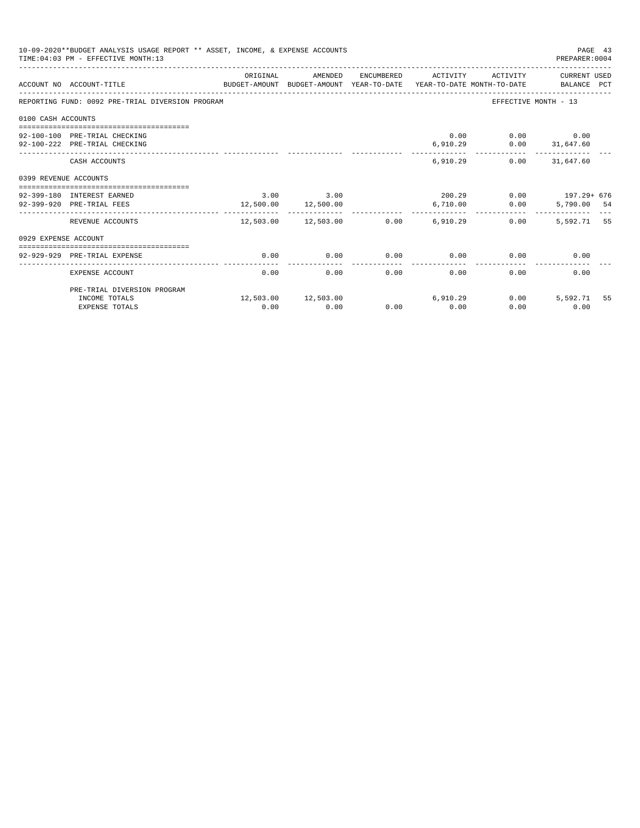|                       | 10-09-2020**BUDGET ANALYSIS USAGE REPORT ** ASSET, INCOME, & EXPENSE ACCOUNTS<br>TIME: 04:03 PM - EFFECTIVE MONTH: 13 |          |                                                   |      |                         |                                | PAGE 43<br>PREPARER: 0004 |  |
|-----------------------|-----------------------------------------------------------------------------------------------------------------------|----------|---------------------------------------------------|------|-------------------------|--------------------------------|---------------------------|--|
|                       | BUDGET-AMOUNT BUDGET-AMOUNT YEAR-TO-DATE YEAR-TO-DATE MONTH-TO-DATE BALANCE PCT<br>ACCOUNT NO ACCOUNT-TITLE           | ORIGINAL | AMENDED                                           |      | ENCUMBERED ACTIVITY     |                                | ACTIVITY CURRENT USED     |  |
|                       | REPORTING FUND: 0092 PRE-TRIAL DIVERSION PROGRAM                                                                      |          |                                                   |      |                         |                                | EFFECTIVE MONTH - 13      |  |
| 0100 CASH ACCOUNTS    |                                                                                                                       |          |                                                   |      |                         |                                |                           |  |
|                       |                                                                                                                       |          |                                                   |      |                         |                                |                           |  |
|                       | 92-100-100 PRE-TRIAL CHECKING                                                                                         |          |                                                   |      |                         | 0.00                           | $0.00$ 0.00               |  |
|                       | 92-100-222 PRE-TRIAL CHECKING                                                                                         |          |                                                   |      | ----------              | $6,910.29$ $0.00$ $31,647.60$  | -------------             |  |
|                       | CASH ACCOUNTS                                                                                                         |          |                                                   |      |                         | 6.910.29                       | $0.00$ $31,647.60$        |  |
| 0399 REVENUE ACCOUNTS |                                                                                                                       |          |                                                   |      |                         |                                |                           |  |
|                       |                                                                                                                       |          |                                                   |      |                         |                                |                           |  |
|                       | 92-399-180 INTEREST EARNED                                                                                            |          | $3.00$ $3.00$                                     |      |                         | $200.29$ $0.00$ $197.29 + 676$ |                           |  |
|                       | 92-399-920 PRE-TRIAL FEES                                                                                             |          | 12,500.00 12,500.00<br>__________________________ |      | 6,710.00<br>----------- | 0.00                           | 5,790.00 54               |  |
|                       | REVENUE ACCOUNTS                                                                                                      |          | $12,503.00$ $12,503.00$ $0.00$ $6,910.29$         |      |                         | 0.00                           | 5,592.71 55               |  |
| 0929 EXPENSE ACCOUNT  |                                                                                                                       |          |                                                   |      |                         |                                |                           |  |
|                       |                                                                                                                       |          |                                                   |      |                         |                                |                           |  |
|                       | 92-929-929 PRE-TRIAL EXPENSE                                                                                          | 0.00     | 0.00                                              | 0.00 | 0.00                    | 0.00                           | 0.00                      |  |
|                       | EXPENSE ACCOUNT                                                                                                       | 0.00     | 0.00                                              | 0.00 | 0.00                    | 0.00                           | 0.00                      |  |
|                       | PRE-TRIAL DIVERSION PROGRAM                                                                                           |          |                                                   |      |                         |                                |                           |  |
|                       | INCOME TOTALS                                                                                                         |          | 12,503.00 12,503.00                               |      | 6,910.29                | 0.00                           | 5,592.71 55               |  |
|                       | <b>EXPENSE TOTALS</b>                                                                                                 | 0.00     | 0.00                                              | 0.00 | 0.00                    | 0.00                           | 0.00                      |  |